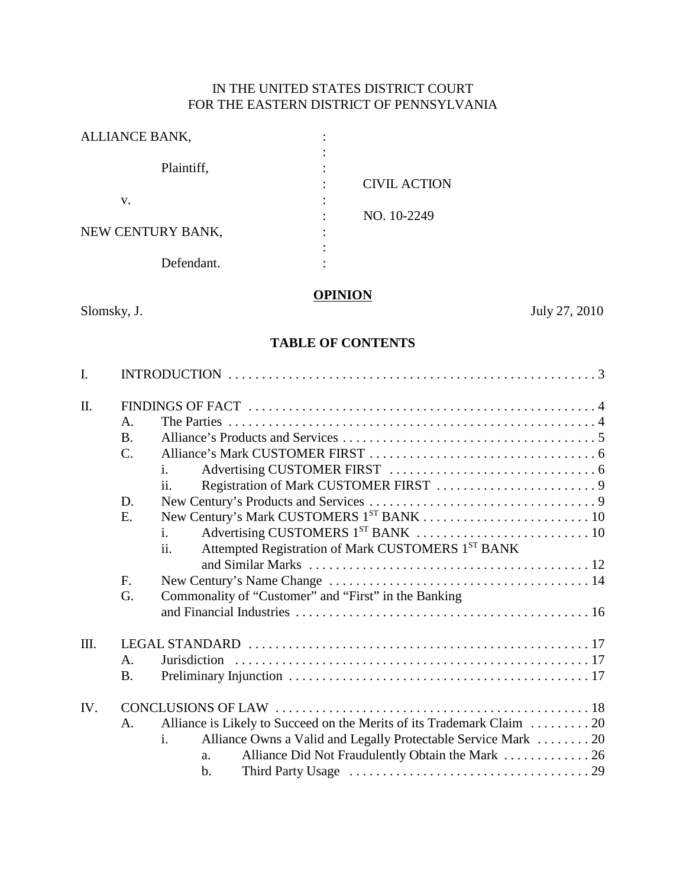# IN THE UNITED STATES DISTRICT COURT FOR THE EASTERN DISTRICT OF PENNSYLVANIA

| ALLIANCE BANK,    |   |                     |
|-------------------|---|---------------------|
| Plaintiff,        |   |                     |
|                   |   | <b>CIVIL ACTION</b> |
| v.                |   |                     |
|                   |   | NO. 10-2249         |
| NEW CENTURY BANK, | ٠ |                     |
|                   |   |                     |
| Defendant.        |   |                     |
|                   |   |                     |

# **OPINION**

Slomsky, J. July 27, 2010

# **TABLE OF CONTENTS**

| $\mathbf{I}$ . |                 |                                                                         |  |  |
|----------------|-----------------|-------------------------------------------------------------------------|--|--|
| $\Pi$ .        |                 |                                                                         |  |  |
|                | A.              |                                                                         |  |  |
|                | <b>B.</b>       |                                                                         |  |  |
|                | $\mathcal{C}$ . |                                                                         |  |  |
|                |                 | i.                                                                      |  |  |
|                |                 | $\overline{11}$ .                                                       |  |  |
|                | D.              |                                                                         |  |  |
|                | Е.              |                                                                         |  |  |
|                |                 | $\mathbf{i}$ .                                                          |  |  |
|                |                 | Attempted Registration of Mark CUSTOMERS 1ST BANK<br>ii.                |  |  |
|                |                 |                                                                         |  |  |
|                | F.              |                                                                         |  |  |
|                | G.              | Commonality of "Customer" and "First" in the Banking                    |  |  |
|                |                 |                                                                         |  |  |
|                |                 |                                                                         |  |  |
| Ш.             |                 |                                                                         |  |  |
|                | $\mathbf{A}$    |                                                                         |  |  |
|                | <b>B.</b>       |                                                                         |  |  |
| IV.            |                 |                                                                         |  |  |
|                | A.              | Alliance is Likely to Succeed on the Merits of its Trademark Claim  20  |  |  |
|                |                 | $i$ .<br>Alliance Owns a Valid and Legally Protectable Service Mark  20 |  |  |
|                |                 | Alliance Did Not Fraudulently Obtain the Mark  26<br>a.                 |  |  |
|                |                 | $\mathbf{b}$ .                                                          |  |  |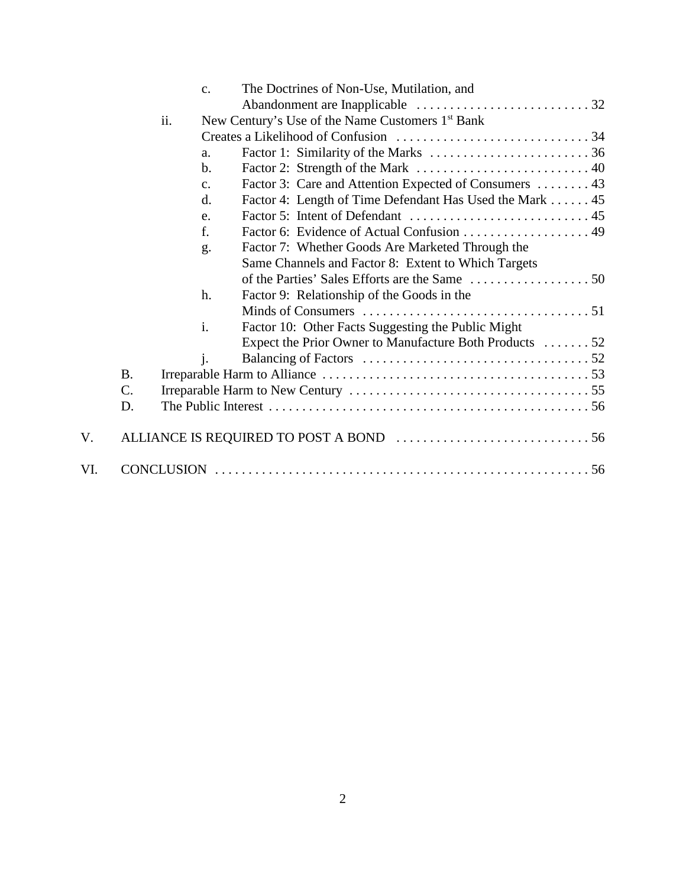|     |           | $C_{\bullet}$  | The Doctrines of Non-Use, Mutilation, and                    |
|-----|-----------|----------------|--------------------------------------------------------------|
|     |           |                |                                                              |
|     |           | ii.            | New Century's Use of the Name Customers 1 <sup>st</sup> Bank |
|     |           |                |                                                              |
|     |           | a.             |                                                              |
|     |           | $b$            |                                                              |
|     |           | $C_{\bullet}$  | Factor 3: Care and Attention Expected of Consumers  43       |
|     |           | d.             | Factor 4: Length of Time Defendant Has Used the Mark 45      |
|     |           | e.             |                                                              |
|     |           | f.             | Factor 6: Evidence of Actual Confusion  49                   |
|     |           | g.             | Factor 7: Whether Goods Are Marketed Through the             |
|     |           |                | Same Channels and Factor 8: Extent to Which Targets          |
|     |           |                |                                                              |
|     |           | h.             | Factor 9: Relationship of the Goods in the                   |
|     |           |                |                                                              |
|     |           | $\mathbf{i}$ . | Factor 10: Other Facts Suggesting the Public Might           |
|     |           |                | Expect the Prior Owner to Manufacture Both Products 52       |
|     |           | $\mathbf{i}$ . |                                                              |
|     | <b>B.</b> |                |                                                              |
|     | C.        |                |                                                              |
|     | D.        |                |                                                              |
| V.  |           |                |                                                              |
| VI. |           |                |                                                              |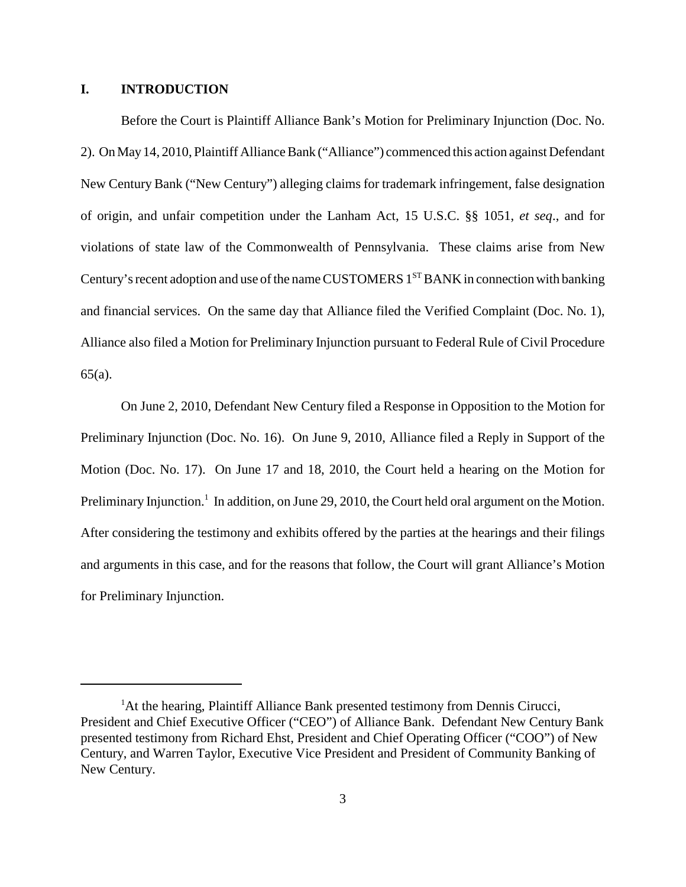# **I. INTRODUCTION**

Before the Court is Plaintiff Alliance Bank's Motion for Preliminary Injunction (Doc. No. 2). On May 14, 2010, Plaintiff Alliance Bank ("Alliance") commenced this action against Defendant New Century Bank ("New Century") alleging claims for trademark infringement, false designation of origin, and unfair competition under the Lanham Act, 15 U.S.C. §§ 1051, *et seq*., and for violations of state law of the Commonwealth of Pennsylvania. These claims arise from New Century's recent adoption and use of the name CUSTOMERS  $1<sup>ST</sup>$  BANK in connection with banking and financial services. On the same day that Alliance filed the Verified Complaint (Doc. No. 1), Alliance also filed a Motion for Preliminary Injunction pursuant to Federal Rule of Civil Procedure 65(a).

On June 2, 2010, Defendant New Century filed a Response in Opposition to the Motion for Preliminary Injunction (Doc. No. 16). On June 9, 2010, Alliance filed a Reply in Support of the Motion (Doc. No. 17). On June 17 and 18, 2010, the Court held a hearing on the Motion for Preliminary Injunction.<sup>1</sup> In addition, on June 29, 2010, the Court held oral argument on the Motion. After considering the testimony and exhibits offered by the parties at the hearings and their filings and arguments in this case, and for the reasons that follow, the Court will grant Alliance's Motion for Preliminary Injunction.

<sup>&</sup>lt;sup>1</sup>At the hearing, Plaintiff Alliance Bank presented testimony from Dennis Cirucci, President and Chief Executive Officer ("CEO") of Alliance Bank. Defendant New Century Bank presented testimony from Richard Ehst, President and Chief Operating Officer ("COO") of New Century, and Warren Taylor, Executive Vice President and President of Community Banking of New Century.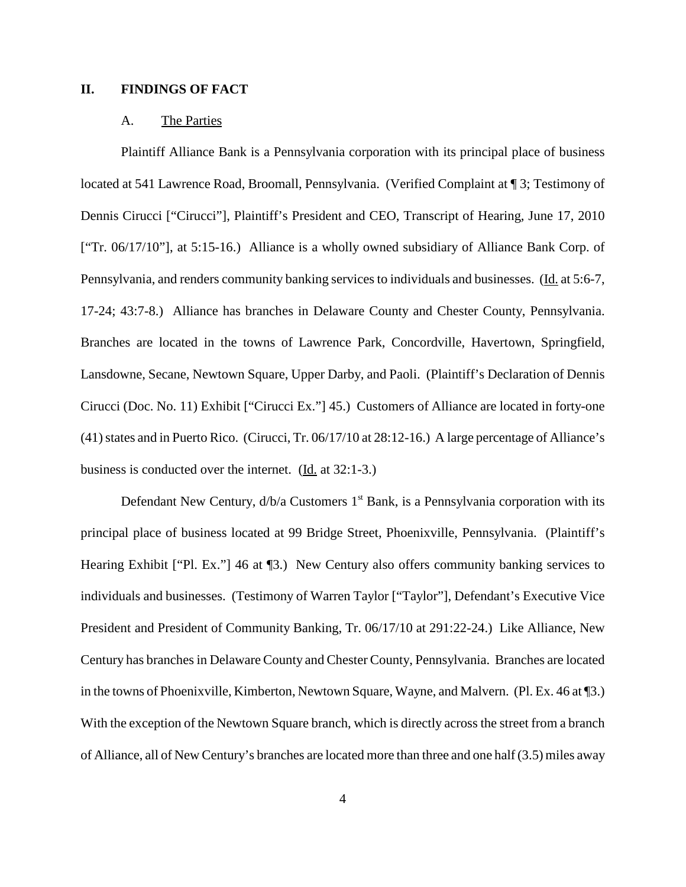# **II. FINDINGS OF FACT**

#### A. The Parties

Plaintiff Alliance Bank is a Pennsylvania corporation with its principal place of business located at 541 Lawrence Road, Broomall, Pennsylvania. (Verified Complaint at ¶ 3; Testimony of Dennis Cirucci ["Cirucci"], Plaintiff's President and CEO, Transcript of Hearing, June 17, 2010 ["Tr. 06/17/10"], at 5:15-16.) Alliance is a wholly owned subsidiary of Alliance Bank Corp. of Pennsylvania, and renders community banking services to individuals and businesses. (Id. at 5:6-7, 17-24; 43:7-8.) Alliance has branches in Delaware County and Chester County, Pennsylvania. Branches are located in the towns of Lawrence Park, Concordville, Havertown, Springfield, Lansdowne, Secane, Newtown Square, Upper Darby, and Paoli. (Plaintiff's Declaration of Dennis Cirucci (Doc. No. 11) Exhibit ["Cirucci Ex."] 45.) Customers of Alliance are located in forty-one  $(41)$  states and in Puerto Rico. (Cirucci, Tr.  $06/17/10$  at  $28:12-16$ .) A large percentage of Alliance's business is conducted over the internet. (Id. at 32:1-3.)

Defendant New Century,  $d/b/a$  Customers  $1<sup>st</sup>$  Bank, is a Pennsylvania corporation with its principal place of business located at 99 Bridge Street, Phoenixville, Pennsylvania. (Plaintiff's Hearing Exhibit ["Pl. Ex."] 46 at ¶3.) New Century also offers community banking services to individuals and businesses. (Testimony of Warren Taylor ["Taylor"], Defendant's Executive Vice President and President of Community Banking, Tr. 06/17/10 at 291:22-24.) Like Alliance, New Century has branches in Delaware County and Chester County, Pennsylvania. Branches are located in the towns of Phoenixville, Kimberton, Newtown Square, Wayne, and Malvern. (Pl. Ex. 46 at ¶3.) With the exception of the Newtown Square branch, which is directly across the street from a branch of Alliance, all of New Century's branches are located more than three and one half (3.5) miles away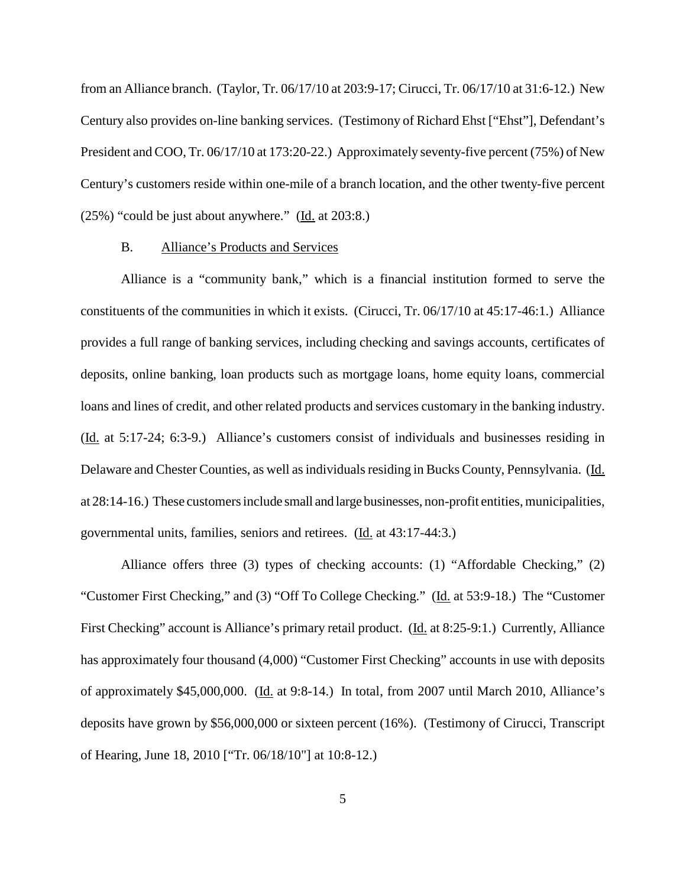from an Alliance branch. (Taylor, Tr. 06/17/10 at 203:9-17; Cirucci, Tr. 06/17/10 at 31:6-12.) New Century also provides on-line banking services. (Testimony of Richard Ehst ["Ehst"], Defendant's President and COO, Tr. 06/17/10 at 173:20-22.) Approximately seventy-five percent (75%) of New Century's customers reside within one-mile of a branch location, and the other twenty-five percent (25%) "could be just about anywhere." (Id. at 203:8.)

#### B. Alliance's Products and Services

Alliance is a "community bank," which is a financial institution formed to serve the constituents of the communities in which it exists. (Cirucci, Tr. 06/17/10 at 45:17-46:1.) Alliance provides a full range of banking services, including checking and savings accounts, certificates of deposits, online banking, loan products such as mortgage loans, home equity loans, commercial loans and lines of credit, and other related products and services customary in the banking industry. (Id. at 5:17-24; 6:3-9.) Alliance's customers consist of individuals and businesses residing in Delaware and Chester Counties, as well asindividualsresiding in Bucks County, Pennsylvania. (Id. at 28:14-16.) These customers include small and large businesses, non-profit entities, municipalities, governmental units, families, seniors and retirees. (Id. at 43:17-44:3.)

Alliance offers three (3) types of checking accounts: (1) "Affordable Checking," (2) "Customer First Checking," and (3) "Off To College Checking." (Id. at 53:9-18.) The "Customer First Checking" account is Alliance's primary retail product. (Id. at 8:25-9:1.) Currently, Alliance has approximately four thousand (4,000) "Customer First Checking" accounts in use with deposits of approximately \$45,000,000. (Id. at 9:8-14.) In total, from 2007 until March 2010, Alliance's deposits have grown by \$56,000,000 or sixteen percent (16%). (Testimony of Cirucci, Transcript of Hearing, June 18, 2010 ["Tr. 06/18/10"] at 10:8-12.)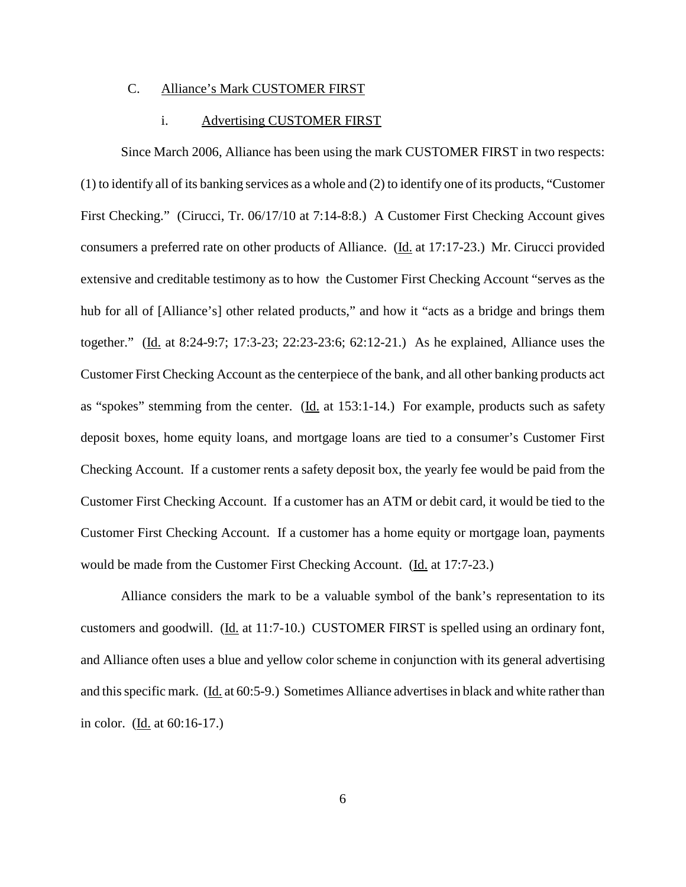# C. Alliance's Mark CUSTOMER FIRST

#### i. Advertising CUSTOMER FIRST

Since March 2006, Alliance has been using the mark CUSTOMER FIRST in two respects: (1) to identify all of its banking services as a whole and (2) to identify one of its products, "Customer First Checking." (Cirucci, Tr. 06/17/10 at 7:14-8:8.) A Customer First Checking Account gives consumers a preferred rate on other products of Alliance. (Id. at 17:17-23.) Mr. Cirucci provided extensive and creditable testimony as to how the Customer First Checking Account "serves as the hub for all of [Alliance's] other related products," and how it "acts as a bridge and brings them together." (Id. at 8:24-9:7; 17:3-23; 22:23-23:6; 62:12-21.) As he explained, Alliance uses the Customer First Checking Account as the centerpiece of the bank, and all other banking products act as "spokes" stemming from the center. (Id. at 153:1-14.) For example, products such as safety deposit boxes, home equity loans, and mortgage loans are tied to a consumer's Customer First Checking Account. If a customer rents a safety deposit box, the yearly fee would be paid from the Customer First Checking Account. If a customer has an ATM or debit card, it would be tied to the Customer First Checking Account. If a customer has a home equity or mortgage loan, payments would be made from the Customer First Checking Account. (Id. at 17:7-23.)

Alliance considers the mark to be a valuable symbol of the bank's representation to its customers and goodwill. (Id. at 11:7-10.) CUSTOMER FIRST is spelled using an ordinary font, and Alliance often uses a blue and yellow color scheme in conjunction with its general advertising and this specific mark. (Id. at 60:5-9.) Sometimes Alliance advertises in black and white rather than in color. (Id. at 60:16-17.)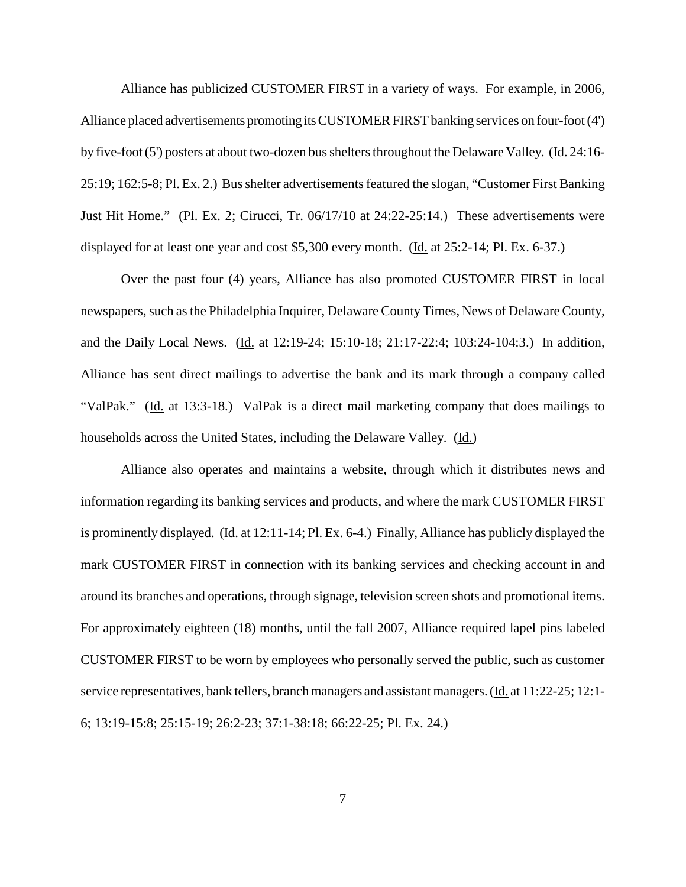Alliance has publicized CUSTOMER FIRST in a variety of ways. For example, in 2006, Alliance placed advertisements promoting its CUSTOMER FIRST banking services on four-foot (4') by five-foot(5') posters at about two-dozen bussheltersthroughout the Delaware Valley. (Id. 24:16- 25:19; 162:5-8; Pl. Ex. 2.) Bus shelter advertisements featured the slogan, "Customer First Banking Just Hit Home." (Pl. Ex. 2; Cirucci, Tr. 06/17/10 at 24:22-25:14.) These advertisements were displayed for at least one year and cost \$5,300 every month. (Id. at 25:2-14; Pl. Ex. 6-37.)

Over the past four (4) years, Alliance has also promoted CUSTOMER FIRST in local newspapers, such as the Philadelphia Inquirer, Delaware County Times, News of Delaware County, and the Daily Local News. (*Id. at 12:19-24; 15:10-18; 21:17-22:4; 103:24-104:3.*) In addition, Alliance has sent direct mailings to advertise the bank and its mark through a company called "ValPak." (Id. at 13:3-18.) ValPak is a direct mail marketing company that does mailings to households across the United States, including the Delaware Valley. (Id.)

Alliance also operates and maintains a website, through which it distributes news and information regarding its banking services and products, and where the mark CUSTOMER FIRST is prominently displayed. (Id. at 12:11-14; Pl. Ex. 6-4.) Finally, Alliance has publicly displayed the mark CUSTOMER FIRST in connection with its banking services and checking account in and around its branches and operations, through signage, television screen shots and promotional items. For approximately eighteen (18) months, until the fall 2007, Alliance required lapel pins labeled CUSTOMER FIRST to be worn by employees who personally served the public, such as customer service representatives, bank tellers, branch managers and assistant managers. (Id. at 11:22-25; 12:1-6; 13:19-15:8; 25:15-19; 26:2-23; 37:1-38:18; 66:22-25; Pl. Ex. 24.)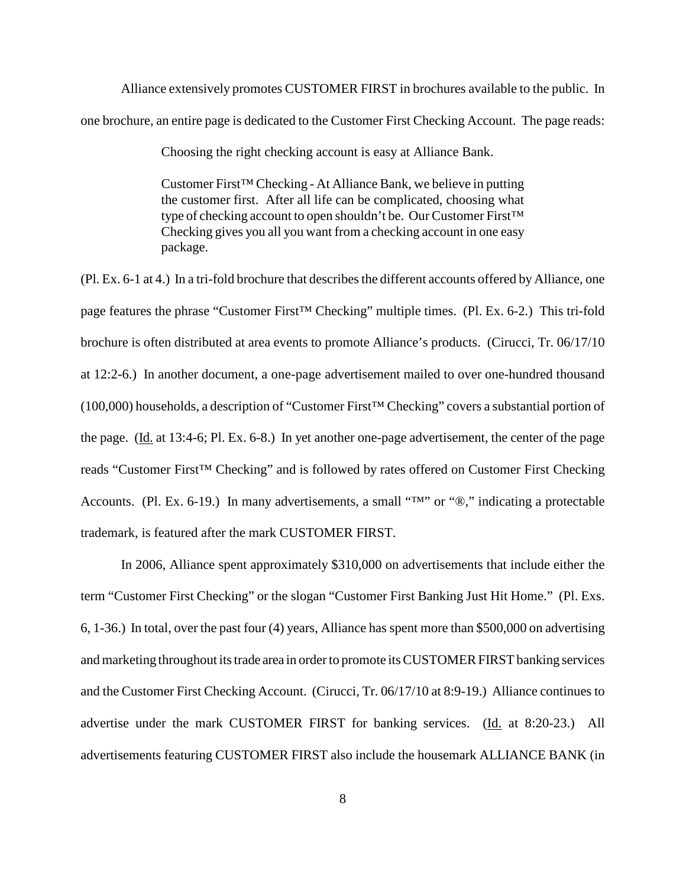Alliance extensively promotes CUSTOMER FIRST in brochures available to the public. In one brochure, an entire page is dedicated to the Customer First Checking Account. The page reads:

Choosing the right checking account is easy at Alliance Bank.

Customer First™ Checking - At Alliance Bank, we believe in putting the customer first. After all life can be complicated, choosing what type of checking account to open shouldn't be. Our Customer First™ Checking gives you all you want from a checking account in one easy package.

 $(Pl. Ex. 6-1 at 4.)$  In a tri-fold brochure that describes the different accounts offered by Alliance, one page features the phrase "Customer First™ Checking" multiple times. (Pl. Ex. 6-2.) This tri-fold brochure is often distributed at area events to promote Alliance's products. (Cirucci, Tr. 06/17/10 at 12:2-6.) In another document, a one-page advertisement mailed to over one-hundred thousand (100,000) households, a description of "Customer First™ Checking" covers a substantial portion of the page. (Id. at 13:4-6; Pl. Ex. 6-8.) In yet another one-page advertisement, the center of the page reads "Customer First™ Checking" and is followed by rates offered on Customer First Checking Accounts. (Pl. Ex. 6-19.) In many advertisements, a small "™" or "®," indicating a protectable trademark, is featured after the mark CUSTOMER FIRST.

In 2006, Alliance spent approximately \$310,000 on advertisements that include either the term "Customer First Checking" or the slogan "Customer First Banking Just Hit Home." (Pl. Exs. 6, 1-36.) In total, over the past four (4) years, Alliance has spent more than \$500,000 on advertising and marketing throughout its trade area in order to promote its CUSTOMER FIRST banking services and the Customer First Checking Account. (Cirucci, Tr. 06/17/10 at 8:9-19.) Alliance continues to advertise under the mark CUSTOMER FIRST for banking services. (Id. at 8:20-23.) All advertisements featuring CUSTOMER FIRST also include the housemark ALLIANCE BANK (in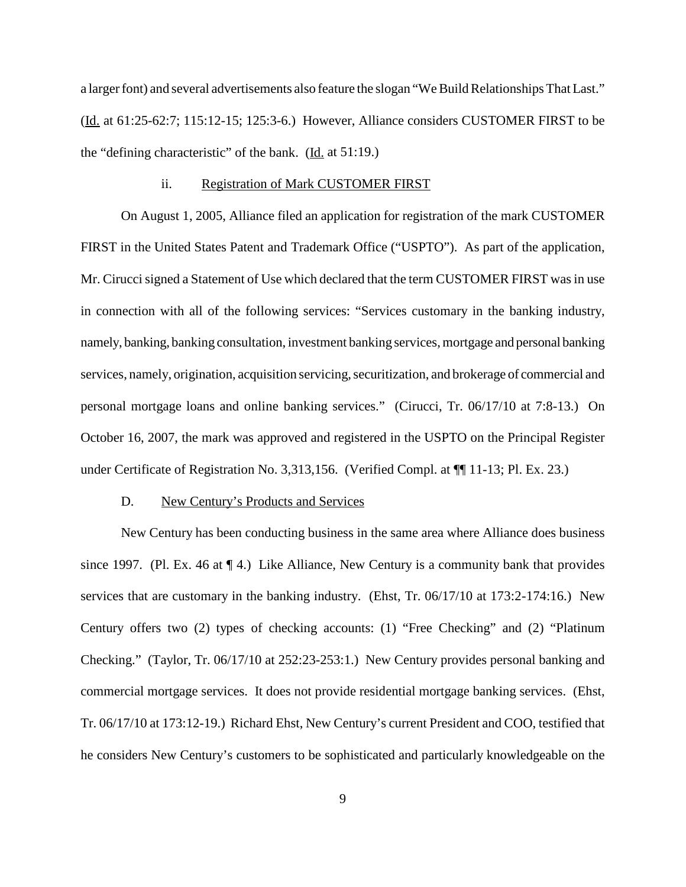a larger font) and several advertisements also feature the slogan "We Build Relationships That Last." (Id. at 61:25-62:7; 115:12-15; 125:3-6.) However, Alliance considers CUSTOMER FIRST to be the "defining characteristic" of the bank.  $(\underline{Id}$  at 51:19.)

#### ii. Registration of Mark CUSTOMER FIRST

On August 1, 2005, Alliance filed an application for registration of the mark CUSTOMER FIRST in the United States Patent and Trademark Office ("USPTO"). As part of the application, Mr. Cirucci signed a Statement of Use which declared that the term CUSTOMER FIRST was in use in connection with all of the following services: "Services customary in the banking industry, namely, banking, banking consultation, investment banking services, mortgage and personal banking services, namely, origination, acquisition servicing, securitization, and brokerage of commercial and personal mortgage loans and online banking services." (Cirucci, Tr. 06/17/10 at 7:8-13.) On October 16, 2007, the mark was approved and registered in the USPTO on the Principal Register under Certificate of Registration No. 3,313,156. (Verified Compl. at  $\P$ [11-13; Pl. Ex. 23.)

#### D. New Century's Products and Services

New Century has been conducting business in the same area where Alliance does business since 1997. (Pl. Ex. 46 at  $\P$  4.) Like Alliance, New Century is a community bank that provides services that are customary in the banking industry. (Ehst, Tr. 06/17/10 at 173:2-174:16.) New Century offers two (2) types of checking accounts: (1) "Free Checking" and (2) "Platinum Checking." (Taylor, Tr. 06/17/10 at 252:23-253:1.) New Century provides personal banking and commercial mortgage services. It does not provide residential mortgage banking services. (Ehst, Tr. 06/17/10 at 173:12-19.) Richard Ehst, New Century's current President and COO, testified that he considers New Century's customers to be sophisticated and particularly knowledgeable on the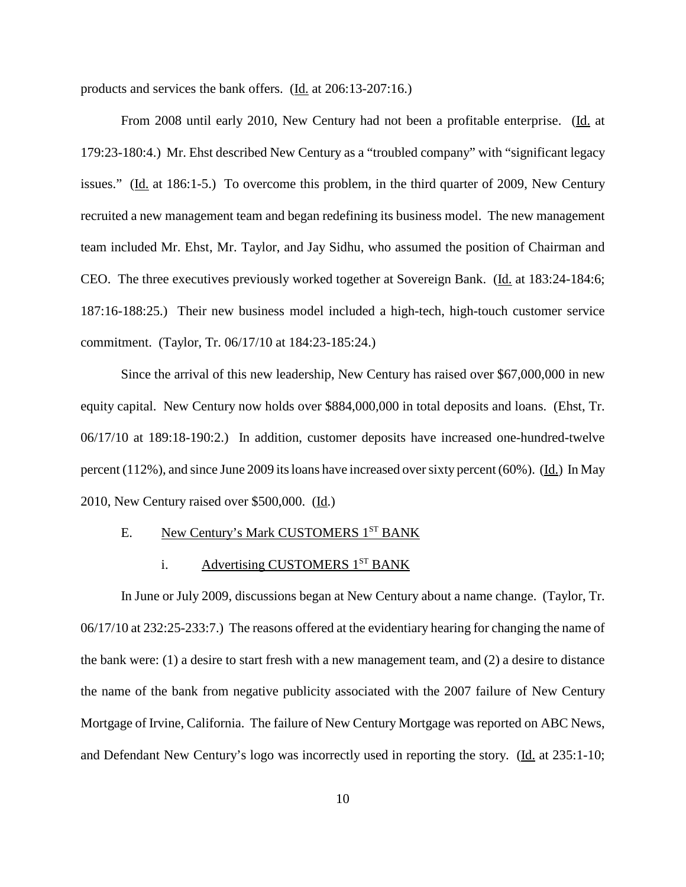products and services the bank offers. (Id. at 206:13-207:16.)

From 2008 until early 2010, New Century had not been a profitable enterprise. (Id. at 179:23-180:4.) Mr. Ehst described New Century as a "troubled company" with "significant legacy issues." (Id. at 186:1-5.) To overcome this problem, in the third quarter of 2009, New Century recruited a new management team and began redefining its business model. The new management team included Mr. Ehst, Mr. Taylor, and Jay Sidhu, who assumed the position of Chairman and CEO. The three executives previously worked together at Sovereign Bank. (Id. at 183:24-184:6; 187:16-188:25.) Their new business model included a high-tech, high-touch customer service commitment. (Taylor, Tr. 06/17/10 at 184:23-185:24.)

Since the arrival of this new leadership, New Century has raised over \$67,000,000 in new equity capital. New Century now holds over \$884,000,000 in total deposits and loans. (Ehst, Tr. 06/17/10 at 189:18-190:2.) In addition, customer deposits have increased one-hundred-twelve percent (112%), and since June 2009 itsloans have increased oversixty percent (60%). (Id.) In May 2010, New Century raised over \$500,000. (Id.)

# E. New Century's Mark CUSTOMERS 1<sup>ST</sup> BANK

### i. Advertising CUSTOMERS  $1<sup>ST</sup>$  BANK

In June or July 2009, discussions began at New Century about a name change. (Taylor, Tr. 06/17/10 at 232:25-233:7.) The reasons offered at the evidentiary hearing for changing the name of the bank were: (1) a desire to start fresh with a new management team, and (2) a desire to distance the name of the bank from negative publicity associated with the 2007 failure of New Century Mortgage of Irvine, California. The failure of New Century Mortgage was reported on ABC News, and Defendant New Century's logo was incorrectly used in reporting the story. (Id. at 235:1-10;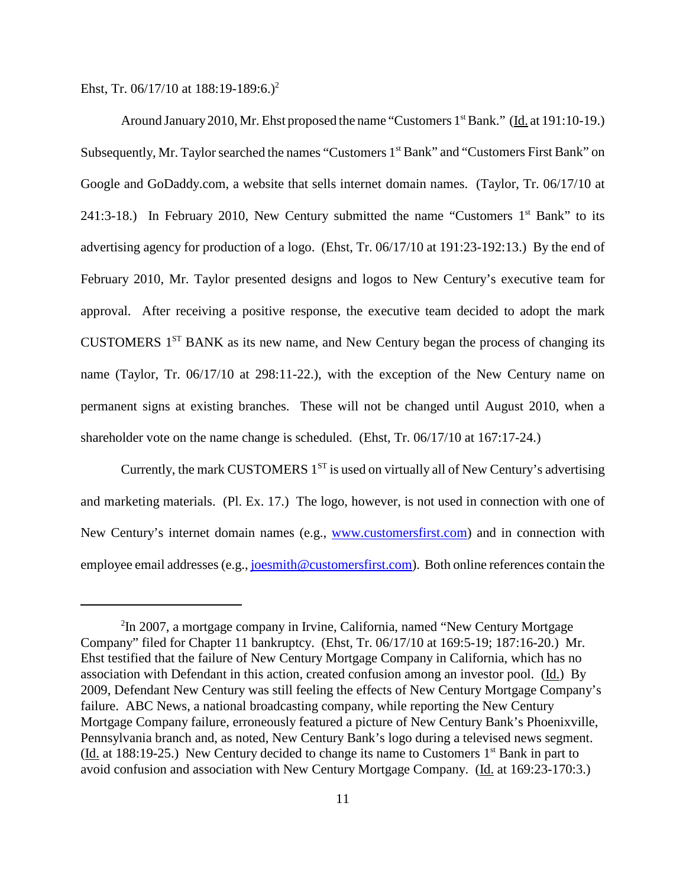Ehst, Tr. 06/17/10 at 188:19-189:6.)<sup>2</sup>

Around January 2010, Mr. Ehst proposed the name "Customers 1<sup>st</sup> Bank." (Id. at 191:10-19.) Subsequently, Mr. Taylor searched the names "Customers 1<sup>st</sup> Bank" and "Customers First Bank" on Google and GoDaddy.com, a website that sells internet domain names. (Taylor, Tr. 06/17/10 at 241:3-18.) In February 2010, New Century submitted the name "Customers  $1<sup>st</sup>$  Bank" to its advertising agency for production of a logo. (Ehst, Tr. 06/17/10 at 191:23-192:13.) By the end of February 2010, Mr. Taylor presented designs and logos to New Century's executive team for approval. After receiving a positive response, the executive team decided to adopt the mark CUSTOMERS  $1<sup>ST</sup>$  BANK as its new name, and New Century began the process of changing its name (Taylor, Tr. 06/17/10 at 298:11-22.), with the exception of the New Century name on permanent signs at existing branches. These will not be changed until August 2010, when a shareholder vote on the name change is scheduled. (Ehst, Tr. 06/17/10 at 167:17-24.)

Currently, the mark CUSTOMERS  $1^{ST}$  is used on virtually all of New Century's advertising and marketing materials. (Pl. Ex. 17.) The logo, however, is not used in connection with one of New Century's internet domain names (e.g., www.customersfirst.com) and in connection with employee email addresses (e.g., joesmith@customersfirst.com). Both online references contain the

<sup>&</sup>lt;sup>2</sup>In 2007, a mortgage company in Irvine, California, named "New Century Mortgage Company" filed for Chapter 11 bankruptcy. (Ehst, Tr. 06/17/10 at 169:5-19; 187:16-20.) Mr. Ehst testified that the failure of New Century Mortgage Company in California, which has no association with Defendant in this action, created confusion among an investor pool. (Id.) By 2009, Defendant New Century was still feeling the effects of New Century Mortgage Company's failure. ABC News, a national broadcasting company, while reporting the New Century Mortgage Company failure, erroneously featured a picture of New Century Bank's Phoenixville, Pennsylvania branch and, as noted, New Century Bank's logo during a televised news segment. (Id. at 188:19-25.) New Century decided to change its name to Customers  $1<sup>st</sup>$  Bank in part to avoid confusion and association with New Century Mortgage Company. (Id. at 169:23-170:3.)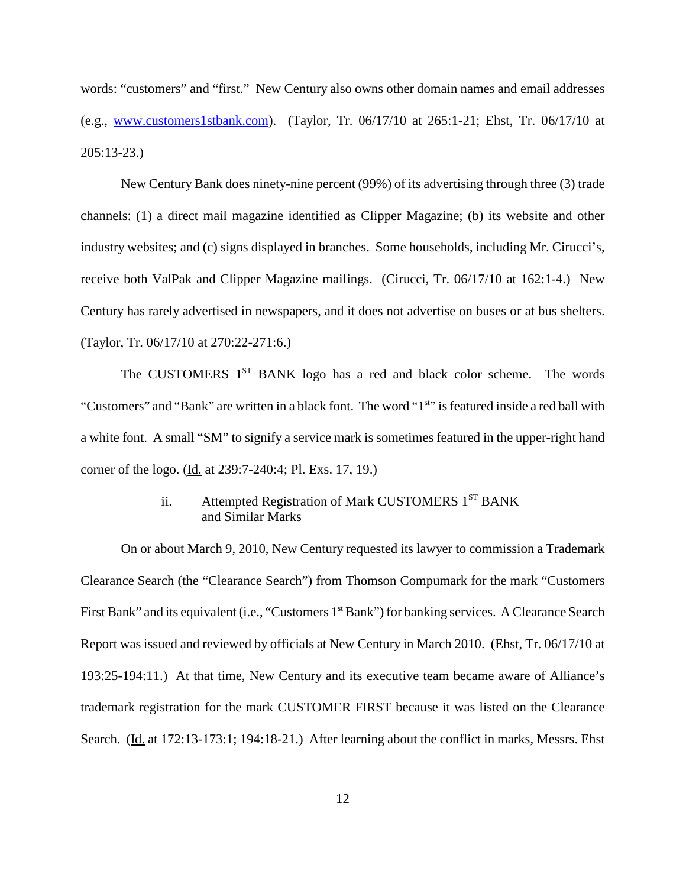words: "customers" and "first." New Century also owns other domain names and email addresses (e.g., www.customers1stbank.com). (Taylor, Tr. 06/17/10 at 265:1-21; Ehst, Tr. 06/17/10 at 205:13-23.)

New Century Bank does ninety-nine percent (99%) of its advertising through three (3) trade channels: (1) a direct mail magazine identified as Clipper Magazine; (b) its website and other industry websites; and (c) signs displayed in branches. Some households, including Mr. Cirucci's, receive both ValPak and Clipper Magazine mailings. (Cirucci, Tr. 06/17/10 at 162:1-4.) New Century has rarely advertised in newspapers, and it does not advertise on buses or at bus shelters. (Taylor, Tr. 06/17/10 at 270:22-271:6.)

The CUSTOMERS 1<sup>ST</sup> BANK logo has a red and black color scheme. The words "Customers" and "Bank" are written in a black font. The word "1<sup>st</sup>" is featured inside a red ball with a white font. A small "SM" to signify a service mark is sometimes featured in the upper-right hand corner of the logo. (Id. at 239:7-240:4; Pl. Exs. 17, 19.)

# ii. Attempted Registration of Mark CUSTOMERS 1<sup>ST</sup> BANK and Similar Marks

On or about March 9, 2010, New Century requested its lawyer to commission a Trademark Clearance Search (the "Clearance Search") from Thomson Compumark for the mark "Customers First Bank" and its equivalent (i.e., "Customers 1<sup>st</sup> Bank") for banking services. A Clearance Search Report was issued and reviewed by officials at New Century in March 2010. (Ehst, Tr. 06/17/10 at 193:25-194:11.) At that time, New Century and its executive team became aware of Alliance's trademark registration for the mark CUSTOMER FIRST because it was listed on the Clearance Search. (Id. at 172:13-173:1; 194:18-21.) After learning about the conflict in marks, Messrs. Ehst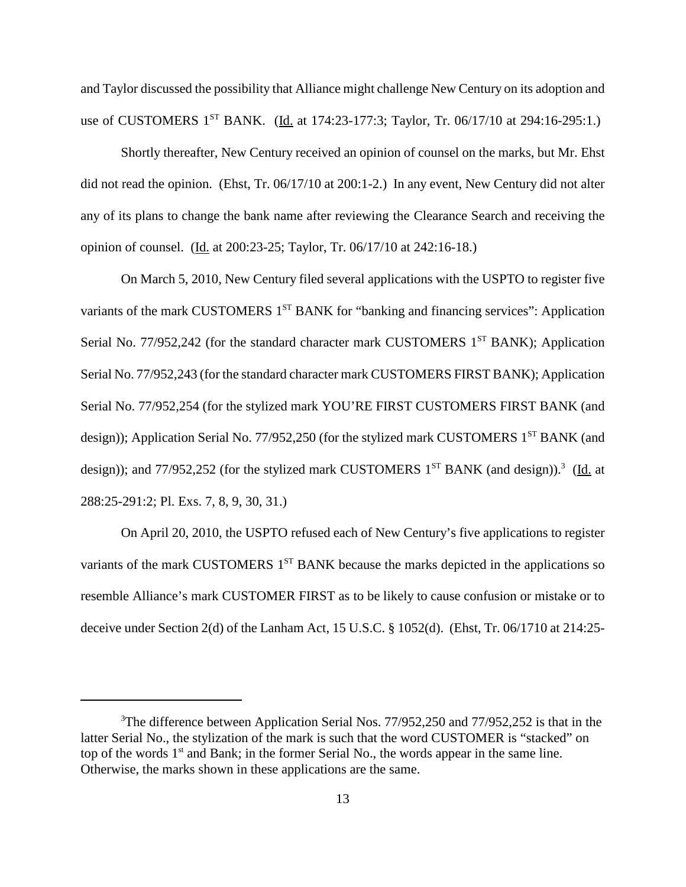and Taylor discussed the possibility that Alliance might challenge New Century on its adoption and use of CUSTOMERS 1<sup>st</sup> BANK. (Id. at 174:23-177:3; Taylor, Tr. 06/17/10 at 294:16-295:1.)

Shortly thereafter, New Century received an opinion of counsel on the marks, but Mr. Ehst did not read the opinion. (Ehst, Tr. 06/17/10 at 200:1-2.) In any event, New Century did not alter any of its plans to change the bank name after reviewing the Clearance Search and receiving the opinion of counsel. (Id. at 200:23-25; Taylor, Tr. 06/17/10 at 242:16-18.)

On March 5, 2010, New Century filed several applications with the USPTO to register five variants of the mark CUSTOMERS 1<sup>ST</sup> BANK for "banking and financing services": Application Serial No. 77/952,242 (for the standard character mark CUSTOMERS  $1<sup>ST</sup>$  BANK); Application Serial No. 77/952,243 (for the standard character mark CUSTOMERS FIRST BANK); Application Serial No. 77/952,254 (for the stylized mark YOU'RE FIRST CUSTOMERS FIRST BANK (and design)); Application Serial No. 77/952,250 (for the stylized mark CUSTOMERS  $1^{ST}$  BANK (and design)); and 77/952,252 (for the stylized mark CUSTOMERS 1<sup>ST</sup> BANK (and design)).<sup>3</sup> (Id. at 288:25-291:2; Pl. Exs. 7, 8, 9, 30, 31.)

On April 20, 2010, the USPTO refused each of New Century's five applications to register variants of the mark CUSTOMERS  $1<sup>ST</sup>$  BANK because the marks depicted in the applications so resemble Alliance's mark CUSTOMER FIRST as to be likely to cause confusion or mistake or to deceive under Section 2(d) of the Lanham Act, 15 U.S.C. § 1052(d). (Ehst, Tr. 06/1710 at 214:25-

<sup>&</sup>lt;sup>3</sup>The difference between Application Serial Nos. 77/952,250 and 77/952,252 is that in the latter Serial No., the stylization of the mark is such that the word CUSTOMER is "stacked" on top of the words  $1<sup>st</sup>$  and Bank; in the former Serial No., the words appear in the same line. Otherwise, the marks shown in these applications are the same.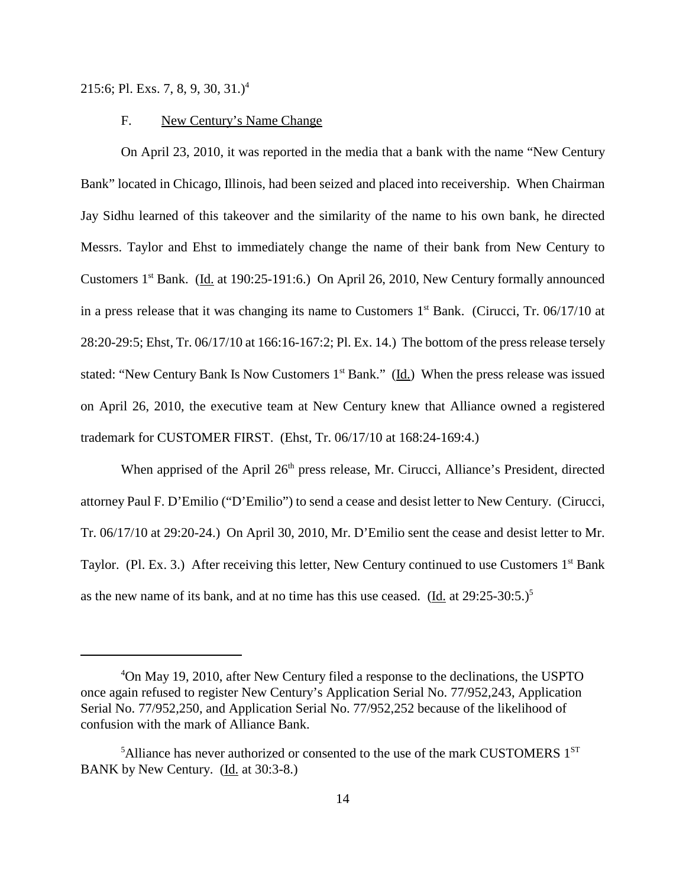215:6; Pl. Exs. 7, 8, 9, 30, 31.) 4

# F. New Century's Name Change

On April 23, 2010, it was reported in the media that a bank with the name "New Century Bank" located in Chicago, Illinois, had been seized and placed into receivership. When Chairman Jay Sidhu learned of this takeover and the similarity of the name to his own bank, he directed Messrs. Taylor and Ehst to immediately change the name of their bank from New Century to Customers 1st Bank. (Id. at 190:25-191:6.) On April 26, 2010, New Century formally announced in a press release that it was changing its name to Customers  $1<sup>st</sup>$  Bank. (Cirucci, Tr. 06/17/10 at 28:20-29:5; Ehst, Tr. 06/17/10 at 166:16-167:2; Pl. Ex. 14.) The bottom of the press release tersely stated: "New Century Bank Is Now Customers  $1<sup>st</sup>$  Bank." (Id.) When the press release was issued on April 26, 2010, the executive team at New Century knew that Alliance owned a registered trademark for CUSTOMER FIRST. (Ehst, Tr. 06/17/10 at 168:24-169:4.)

When apprised of the April 26<sup>th</sup> press release, Mr. Cirucci, Alliance's President, directed attorney Paul F. D'Emilio ("D'Emilio") to send a cease and desist letter to New Century. (Cirucci, Tr. 06/17/10 at 29:20-24.) On April 30, 2010, Mr. D'Emilio sent the cease and desist letter to Mr. Taylor. (Pl. Ex. 3.) After receiving this letter, New Century continued to use Customers  $1<sup>st</sup>$  Bank as the new name of its bank, and at no time has this use ceased.  $(\underline{Id}$  at 29:25-30:5.)<sup>5</sup>

<sup>4</sup> On May 19, 2010, after New Century filed a response to the declinations, the USPTO once again refused to register New Century's Application Serial No. 77/952,243, Application Serial No. 77/952,250, and Application Serial No. 77/952,252 because of the likelihood of confusion with the mark of Alliance Bank.

<sup>&</sup>lt;sup>5</sup>Alliance has never authorized or consented to the use of the mark CUSTOMERS  $1^{ST}$ BANK by New Century. (Id. at 30:3-8.)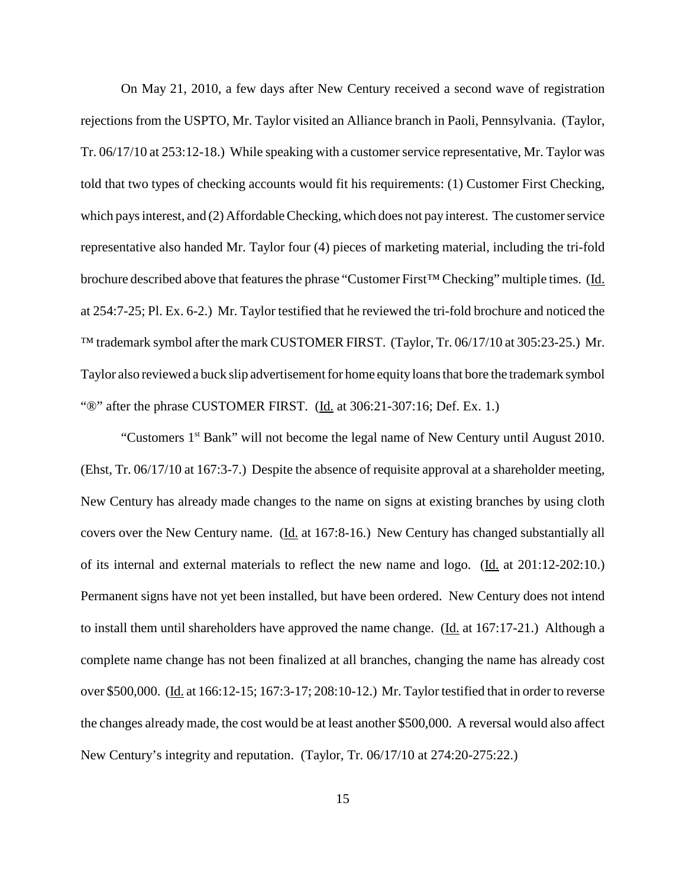On May 21, 2010, a few days after New Century received a second wave of registration rejections from the USPTO, Mr. Taylor visited an Alliance branch in Paoli, Pennsylvania. (Taylor, Tr. 06/17/10 at 253:12-18.) While speaking with a customer service representative, Mr. Taylor was told that two types of checking accounts would fit his requirements: (1) Customer First Checking, which pays interest, and (2) Affordable Checking, which does not pay interest. The customer service representative also handed Mr. Taylor four (4) pieces of marketing material, including the tri-fold brochure described above that features the phrase "Customer First<sup>™</sup> Checking" multiple times. (Id. at 254:7-25; Pl. Ex. 6-2.) Mr. Taylor testified that he reviewed the tri-fold brochure and noticed the <sup>TM</sup> trademark symbol after the mark CUSTOMER FIRST. (Taylor, Tr. 06/17/10 at 305:23-25.) Mr. Taylor also reviewed a buck slip advertisement for home equity loans that bore the trademark symbol "<sup>®</sup>" after the phrase CUSTOMER FIRST. (Id. at 306:21-307:16; Def. Ex. 1.)

"Customers 1<sup>st</sup> Bank" will not become the legal name of New Century until August 2010. (Ehst, Tr. 06/17/10 at 167:3-7.) Despite the absence of requisite approval at a shareholder meeting, New Century has already made changes to the name on signs at existing branches by using cloth covers over the New Century name. (Id. at 167:8-16.) New Century has changed substantially all of its internal and external materials to reflect the new name and logo. (Id. at 201:12-202:10.) Permanent signs have not yet been installed, but have been ordered. New Century does not intend to install them until shareholders have approved the name change. (Id. at 167:17-21.) Although a complete name change has not been finalized at all branches, changing the name has already cost over \$500,000. (Id. at 166:12-15; 167:3-17; 208:10-12.) Mr. Taylor testified that in order to reverse the changes already made, the cost would be at least another \$500,000. A reversal would also affect New Century's integrity and reputation. (Taylor, Tr. 06/17/10 at 274:20-275:22.)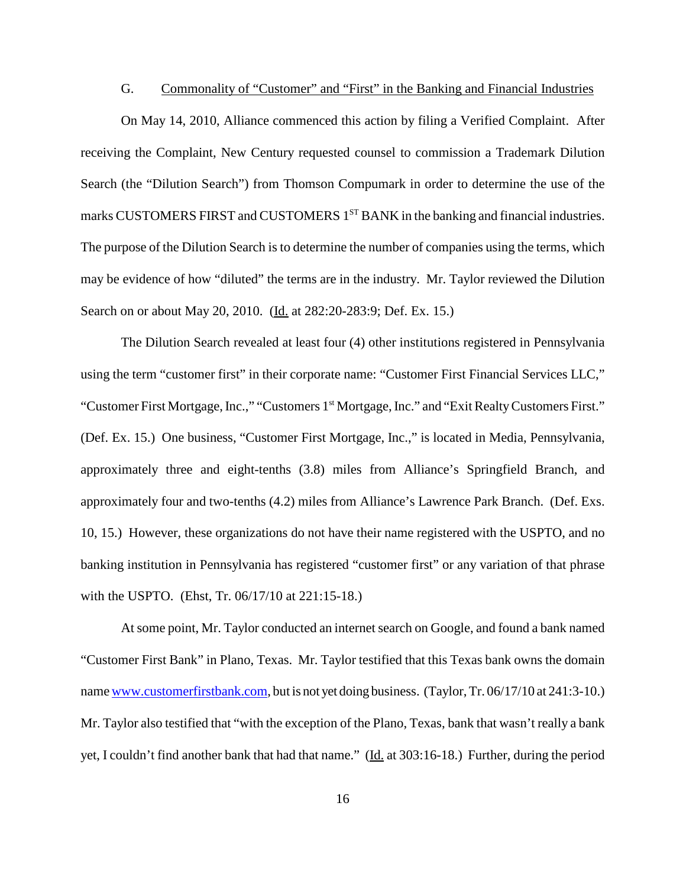#### G. Commonality of "Customer" and "First" in the Banking and Financial Industries

On May 14, 2010, Alliance commenced this action by filing a Verified Complaint. After receiving the Complaint, New Century requested counsel to commission a Trademark Dilution Search (the "Dilution Search") from Thomson Compumark in order to determine the use of the marks CUSTOMERS FIRST and CUSTOMERS 1<sup>ST</sup> BANK in the banking and financial industries. The purpose of the Dilution Search is to determine the number of companies using the terms, which may be evidence of how "diluted" the terms are in the industry. Mr. Taylor reviewed the Dilution Search on or about May 20, 2010. (Id. at 282:20-283:9; Def. Ex. 15.)

The Dilution Search revealed at least four (4) other institutions registered in Pennsylvania using the term "customer first" in their corporate name: "Customer First Financial Services LLC," "Customer First Mortgage, Inc.," "Customers 1st Mortgage, Inc." and "Exit Realty Customers First." (Def. Ex. 15.) One business, "Customer First Mortgage, Inc.," is located in Media, Pennsylvania, approximately three and eight-tenths (3.8) miles from Alliance's Springfield Branch, and approximately four and two-tenths (4.2) miles from Alliance's Lawrence Park Branch. (Def. Exs. 10, 15.) However, these organizations do not have their name registered with the USPTO, and no banking institution in Pennsylvania has registered "customer first" or any variation of that phrase with the USPTO. (Ehst, Tr. 06/17/10 at 221:15-18.)

At some point, Mr. Taylor conducted an internet search on Google, and found a bank named "Customer First Bank" in Plano, Texas. Mr. Taylor testified that this Texas bank owns the domain name www.customerfirstbank.com, but is not yet doing business. (Taylor,Tr. 06/17/10 at 241:3-10.) Mr. Taylor also testified that "with the exception of the Plano, Texas, bank that wasn't really a bank yet, I couldn't find another bank that had that name." (Id. at 303:16-18.) Further, during the period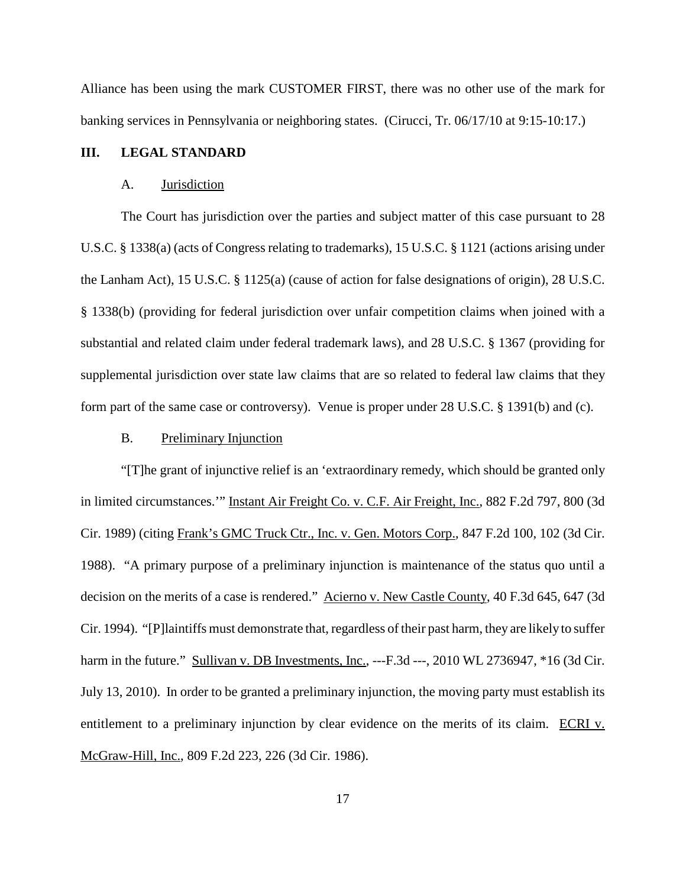Alliance has been using the mark CUSTOMER FIRST, there was no other use of the mark for banking services in Pennsylvania or neighboring states. (Cirucci, Tr. 06/17/10 at 9:15-10:17.)

#### **III. LEGAL STANDARD**

#### A. Jurisdiction

The Court has jurisdiction over the parties and subject matter of this case pursuant to 28 U.S.C. § 1338(a) (acts of Congress relating to trademarks), 15 U.S.C. § 1121 (actions arising under the Lanham Act), 15 U.S.C. § 1125(a) (cause of action for false designations of origin), 28 U.S.C. § 1338(b) (providing for federal jurisdiction over unfair competition claims when joined with a substantial and related claim under federal trademark laws), and 28 U.S.C. § 1367 (providing for supplemental jurisdiction over state law claims that are so related to federal law claims that they form part of the same case or controversy). Venue is proper under 28 U.S.C. § 1391(b) and (c).

#### B. Preliminary Injunction

"[T]he grant of injunctive relief is an 'extraordinary remedy, which should be granted only in limited circumstances.'" Instant Air Freight Co. v. C.F. Air Freight, Inc., 882 F.2d 797, 800 (3d Cir. 1989) (citing Frank's GMC Truck Ctr., Inc. v. Gen. Motors Corp., 847 F.2d 100, 102 (3d Cir. 1988). "A primary purpose of a preliminary injunction is maintenance of the status quo until a decision on the merits of a case is rendered." Acierno v. New Castle County, 40 F.3d 645, 647 (3d Cir. 1994). "[P]laintiffs must demonstrate that, regardless of their past harm, they are likely to suffer harm in the future." Sullivan v. DB Investments, Inc., ---F.3d ---, 2010 WL 2736947, \*16 (3d Cir. July 13, 2010). In order to be granted a preliminary injunction, the moving party must establish its entitlement to a preliminary injunction by clear evidence on the merits of its claim. ECRI v. McGraw-Hill, Inc., 809 F.2d 223, 226 (3d Cir. 1986).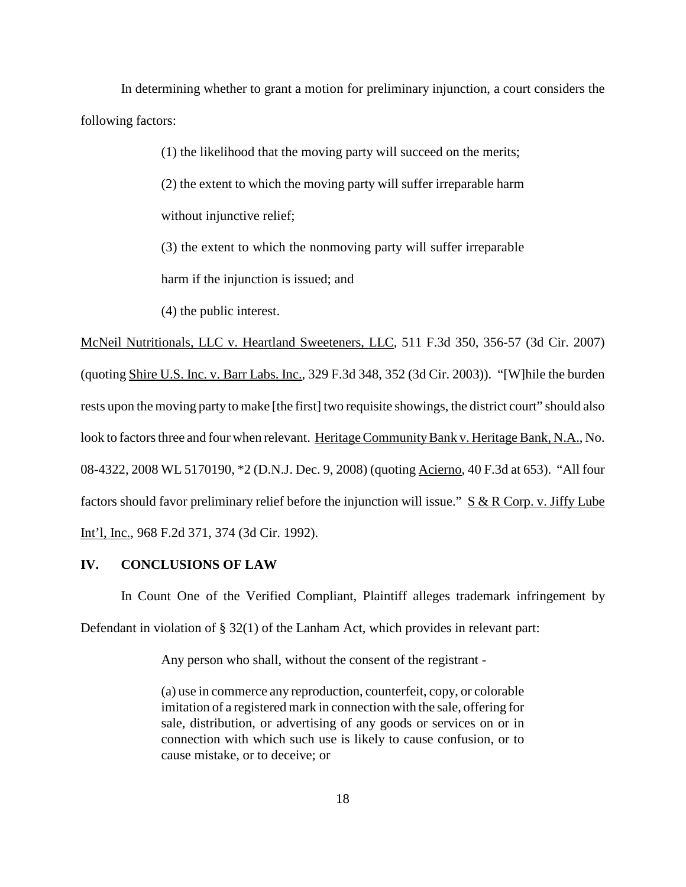In determining whether to grant a motion for preliminary injunction, a court considers the following factors:

(1) the likelihood that the moving party will succeed on the merits;

(2) the extent to which the moving party will suffer irreparable harm without injunctive relief;

(3) the extent to which the nonmoving party will suffer irreparable

harm if the injunction is issued; and

(4) the public interest.

McNeil Nutritionals, LLC v. Heartland Sweeteners, LLC, 511 F.3d 350, 356-57 (3d Cir. 2007) (quoting Shire U.S. Inc. v. Barr Labs. Inc., 329 F.3d 348, 352 (3d Cir. 2003)). "[W]hile the burden rests upon the moving party to make [the first] two requisite showings, the district court" should also look to factors three and four when relevant. Heritage Community Bank v. Heritage Bank, N.A., No. 08-4322, 2008 WL 5170190, \*2 (D.N.J. Dec. 9, 2008) (quoting Acierno, 40 F.3d at 653). "All four factors should favor preliminary relief before the injunction will issue."  $S & R$  Corp. v. Jiffy Lube Int'l, Inc., 968 F.2d 371, 374 (3d Cir. 1992).

#### **IV. CONCLUSIONS OF LAW**

In Count One of the Verified Compliant, Plaintiff alleges trademark infringement by Defendant in violation of § 32(1) of the Lanham Act, which provides in relevant part:

Any person who shall, without the consent of the registrant -

(a) use in commerce any reproduction, counterfeit, copy, or colorable imitation of a registered mark in connection with the sale, offering for sale, distribution, or advertising of any goods or services on or in connection with which such use is likely to cause confusion, or to cause mistake, or to deceive; or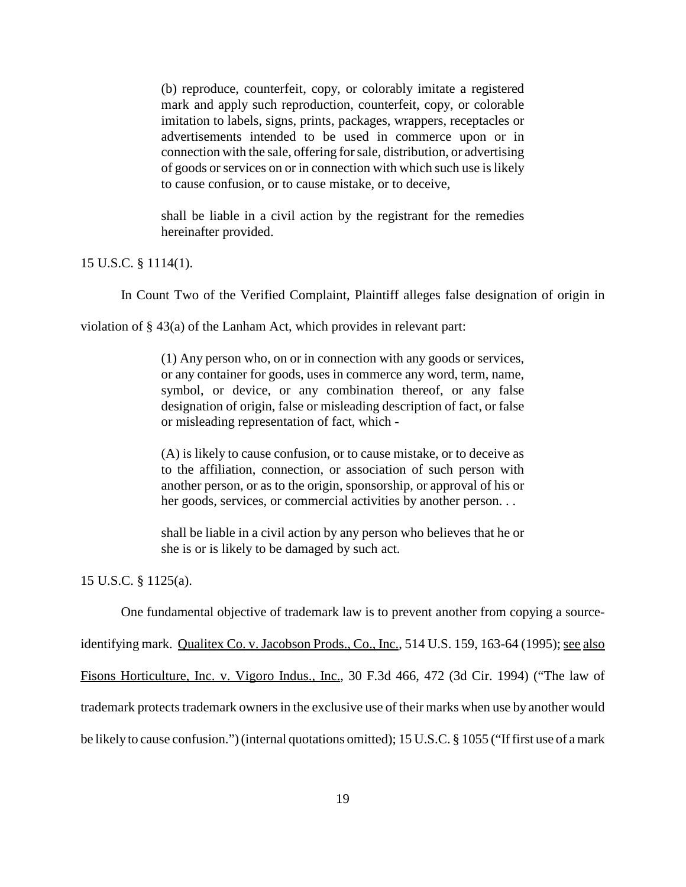(b) reproduce, counterfeit, copy, or colorably imitate a registered mark and apply such reproduction, counterfeit, copy, or colorable imitation to labels, signs, prints, packages, wrappers, receptacles or advertisements intended to be used in commerce upon or in connection with the sale, offering forsale, distribution, or advertising of goods or services on or in connection with which such use is likely to cause confusion, or to cause mistake, or to deceive,

shall be liable in a civil action by the registrant for the remedies hereinafter provided.

## 15 U.S.C. § 1114(1).

In Count Two of the Verified Complaint, Plaintiff alleges false designation of origin in

violation of § 43(a) of the Lanham Act, which provides in relevant part:

(1) Any person who, on or in connection with any goods or services, or any container for goods, uses in commerce any word, term, name, symbol, or device, or any combination thereof, or any false designation of origin, false or misleading description of fact, or false or misleading representation of fact, which -

(A) is likely to cause confusion, or to cause mistake, or to deceive as to the affiliation, connection, or association of such person with another person, or as to the origin, sponsorship, or approval of his or her goods, services, or commercial activities by another person. . .

shall be liable in a civil action by any person who believes that he or she is or is likely to be damaged by such act.

15 U.S.C. § 1125(a).

One fundamental objective of trademark law is to prevent another from copying a source-

identifying mark. Qualitex Co. v. Jacobson Prods., Co., Inc., 514 U.S. 159, 163-64 (1995); see also

Fisons Horticulture, Inc. v. Vigoro Indus., Inc., 30 F.3d 466, 472 (3d Cir. 1994) ("The law of

trademark protects trademark owners in the exclusive use of their marks when use by another would

be likely to cause confusion.") (internal quotations omitted); 15 U.S.C. § 1055 ("If first use of a mark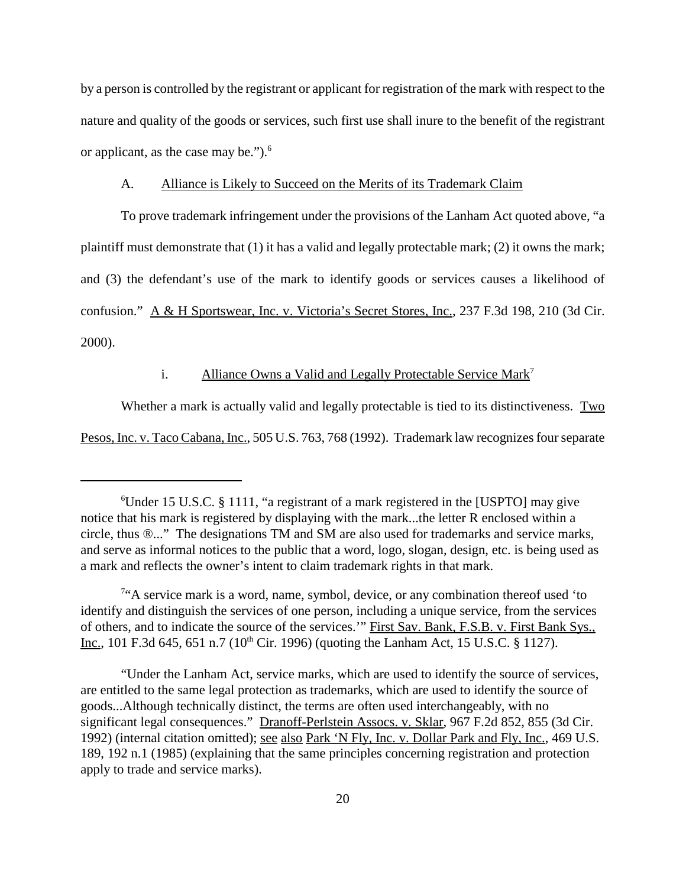by a person is controlled by the registrant or applicant for registration of the mark with respect to the nature and quality of the goods or services, such first use shall inure to the benefit of the registrant or applicant, as the case may be."). 6

#### A. Alliance is Likely to Succeed on the Merits of its Trademark Claim

To prove trademark infringement under the provisions of the Lanham Act quoted above, "a plaintiff must demonstrate that (1) it has a valid and legally protectable mark; (2) it owns the mark; and (3) the defendant's use of the mark to identify goods or services causes a likelihood of confusion." A & H Sportswear, Inc. v. Victoria's Secret Stores, Inc., 237 F.3d 198, 210 (3d Cir. 2000).

# i. Alliance Owns a Valid and Legally Protectable Service Mark<sup>7</sup>

Whether a mark is actually valid and legally protectable is tied to its distinctiveness. Two

Pesos, Inc. v. Taco Cabana, Inc., 505 U.S. 763, 768 (1992). Trademark law recognizes four separate

<sup>&</sup>lt;sup>6</sup>Under 15 U.S.C. § 1111, "a registrant of a mark registered in the [USPTO] may give notice that his mark is registered by displaying with the mark...the letter R enclosed within a circle, thus ®..." The designations TM and SM are also used for trademarks and service marks, and serve as informal notices to the public that a word, logo, slogan, design, etc. is being used as a mark and reflects the owner's intent to claim trademark rights in that mark.

<sup>&</sup>lt;sup>7</sup>"A service mark is a word, name, symbol, device, or any combination thereof used 'to identify and distinguish the services of one person, including a unique service, from the services of others, and to indicate the source of the services.'" First Sav. Bank, F.S.B. v. First Bank Sys., Inc., 101 F.3d 645, 651 n.7 (10<sup>th</sup> Cir. 1996) (quoting the Lanham Act, 15 U.S.C. § 1127).

<sup>&</sup>quot;Under the Lanham Act, service marks, which are used to identify the source of services, are entitled to the same legal protection as trademarks, which are used to identify the source of goods...Although technically distinct, the terms are often used interchangeably, with no significant legal consequences." Dranoff-Perlstein Assocs. v. Sklar, 967 F.2d 852, 855 (3d Cir. 1992) (internal citation omitted); see also Park 'N Fly, Inc. v. Dollar Park and Fly, Inc., 469 U.S. 189, 192 n.1 (1985) (explaining that the same principles concerning registration and protection apply to trade and service marks).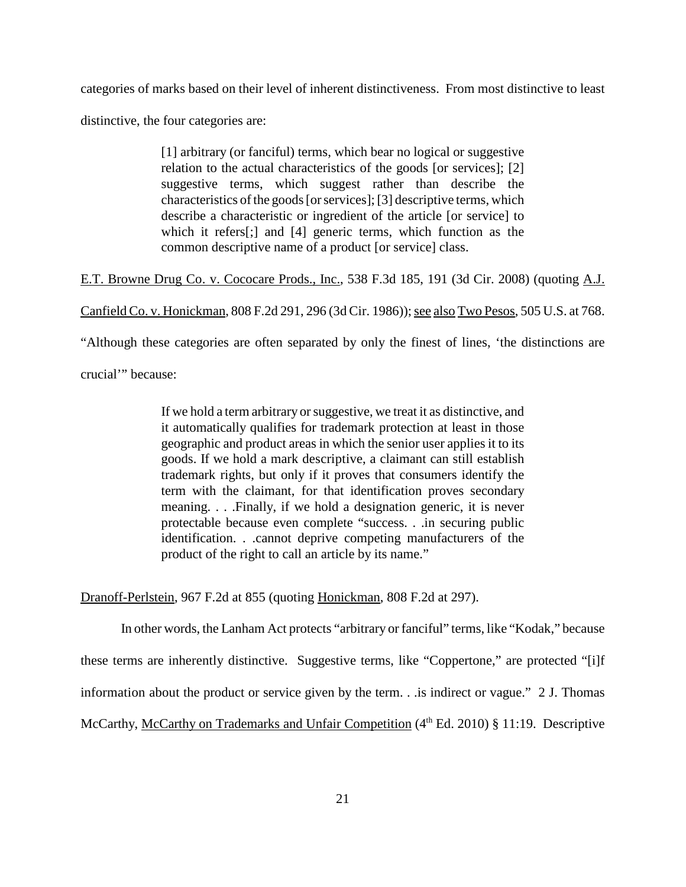categories of marks based on their level of inherent distinctiveness. From most distinctive to least

distinctive, the four categories are:

[1] arbitrary (or fanciful) terms, which bear no logical or suggestive relation to the actual characteristics of the goods [or services]; [2] suggestive terms, which suggest rather than describe the characteristics of the goods [or services]; [3] descriptive terms, which describe a characteristic or ingredient of the article [or service] to which it refers[;] and [4] generic terms, which function as the common descriptive name of a product [or service] class.

E.T. Browne Drug Co. v. Cococare Prods., Inc., 538 F.3d 185, 191 (3d Cir. 2008) (quoting A.J.

Canfield Co. v. Honickman, 808 F.2d 291, 296 (3d Cir. 1986)); see also Two Pesos, 505 U.S. at 768.

"Although these categories are often separated by only the finest of lines, 'the distinctions are

crucial'" because:

If we hold a term arbitrary orsuggestive, we treat it as distinctive, and it automatically qualifies for trademark protection at least in those geographic and product areas in which the senior user applies it to its goods. If we hold a mark descriptive, a claimant can still establish trademark rights, but only if it proves that consumers identify the term with the claimant, for that identification proves secondary meaning. . . .Finally, if we hold a designation generic, it is never protectable because even complete "success. . .in securing public identification. . .cannot deprive competing manufacturers of the product of the right to call an article by its name."

Dranoff-Perlstein, 967 F.2d at 855 (quoting Honickman, 808 F.2d at 297).

In other words, the Lanham Act protects "arbitrary or fanciful" terms, like "Kodak," because these terms are inherently distinctive. Suggestive terms, like "Coppertone," are protected "[i]f information about the product or service given by the term. . .is indirect or vague." 2 J. Thomas McCarthy, McCarthy on Trademarks and Unfair Competition (4<sup>th</sup> Ed. 2010) § 11:19. Descriptive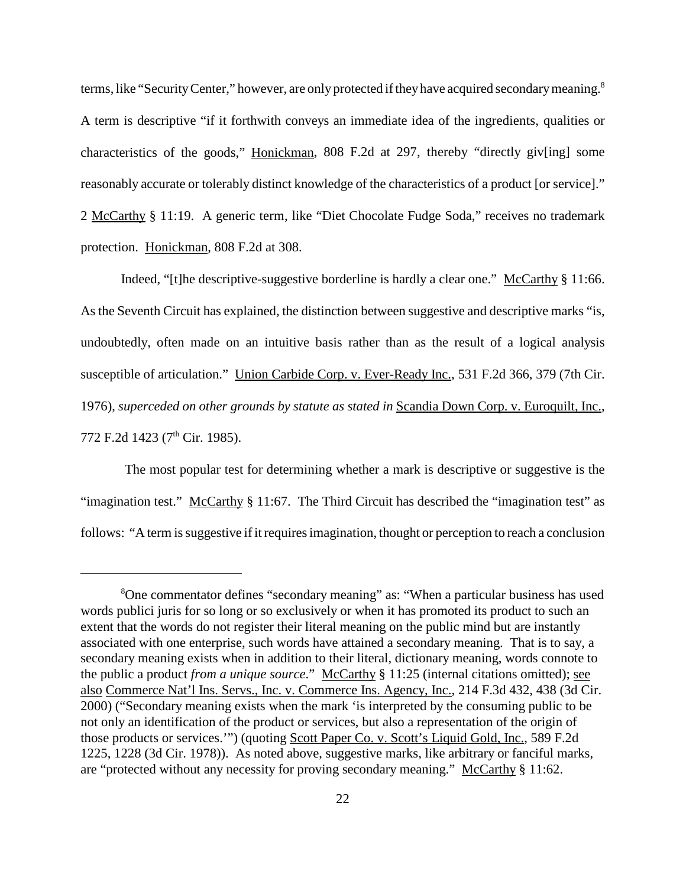terms, like "Security Center," however, are only protected if they have acquired secondary meaning.<sup>8</sup> A term is descriptive "if it forthwith conveys an immediate idea of the ingredients, qualities or characteristics of the goods," Honickman, 808 F.2d at 297, thereby "directly giv[ing] some reasonably accurate or tolerably distinct knowledge of the characteristics of a product [or service]." 2 McCarthy § 11:19. A generic term, like "Diet Chocolate Fudge Soda," receives no trademark protection. Honickman, 808 F.2d at 308.

Indeed, "[t]he descriptive-suggestive borderline is hardly a clear one." McCarthy § 11:66. As the Seventh Circuit has explained, the distinction between suggestive and descriptive marks "is, undoubtedly, often made on an intuitive basis rather than as the result of a logical analysis susceptible of articulation." Union Carbide Corp. v. Ever-Ready Inc., 531 F.2d 366, 379 (7th Cir. 1976), *superceded on other grounds by statute as stated in* Scandia Down Corp. v. Euroquilt, Inc., 772 F.2d 1423 (7<sup>th</sup> Cir. 1985).

The most popular test for determining whether a mark is descriptive or suggestive is the "imagination test." McCarthy § 11:67. The Third Circuit has described the "imagination test" as follows: "A term is suggestive if it requires imagination, thought or perception to reach a conclusion

<sup>&</sup>lt;sup>8</sup>One commentator defines "secondary meaning" as: "When a particular business has used words publici juris for so long or so exclusively or when it has promoted its product to such an extent that the words do not register their literal meaning on the public mind but are instantly associated with one enterprise, such words have attained a secondary meaning. That is to say, a secondary meaning exists when in addition to their literal, dictionary meaning, words connote to the public a product *from a unique source*." McCarthy § 11:25 (internal citations omitted); see also Commerce Nat'l Ins. Servs., Inc. v. Commerce Ins. Agency, Inc., 214 F.3d 432, 438 (3d Cir. 2000) ("Secondary meaning exists when the mark 'is interpreted by the consuming public to be not only an identification of the product or services, but also a representation of the origin of those products or services.'") (quoting Scott Paper Co. v. Scott's Liquid Gold, Inc., 589 F.2d 1225, 1228 (3d Cir. 1978)). As noted above, suggestive marks, like arbitrary or fanciful marks, are "protected without any necessity for proving secondary meaning." McCarthy § 11:62.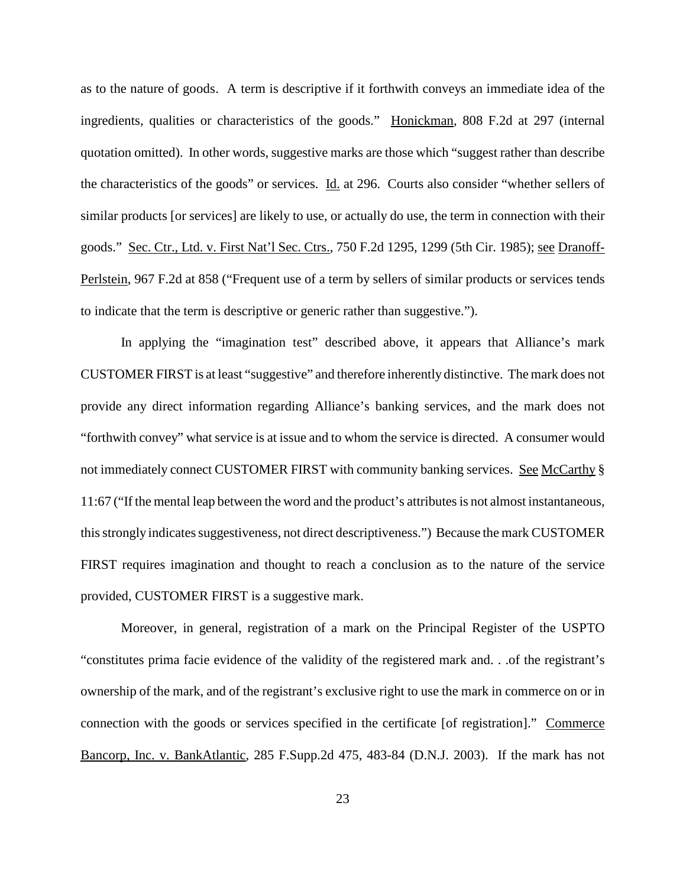as to the nature of goods. A term is descriptive if it forthwith conveys an immediate idea of the ingredients, qualities or characteristics of the goods." Honickman, 808 F.2d at 297 (internal quotation omitted). In other words, suggestive marks are those which "suggest rather than describe the characteristics of the goods" or services. Id. at 296. Courts also consider "whether sellers of similar products [or services] are likely to use, or actually do use, the term in connection with their goods." Sec. Ctr., Ltd. v. First Nat'l Sec. Ctrs., 750 F.2d 1295, 1299 (5th Cir. 1985); see Dranoff-Perlstein, 967 F.2d at 858 ("Frequent use of a term by sellers of similar products or services tends to indicate that the term is descriptive or generic rather than suggestive.").

In applying the "imagination test" described above, it appears that Alliance's mark CUSTOMER FIRST is at least "suggestive" and therefore inherently distinctive. The mark does not provide any direct information regarding Alliance's banking services, and the mark does not "forthwith convey" what service is at issue and to whom the service is directed. A consumer would not immediately connect CUSTOMER FIRST with community banking services. See McCarthy § 11:67 ("If the mental leap between the word and the product's attributesis not almost instantaneous, this strongly indicates suggestiveness, not direct descriptiveness.") Because the mark CUSTOMER FIRST requires imagination and thought to reach a conclusion as to the nature of the service provided, CUSTOMER FIRST is a suggestive mark.

Moreover, in general, registration of a mark on the Principal Register of the USPTO "constitutes prima facie evidence of the validity of the registered mark and. . .of the registrant's ownership of the mark, and of the registrant's exclusive right to use the mark in commerce on or in connection with the goods or services specified in the certificate [of registration]." Commerce Bancorp, Inc. v. BankAtlantic, 285 F.Supp.2d 475, 483-84 (D.N.J. 2003). If the mark has not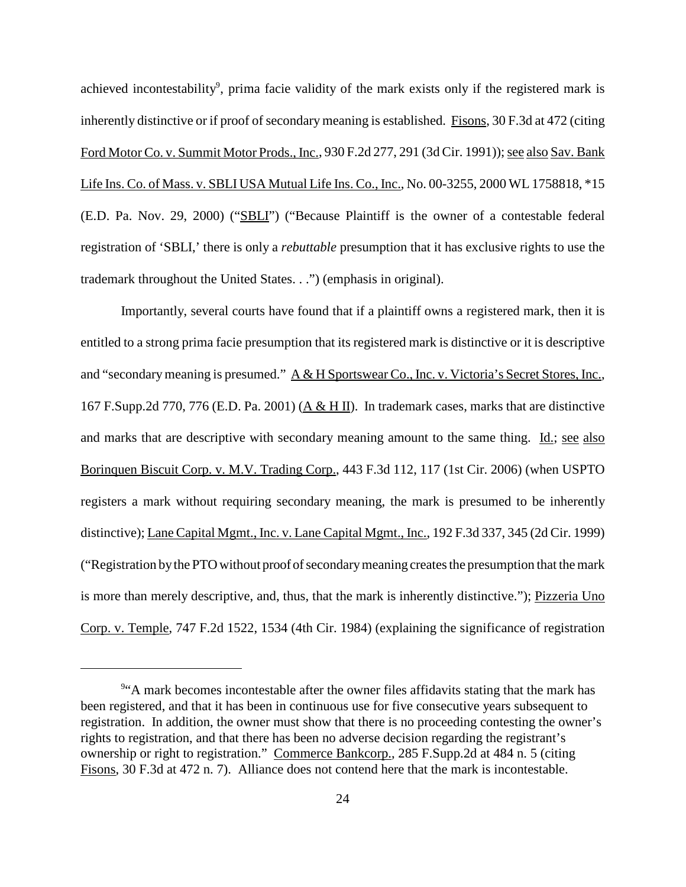achieved incontestability<sup>9</sup>, prima facie validity of the mark exists only if the registered mark is inherently distinctive or if proof of secondary meaning is established. Fisons, 30 F.3d at 472 (citing Ford Motor Co. v. Summit Motor Prods., Inc., 930 F.2d 277, 291 (3d Cir. 1991)); see also Sav. Bank Life Ins. Co. of Mass. v. SBLI USA Mutual Life Ins. Co., Inc., No. 00-3255, 2000 WL 1758818, \*15 (E.D. Pa. Nov. 29, 2000) ("SBLI") ("Because Plaintiff is the owner of a contestable federal registration of 'SBLI,' there is only a *rebuttable* presumption that it has exclusive rights to use the trademark throughout the United States. . .") (emphasis in original).

Importantly, several courts have found that if a plaintiff owns a registered mark, then it is entitled to a strong prima facie presumption that its registered mark is distinctive or it is descriptive and "secondary meaning is presumed." A & H Sportswear Co., Inc. v. Victoria's Secret Stores, Inc., 167 F.Supp.2d 770, 776 (E.D. Pa. 2001)  $(A & HII)$ . In trademark cases, marks that are distinctive and marks that are descriptive with secondary meaning amount to the same thing. Id.; see also Borinquen Biscuit Corp. v. M.V. Trading Corp., 443 F.3d 112, 117 (1st Cir. 2006) (when USPTO registers a mark without requiring secondary meaning, the mark is presumed to be inherently distinctive); Lane Capital Mgmt., Inc. v. Lane Capital Mgmt., Inc., 192 F.3d 337, 345 (2d Cir. 1999) ("Registration by the PTO without proof of secondary meaning creates the presumption that the mark is more than merely descriptive, and, thus, that the mark is inherently distinctive."); Pizzeria Uno Corp. v. Temple, 747 F.2d 1522, 1534 (4th Cir. 1984) (explaining the significance of registration

<sup>&</sup>lt;sup>9</sup>"A mark becomes incontestable after the owner files affidavits stating that the mark has been registered, and that it has been in continuous use for five consecutive years subsequent to registration. In addition, the owner must show that there is no proceeding contesting the owner's rights to registration, and that there has been no adverse decision regarding the registrant's ownership or right to registration." Commerce Bankcorp., 285 F.Supp.2d at 484 n. 5 (citing Fisons, 30 F.3d at 472 n. 7). Alliance does not contend here that the mark is incontestable.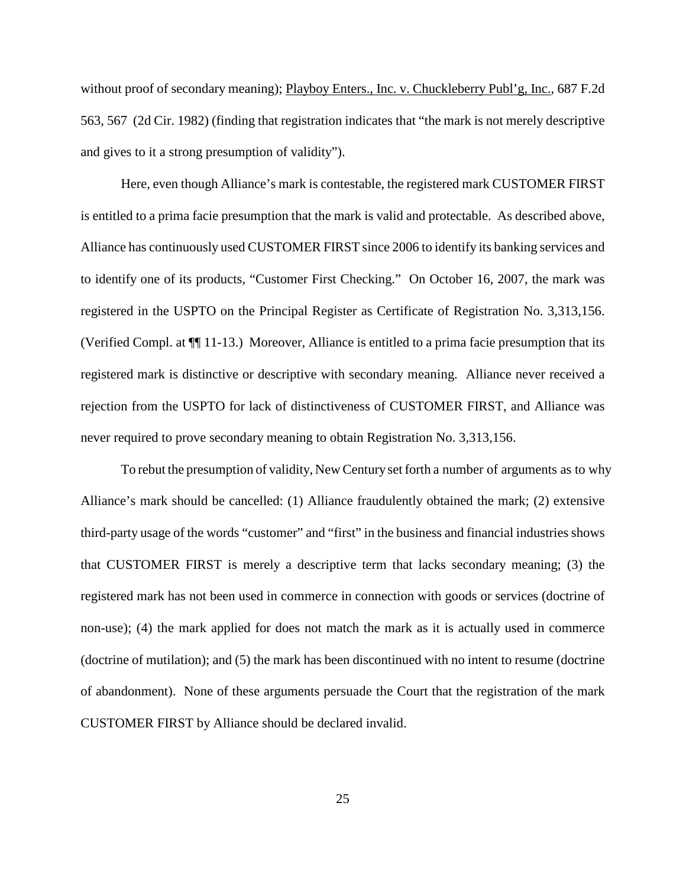without proof of secondary meaning); Playboy Enters., Inc. v. Chuckleberry Publ'g, Inc., 687 F.2d 563, 567 (2d Cir. 1982) (finding that registration indicates that "the mark is not merely descriptive and gives to it a strong presumption of validity").

Here, even though Alliance's mark is contestable, the registered mark CUSTOMER FIRST is entitled to a prima facie presumption that the mark is valid and protectable. As described above, Alliance has continuously used CUSTOMER FIRST since 2006 to identify its banking services and to identify one of its products, "Customer First Checking." On October 16, 2007, the mark was registered in the USPTO on the Principal Register as Certificate of Registration No. 3,313,156. (Verified Compl. at ¶¶ 11-13.) Moreover, Alliance is entitled to a prima facie presumption that its registered mark is distinctive or descriptive with secondary meaning. Alliance never received a rejection from the USPTO for lack of distinctiveness of CUSTOMER FIRST, and Alliance was never required to prove secondary meaning to obtain Registration No. 3,313,156.

To rebut the presumption of validity, New Century set forth a number of arguments as to why Alliance's mark should be cancelled: (1) Alliance fraudulently obtained the mark; (2) extensive third-party usage of the words "customer" and "first" in the business and financial industries shows that CUSTOMER FIRST is merely a descriptive term that lacks secondary meaning; (3) the registered mark has not been used in commerce in connection with goods or services (doctrine of non-use); (4) the mark applied for does not match the mark as it is actually used in commerce (doctrine of mutilation); and (5) the mark has been discontinued with no intent to resume (doctrine of abandonment). None of these arguments persuade the Court that the registration of the mark CUSTOMER FIRST by Alliance should be declared invalid.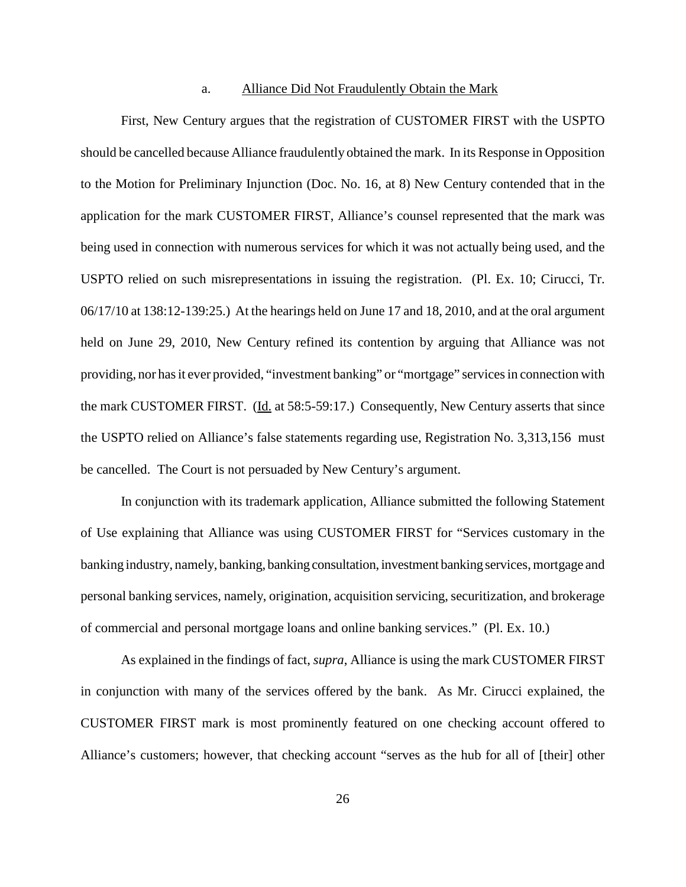#### a. Alliance Did Not Fraudulently Obtain the Mark

First, New Century argues that the registration of CUSTOMER FIRST with the USPTO should be cancelled because Alliance fraudulently obtained the mark. In its Response in Opposition to the Motion for Preliminary Injunction (Doc. No. 16, at 8) New Century contended that in the application for the mark CUSTOMER FIRST, Alliance's counsel represented that the mark was being used in connection with numerous services for which it was not actually being used, and the USPTO relied on such misrepresentations in issuing the registration. (Pl. Ex. 10; Cirucci, Tr. 06/17/10 at 138:12-139:25.) At the hearings held on June 17 and 18, 2010, and at the oral argument held on June 29, 2010, New Century refined its contention by arguing that Alliance was not providing, nor has it ever provided, "investment banking" or "mortgage" services in connection with the mark CUSTOMER FIRST. (Id. at 58:5-59:17.) Consequently, New Century asserts that since the USPTO relied on Alliance's false statements regarding use, Registration No. 3,313,156 must be cancelled. The Court is not persuaded by New Century's argument.

In conjunction with its trademark application, Alliance submitted the following Statement of Use explaining that Alliance was using CUSTOMER FIRST for "Services customary in the banking industry, namely, banking, banking consultation, investment banking services, mortgage and personal banking services, namely, origination, acquisition servicing, securitization, and brokerage of commercial and personal mortgage loans and online banking services." (Pl. Ex. 10.)

As explained in the findings of fact, *supra*, Alliance is using the mark CUSTOMER FIRST in conjunction with many of the services offered by the bank. As Mr. Cirucci explained, the CUSTOMER FIRST mark is most prominently featured on one checking account offered to Alliance's customers; however, that checking account "serves as the hub for all of [their] other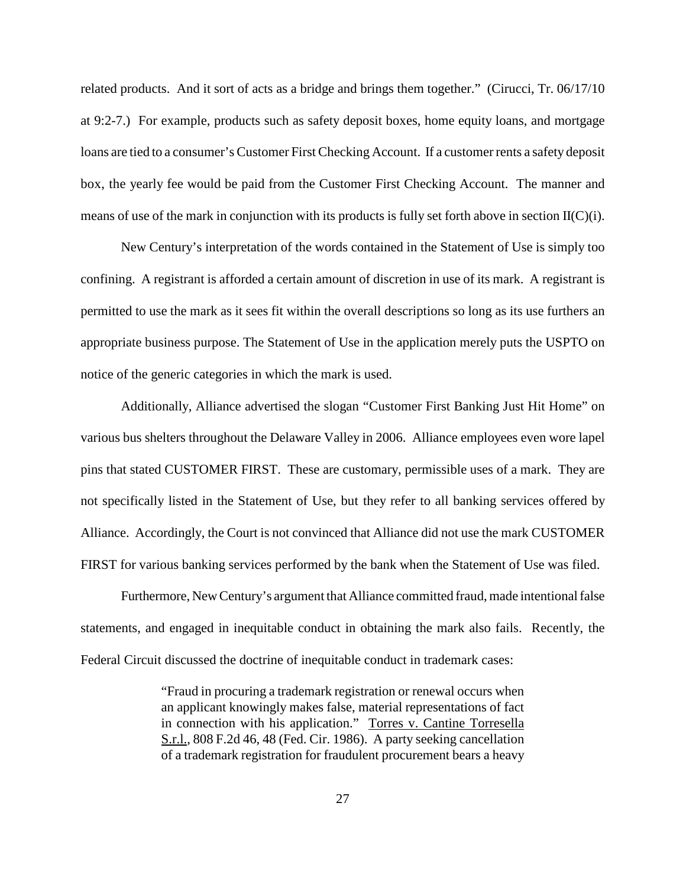related products. And it sort of acts as a bridge and brings them together." (Cirucci, Tr. 06/17/10 at 9:2-7.) For example, products such as safety deposit boxes, home equity loans, and mortgage loans are tied to a consumer's Customer First Checking Account. If a customer rents a safety deposit box, the yearly fee would be paid from the Customer First Checking Account. The manner and means of use of the mark in conjunction with its products is fully set forth above in section  $II(C)(i)$ .

New Century's interpretation of the words contained in the Statement of Use is simply too confining. A registrant is afforded a certain amount of discretion in use of its mark. A registrant is permitted to use the mark as it sees fit within the overall descriptions so long as its use furthers an appropriate business purpose. The Statement of Use in the application merely puts the USPTO on notice of the generic categories in which the mark is used.

Additionally, Alliance advertised the slogan "Customer First Banking Just Hit Home" on various bus shelters throughout the Delaware Valley in 2006. Alliance employees even wore lapel pins that stated CUSTOMER FIRST. These are customary, permissible uses of a mark. They are not specifically listed in the Statement of Use, but they refer to all banking services offered by Alliance. Accordingly, the Court is not convinced that Alliance did not use the mark CUSTOMER FIRST for various banking services performed by the bank when the Statement of Use was filed.

Furthermore, New Century's argument that Alliance committed fraud, made intentional false statements, and engaged in inequitable conduct in obtaining the mark also fails. Recently, the Federal Circuit discussed the doctrine of inequitable conduct in trademark cases:

> "Fraud in procuring a trademark registration or renewal occurs when an applicant knowingly makes false, material representations of fact in connection with his application." Torres v. Cantine Torresella S.r.l., 808 F.2d 46, 48 (Fed. Cir. 1986). A party seeking cancellation of a trademark registration for fraudulent procurement bears a heavy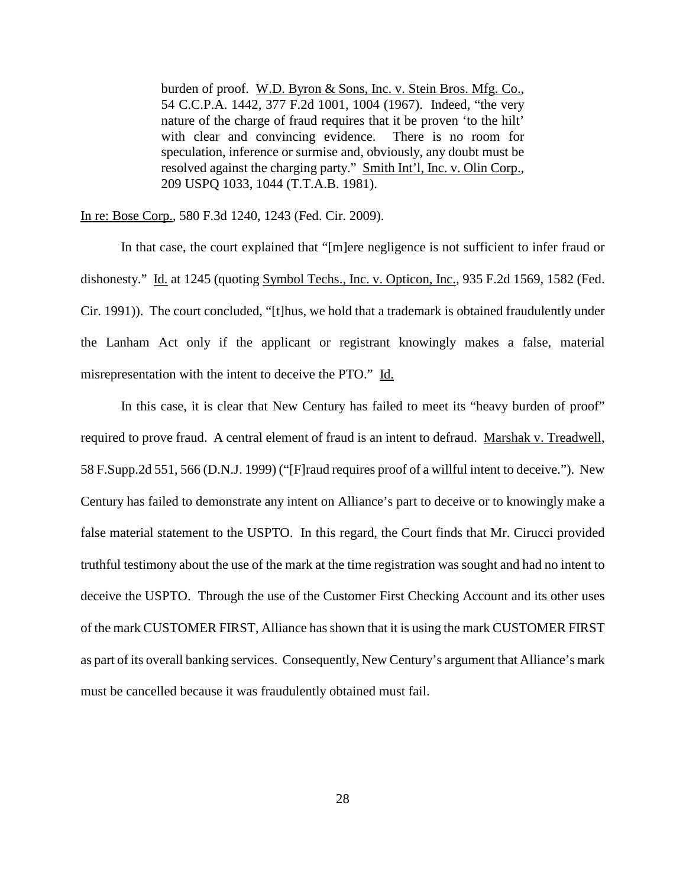burden of proof. W.D. Byron & Sons, Inc. v. Stein Bros. Mfg. Co., 54 C.C.P.A. 1442, 377 F.2d 1001, 1004 (1967). Indeed, "the very nature of the charge of fraud requires that it be proven 'to the hilt' with clear and convincing evidence. There is no room for speculation, inference or surmise and, obviously, any doubt must be resolved against the charging party." Smith Int'l, Inc. v. Olin Corp., 209 USPQ 1033, 1044 (T.T.A.B. 1981).

In re: Bose Corp., 580 F.3d 1240, 1243 (Fed. Cir. 2009).

In that case, the court explained that "[m]ere negligence is not sufficient to infer fraud or dishonesty." Id. at 1245 (quoting Symbol Techs., Inc. v. Opticon, Inc., 935 F.2d 1569, 1582 (Fed. Cir. 1991)). The court concluded, "[t]hus, we hold that a trademark is obtained fraudulently under the Lanham Act only if the applicant or registrant knowingly makes a false, material misrepresentation with the intent to deceive the PTO." Id.

In this case, it is clear that New Century has failed to meet its "heavy burden of proof" required to prove fraud. A central element of fraud is an intent to defraud. Marshak v. Treadwell, 58 F.Supp.2d 551, 566 (D.N.J. 1999) ("[F]raud requires proof of a willful intent to deceive."). New Century has failed to demonstrate any intent on Alliance's part to deceive or to knowingly make a false material statement to the USPTO. In this regard, the Court finds that Mr. Cirucci provided truthful testimony about the use of the mark at the time registration was sought and had no intent to deceive the USPTO. Through the use of the Customer First Checking Account and its other uses of the mark CUSTOMER FIRST, Alliance hasshown that it is using the mark CUSTOMER FIRST as part of its overall banking services. Consequently, New Century's argument that Alliance's mark must be cancelled because it was fraudulently obtained must fail.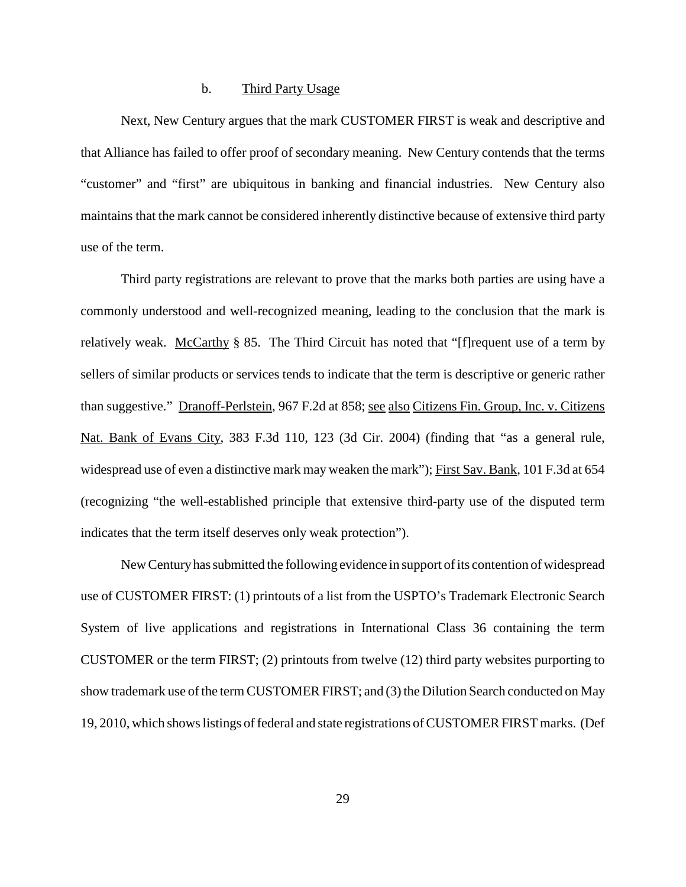#### b. Third Party Usage

Next, New Century argues that the mark CUSTOMER FIRST is weak and descriptive and that Alliance has failed to offer proof of secondary meaning. New Century contends that the terms "customer" and "first" are ubiquitous in banking and financial industries. New Century also maintains that the mark cannot be considered inherently distinctive because of extensive third party use of the term.

Third party registrations are relevant to prove that the marks both parties are using have a commonly understood and well-recognized meaning, leading to the conclusion that the mark is relatively weak. McCarthy § 85. The Third Circuit has noted that "[f] requent use of a term by sellers of similar products or services tends to indicate that the term is descriptive or generic rather than suggestive." Dranoff-Perlstein, 967 F.2d at 858; see also Citizens Fin. Group, Inc. v. Citizens Nat. Bank of Evans City, 383 F.3d 110, 123 (3d Cir. 2004) (finding that "as a general rule, widespread use of even a distinctive mark may weaken the mark"); First Sav. Bank, 101 F.3d at 654 (recognizing "the well-established principle that extensive third-party use of the disputed term indicates that the term itself deserves only weak protection").

New Centuryhassubmitted the following evidence in support ofits contention of widespread use of CUSTOMER FIRST: (1) printouts of a list from the USPTO's Trademark Electronic Search System of live applications and registrations in International Class 36 containing the term CUSTOMER or the term FIRST; (2) printouts from twelve (12) third party websites purporting to show trademark use of the term CUSTOMER FIRST; and (3) the Dilution Search conducted on May 19, 2010, which shows listings of federal and state registrations of CUSTOMER FIRST marks. (Def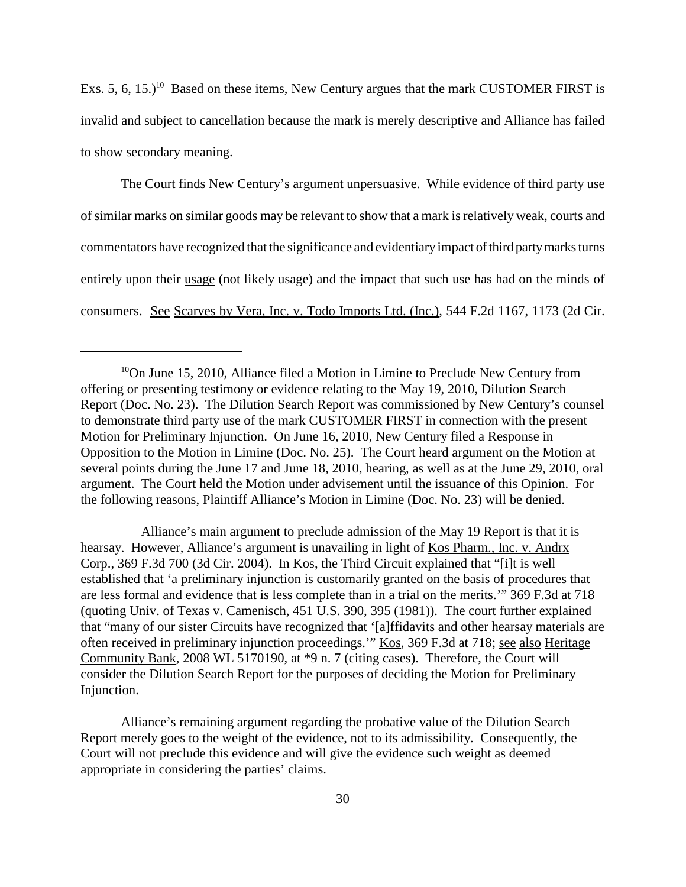Exs. 5, 6, 15.)<sup>10</sup> Based on these items, New Century argues that the mark CUSTOMER FIRST is invalid and subject to cancellation because the mark is merely descriptive and Alliance has failed to show secondary meaning.

The Court finds New Century's argument unpersuasive. While evidence of third party use of similar marks on similar goods may be relevant to show that a mark is relatively weak, courts and commentators have recognized that the significance and evidentiaryimpact ofthird partymarksturns entirely upon their usage (not likely usage) and the impact that such use has had on the minds of consumers. See Scarves by Vera, Inc. v. Todo Imports Ltd. (Inc.), 544 F.2d 1167, 1173 (2d Cir.

Alliance's main argument to preclude admission of the May 19 Report is that it is hearsay. However, Alliance's argument is unavailing in light of Kos Pharm., Inc. v. Andrx Corp., 369 F.3d 700 (3d Cir. 2004). In Kos, the Third Circuit explained that "[i]t is well established that 'a preliminary injunction is customarily granted on the basis of procedures that are less formal and evidence that is less complete than in a trial on the merits.'" 369 F.3d at 718 (quoting Univ. of Texas v. Camenisch, 451 U.S. 390, 395 (1981)). The court further explained that "many of our sister Circuits have recognized that '[a]ffidavits and other hearsay materials are often received in preliminary injunction proceedings.'" Kos, 369 F.3d at 718; see also Heritage Community Bank, 2008 WL 5170190, at \*9 n. 7 (citing cases). Therefore, the Court will consider the Dilution Search Report for the purposes of deciding the Motion for Preliminary Injunction.

Alliance's remaining argument regarding the probative value of the Dilution Search Report merely goes to the weight of the evidence, not to its admissibility. Consequently, the Court will not preclude this evidence and will give the evidence such weight as deemed appropriate in considering the parties' claims.

<sup>&</sup>lt;sup>10</sup>On June 15, 2010, Alliance filed a Motion in Limine to Preclude New Century from offering or presenting testimony or evidence relating to the May 19, 2010, Dilution Search Report (Doc. No. 23). The Dilution Search Report was commissioned by New Century's counsel to demonstrate third party use of the mark CUSTOMER FIRST in connection with the present Motion for Preliminary Injunction. On June 16, 2010, New Century filed a Response in Opposition to the Motion in Limine (Doc. No. 25). The Court heard argument on the Motion at several points during the June 17 and June 18, 2010, hearing, as well as at the June 29, 2010, oral argument. The Court held the Motion under advisement until the issuance of this Opinion. For the following reasons, Plaintiff Alliance's Motion in Limine (Doc. No. 23) will be denied.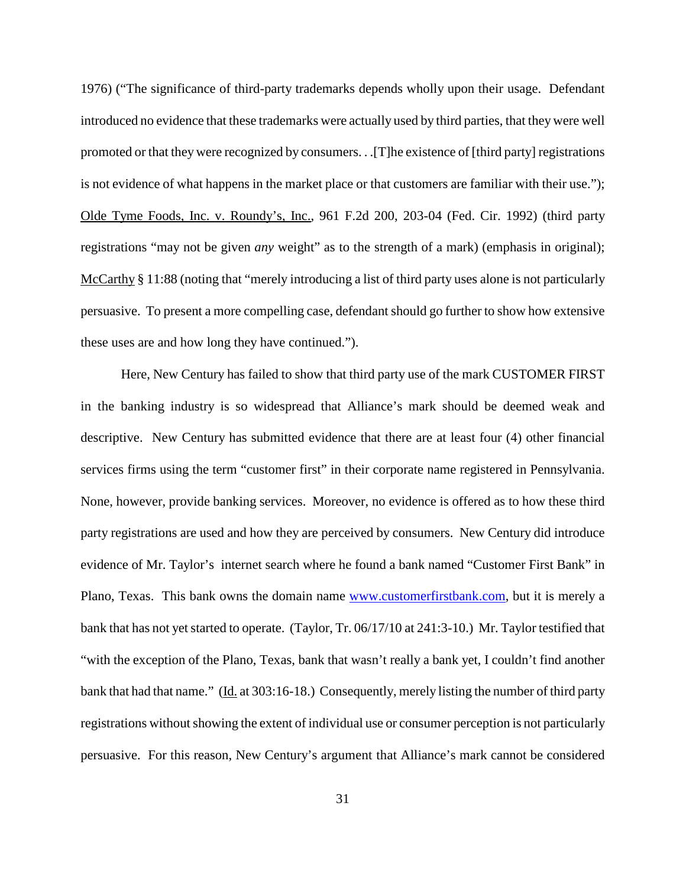1976) ("The significance of third-party trademarks depends wholly upon their usage. Defendant introduced no evidence that these trademarks were actually used by third parties, that they were well promoted or that they were recognized by consumers. . .[T]he existence of [third party] registrations is not evidence of what happens in the market place or that customers are familiar with their use."); Olde Tyme Foods, Inc. v. Roundy's, Inc., 961 F.2d 200, 203-04 (Fed. Cir. 1992) (third party registrations "may not be given *any* weight" as to the strength of a mark) (emphasis in original); McCarthy § 11:88 (noting that "merely introducing a list of third party uses alone is not particularly persuasive. To present a more compelling case, defendantshould go further to show how extensive these uses are and how long they have continued.").

Here, New Century has failed to show that third party use of the mark CUSTOMER FIRST in the banking industry is so widespread that Alliance's mark should be deemed weak and descriptive. New Century has submitted evidence that there are at least four (4) other financial services firms using the term "customer first" in their corporate name registered in Pennsylvania. None, however, provide banking services. Moreover, no evidence is offered as to how these third party registrations are used and how they are perceived by consumers. New Century did introduce evidence of Mr. Taylor's internet search where he found a bank named "Customer First Bank" in Plano, Texas. This bank owns the domain name www.customerfirstbank.com, but it is merely a bank that has not yet started to operate. (Taylor, Tr. 06/17/10 at 241:3-10.) Mr. Taylor testified that "with the exception of the Plano, Texas, bank that wasn't really a bank yet, I couldn't find another bank that had that name." (Id. at 303:16-18.) Consequently, merely listing the number of third party registrations without showing the extent of individual use or consumer perception is not particularly persuasive. For this reason, New Century's argument that Alliance's mark cannot be considered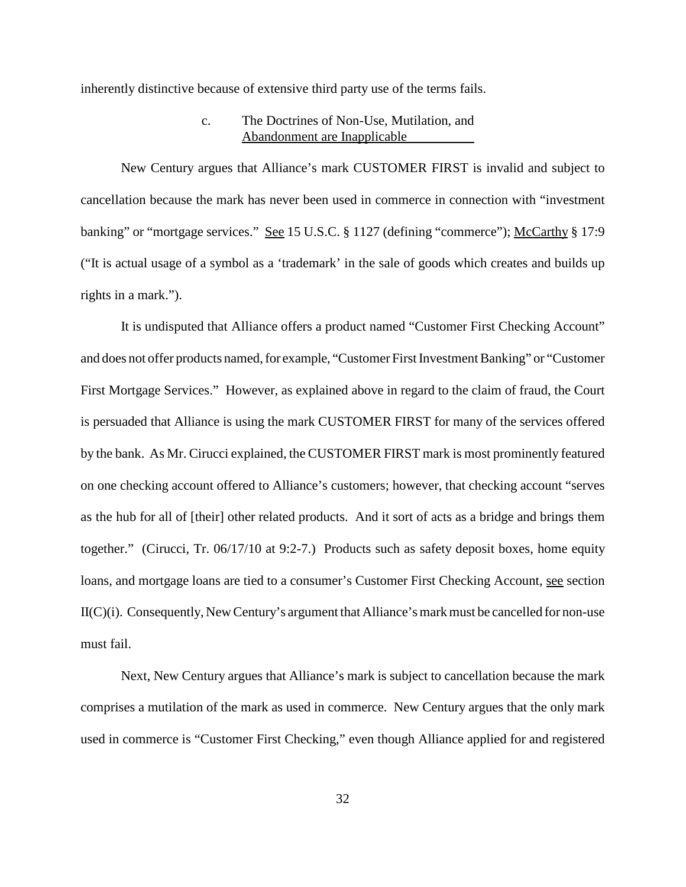inherently distinctive because of extensive third party use of the terms fails.

# c. The Doctrines of Non-Use, Mutilation, and Abandonment are Inapplicable

New Century argues that Alliance's mark CUSTOMER FIRST is invalid and subject to cancellation because the mark has never been used in commerce in connection with "investment banking" or "mortgage services." See 15 U.S.C. § 1127 (defining "commerce"); McCarthy § 17:9 ("It is actual usage of a symbol as a 'trademark' in the sale of goods which creates and builds up rights in a mark.").

It is undisputed that Alliance offers a product named "Customer First Checking Account" and does not offer products named, for example, "Customer First Investment Banking" or "Customer First Mortgage Services." However, as explained above in regard to the claim of fraud, the Court is persuaded that Alliance is using the mark CUSTOMER FIRST for many of the services offered by the bank. As Mr. Cirucci explained, the CUSTOMER FIRST mark is most prominently featured on one checking account offered to Alliance's customers; however, that checking account "serves as the hub for all of [their] other related products. And it sort of acts as a bridge and brings them together." (Cirucci, Tr. 06/17/10 at 9:2-7.) Products such as safety deposit boxes, home equity loans, and mortgage loans are tied to a consumer's Customer First Checking Account, see section  $II(C)(i)$ . Consequently, New Century's argument that Alliance's mark must be cancelled for non-use must fail.

Next, New Century argues that Alliance's mark is subject to cancellation because the mark comprises a mutilation of the mark as used in commerce. New Century argues that the only mark used in commerce is "Customer First Checking," even though Alliance applied for and registered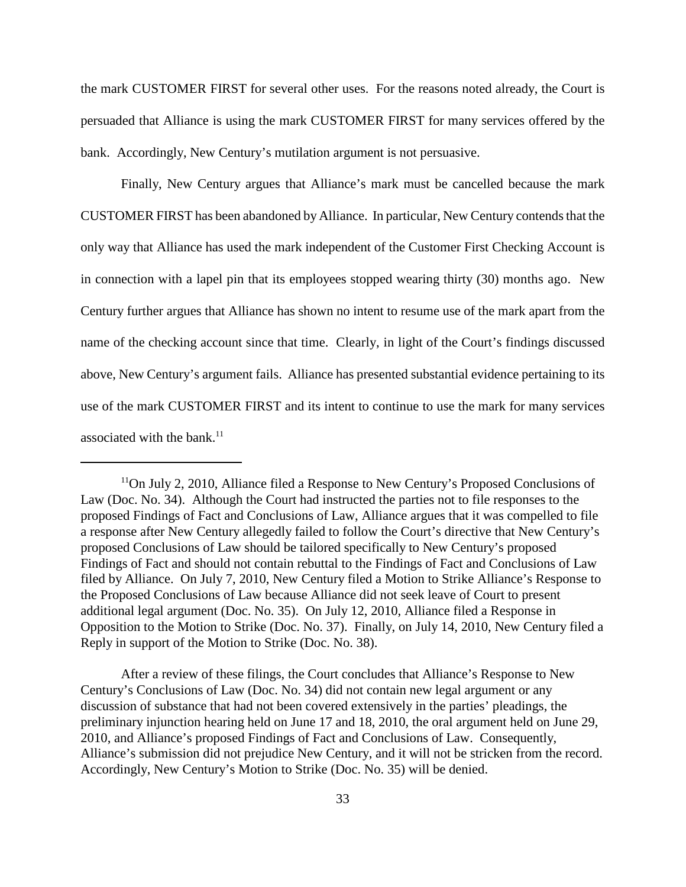the mark CUSTOMER FIRST for several other uses. For the reasons noted already, the Court is persuaded that Alliance is using the mark CUSTOMER FIRST for many services offered by the bank. Accordingly, New Century's mutilation argument is not persuasive.

Finally, New Century argues that Alliance's mark must be cancelled because the mark CUSTOMER FIRST has been abandoned by Alliance. In particular, New Century contends that the only way that Alliance has used the mark independent of the Customer First Checking Account is in connection with a lapel pin that its employees stopped wearing thirty (30) months ago. New Century further argues that Alliance has shown no intent to resume use of the mark apart from the name of the checking account since that time. Clearly, in light of the Court's findings discussed above, New Century's argument fails. Alliance has presented substantial evidence pertaining to its use of the mark CUSTOMER FIRST and its intent to continue to use the mark for many services associated with the bank. 11

After a review of these filings, the Court concludes that Alliance's Response to New Century's Conclusions of Law (Doc. No. 34) did not contain new legal argument or any discussion of substance that had not been covered extensively in the parties' pleadings, the preliminary injunction hearing held on June 17 and 18, 2010, the oral argument held on June 29, 2010, and Alliance's proposed Findings of Fact and Conclusions of Law. Consequently, Alliance's submission did not prejudice New Century, and it will not be stricken from the record. Accordingly, New Century's Motion to Strike (Doc. No. 35) will be denied.

<sup>&</sup>lt;sup>11</sup>On July 2, 2010, Alliance filed a Response to New Century's Proposed Conclusions of Law (Doc. No. 34). Although the Court had instructed the parties not to file responses to the proposed Findings of Fact and Conclusions of Law, Alliance argues that it was compelled to file a response after New Century allegedly failed to follow the Court's directive that New Century's proposed Conclusions of Law should be tailored specifically to New Century's proposed Findings of Fact and should not contain rebuttal to the Findings of Fact and Conclusions of Law filed by Alliance. On July 7, 2010, New Century filed a Motion to Strike Alliance's Response to the Proposed Conclusions of Law because Alliance did not seek leave of Court to present additional legal argument (Doc. No. 35). On July 12, 2010, Alliance filed a Response in Opposition to the Motion to Strike (Doc. No. 37). Finally, on July 14, 2010, New Century filed a Reply in support of the Motion to Strike (Doc. No. 38).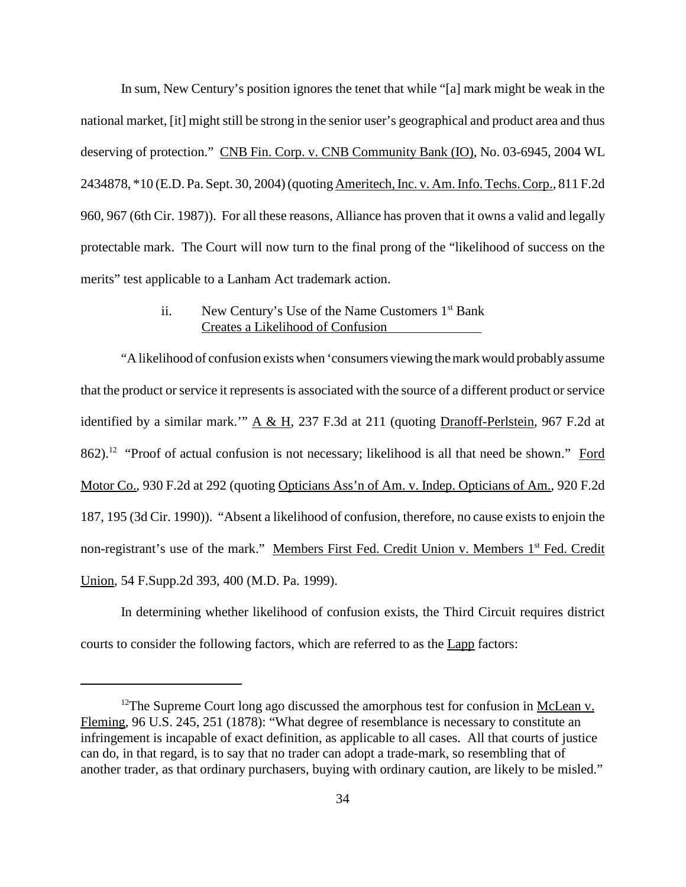In sum, New Century's position ignores the tenet that while "[a] mark might be weak in the national market, [it] might still be strong in the senior user's geographical and product area and thus deserving of protection." CNB Fin. Corp. v. CNB Community Bank (IO), No. 03-6945, 2004 WL 2434878, \*10 (E.D. Pa. Sept. 30, 2004)(quoting Ameritech,Inc. v. Am.Info. Techs.Corp., 811 F.2d 960, 967 (6th Cir. 1987)). For all these reasons, Alliance has proven that it owns a valid and legally protectable mark. The Court will now turn to the final prong of the "likelihood of success on the merits" test applicable to a Lanham Act trademark action.

# ii. New Century's Use of the Name Customers  $1<sup>st</sup>$  Bank Creates a Likelihood of Confusion

"A likelihood of confusion exists when 'consumers viewing themarkwould probablyassume that the product or service it represents is associated with the source of a different product or service identified by a similar mark.'" A & H, 237 F.3d at 211 (quoting Dranoff-Perlstein, 967 F.2d at 862).<sup>12</sup> "Proof of actual confusion is not necessary; likelihood is all that need be shown." Ford Motor Co., 930 F.2d at 292 (quoting Opticians Ass'n of Am. v. Indep. Opticians of Am., 920 F.2d 187, 195 (3d Cir. 1990)). "Absent a likelihood of confusion, therefore, no cause exists to enjoin the non-registrant's use of the mark." Members First Fed. Credit Union v. Members 1<sup>st</sup> Fed. Credit Union, 54 F.Supp.2d 393, 400 (M.D. Pa. 1999).

In determining whether likelihood of confusion exists, the Third Circuit requires district courts to consider the following factors, which are referred to as the Lapp factors:

<sup>&</sup>lt;sup>12</sup>The Supreme Court long ago discussed the amorphous test for confusion in McLean v. Fleming, 96 U.S. 245, 251 (1878): "What degree of resemblance is necessary to constitute an infringement is incapable of exact definition, as applicable to all cases. All that courts of justice can do, in that regard, is to say that no trader can adopt a trade-mark, so resembling that of another trader, as that ordinary purchasers, buying with ordinary caution, are likely to be misled."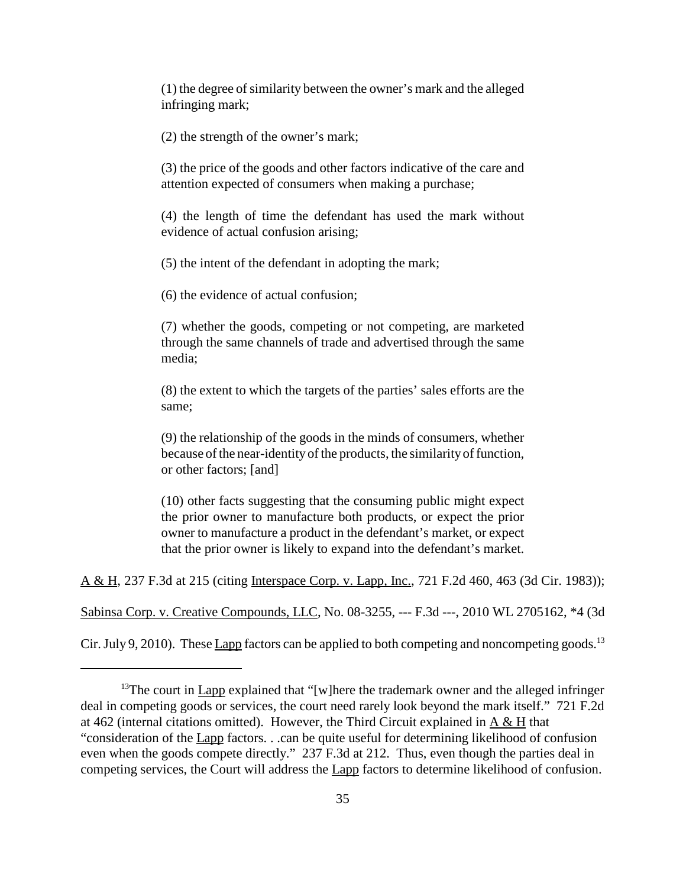(1) the degree ofsimilarity between the owner's mark and the alleged infringing mark;

(2) the strength of the owner's mark;

(3) the price of the goods and other factors indicative of the care and attention expected of consumers when making a purchase;

(4) the length of time the defendant has used the mark without evidence of actual confusion arising;

(5) the intent of the defendant in adopting the mark;

(6) the evidence of actual confusion;

(7) whether the goods, competing or not competing, are marketed through the same channels of trade and advertised through the same media;

(8) the extent to which the targets of the parties' sales efforts are the same;

(9) the relationship of the goods in the minds of consumers, whether because of the near-identity of the products, the similarity of function, or other factors; [and]

(10) other facts suggesting that the consuming public might expect the prior owner to manufacture both products, or expect the prior owner to manufacture a product in the defendant's market, or expect that the prior owner is likely to expand into the defendant's market.

A & H, 237 F.3d at 215 (citing Interspace Corp. v. Lapp, Inc., 721 F.2d 460, 463 (3d Cir. 1983));

Sabinsa Corp. v. Creative Compounds, LLC, No. 08-3255, --- F.3d ---, 2010 WL 2705162, \*4 (3d

Cir. July 9, 2010). These Lapp factors can be applied to both competing and noncompeting goods.<sup>13</sup>

<sup>&</sup>lt;sup>13</sup>The court in  $Lapp$  explained that "[w]here the trademark owner and the alleged infringer deal in competing goods or services, the court need rarely look beyond the mark itself." 721 F.2d at 462 (internal citations omitted). However, the Third Circuit explained in A & H that "consideration of the Lapp factors. . .can be quite useful for determining likelihood of confusion even when the goods compete directly." 237 F.3d at 212. Thus, even though the parties deal in competing services, the Court will address the Lapp factors to determine likelihood of confusion.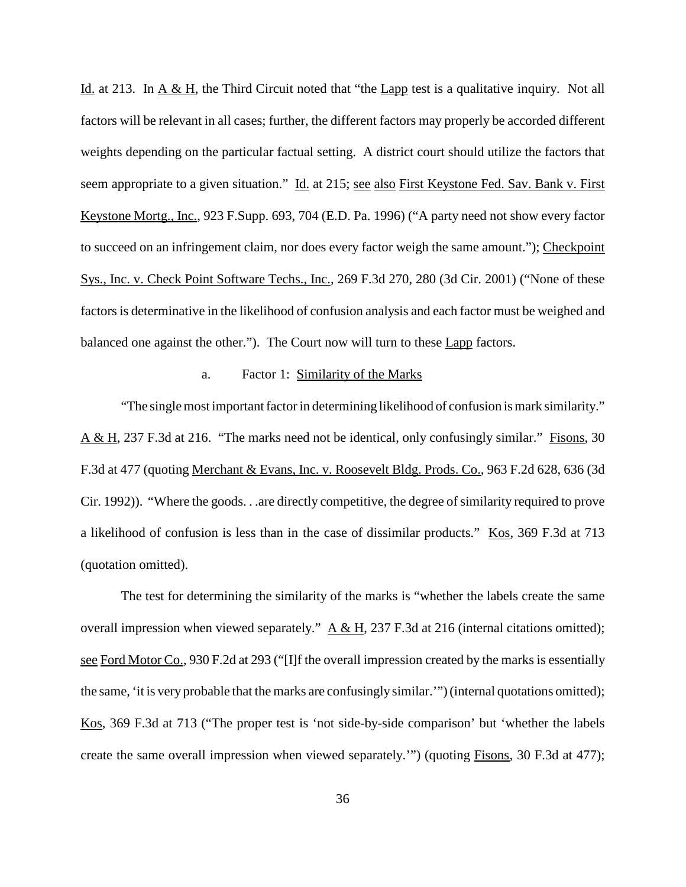Id. at 213. In  $\underline{A} \& \underline{H}$ , the Third Circuit noted that "the Lapp test is a qualitative inquiry. Not all factors will be relevant in all cases; further, the different factors may properly be accorded different weights depending on the particular factual setting. A district court should utilize the factors that seem appropriate to a given situation." Id. at 215; see also First Keystone Fed. Sav. Bank v. First Keystone Mortg., Inc., 923 F.Supp. 693, 704 (E.D. Pa. 1996) ("A party need not show every factor to succeed on an infringement claim, nor does every factor weigh the same amount."); Checkpoint Sys., Inc. v. Check Point Software Techs., Inc., 269 F.3d 270, 280 (3d Cir. 2001) ("None of these factors is determinative in the likelihood of confusion analysis and each factor must be weighed and balanced one against the other."). The Court now will turn to these Lapp factors.

### a. Factor 1: Similarity of the Marks

"The single most important factor in determining likelihood of confusion is mark similarity." A & H, 237 F.3d at 216. "The marks need not be identical, only confusingly similar." Fisons, 30 F.3d at 477 (quoting Merchant & Evans, Inc. v. Roosevelt Bldg. Prods. Co., 963 F.2d 628, 636 (3d Cir. 1992)). "Where the goods. . .are directly competitive, the degree of similarity required to prove a likelihood of confusion is less than in the case of dissimilar products." Kos, 369 F.3d at 713 (quotation omitted).

The test for determining the similarity of the marks is "whether the labels create the same overall impression when viewed separately."  $A & H$ , 237 F.3d at 216 (internal citations omitted); see Ford Motor Co., 930 F.2d at 293 ("[I]f the overall impression created by the marks is essentially the same, 'it is very probable that the marks are confusingly similar.'") (internal quotations omitted); Kos, 369 F.3d at 713 ("The proper test is 'not side-by-side comparison' but 'whether the labels create the same overall impression when viewed separately.'") (quoting Fisons, 30 F.3d at 477);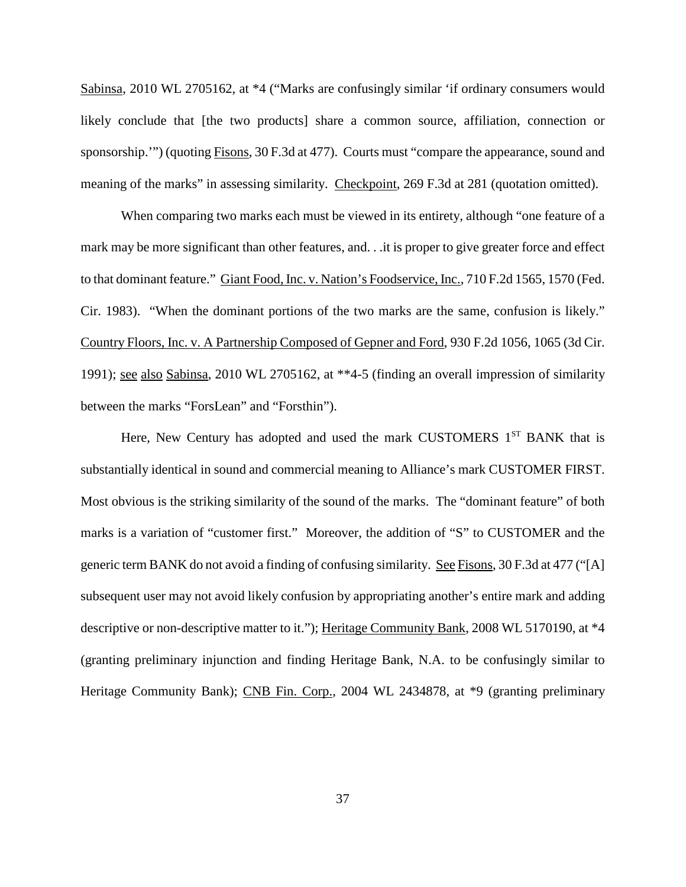Sabinsa, 2010 WL 2705162, at \*4 ("Marks are confusingly similar 'if ordinary consumers would likely conclude that [the two products] share a common source, affiliation, connection or sponsorship.'") (quoting Fisons, 30 F.3d at 477). Courts must "compare the appearance, sound and meaning of the marks" in assessing similarity. Checkpoint, 269 F.3d at 281 (quotation omitted).

When comparing two marks each must be viewed in its entirety, although "one feature of a mark may be more significant than other features, and. . .it is proper to give greater force and effect to that dominant feature." Giant Food, Inc. v. Nation's Foodservice, Inc., 710 F.2d 1565, 1570 (Fed. Cir. 1983). "When the dominant portions of the two marks are the same, confusion is likely." Country Floors, Inc. v. A Partnership Composed of Gepner and Ford, 930 F.2d 1056, 1065 (3d Cir. 1991); see also Sabinsa, 2010 WL 2705162, at \*\*4-5 (finding an overall impression of similarity between the marks "ForsLean" and "Forsthin").

Here, New Century has adopted and used the mark CUSTOMERS  $1<sup>ST</sup>$  BANK that is substantially identical in sound and commercial meaning to Alliance's mark CUSTOMER FIRST. Most obvious is the striking similarity of the sound of the marks. The "dominant feature" of both marks is a variation of "customer first." Moreover, the addition of "S" to CUSTOMER and the generic term BANK do not avoid a finding of confusing similarity. See Fisons, 30 F.3d at 477 ("[A] subsequent user may not avoid likely confusion by appropriating another's entire mark and adding descriptive or non-descriptive matter to it."); Heritage Community Bank, 2008 WL 5170190, at \*4 (granting preliminary injunction and finding Heritage Bank, N.A. to be confusingly similar to Heritage Community Bank); CNB Fin. Corp., 2004 WL 2434878, at \*9 (granting preliminary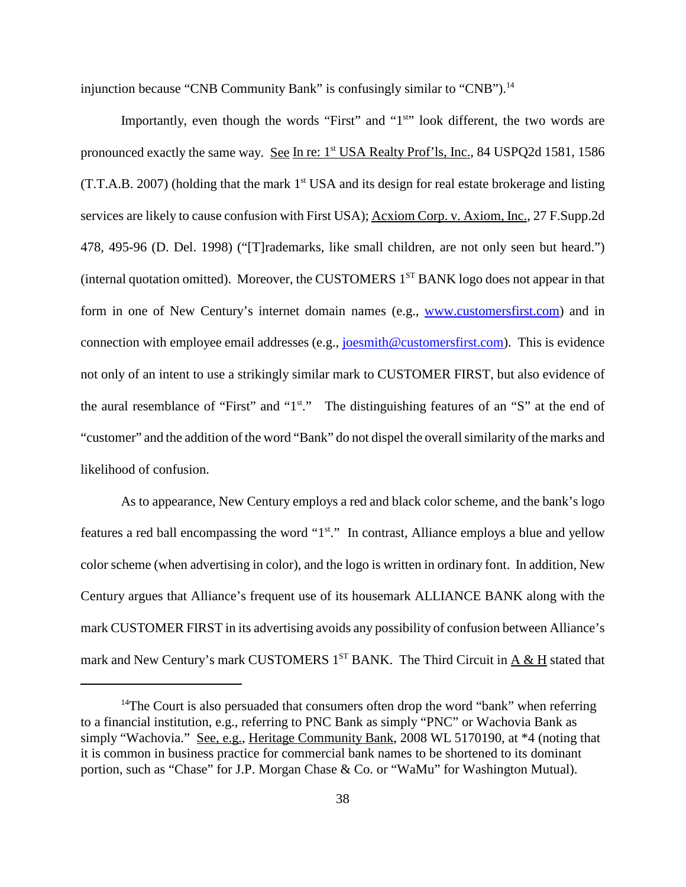injunction because "CNB Community Bank" is confusingly similar to "CNB").<sup>14</sup>

Importantly, even though the words "First" and "1<sup>st</sup>" look different, the two words are pronounced exactly the same way. See In re: 1<sup>st</sup> USA Realty Prof'ls, Inc., 84 USPQ2d 1581, 1586  $(T.T.A.B. 2007)$  (holding that the mark  $1<sup>st</sup> USA$  and its design for real estate brokerage and listing services are likely to cause confusion with First USA); Acxiom Corp. v. Axiom, Inc., 27 F.Supp.2d 478, 495-96 (D. Del. 1998) ("[T]rademarks, like small children, are not only seen but heard.") (internal quotation omitted). Moreover, the CUSTOMERS 1<sup>ST</sup> BANK logo does not appear in that form in one of New Century's internet domain names (e.g., www.customersfirst.com) and in connection with employee email addresses (e.g., joesmith@customersfirst.com). This is evidence not only of an intent to use a strikingly similar mark to CUSTOMER FIRST, but also evidence of the aural resemblance of "First" and "1<sup>st</sup>." The distinguishing features of an "S" at the end of "customer" and the addition of the word "Bank" do not dispel the overallsimilarity of the marks and likelihood of confusion.

As to appearance, New Century employs a red and black color scheme, and the bank's logo features a red ball encompassing the word "1<sup>st</sup>." In contrast, Alliance employs a blue and yellow color scheme (when advertising in color), and the logo is written in ordinary font. In addition, New Century argues that Alliance's frequent use of its housemark ALLIANCE BANK along with the mark CUSTOMER FIRST in its advertising avoids any possibility of confusion between Alliance's mark and New Century's mark CUSTOMERS  $1^{ST}$  BANK. The Third Circuit in  $\underline{A \& \underline{H}}$  stated that

<sup>&</sup>lt;sup>14</sup>The Court is also persuaded that consumers often drop the word "bank" when referring to a financial institution, e.g., referring to PNC Bank as simply "PNC" or Wachovia Bank as simply "Wachovia." See, e.g., Heritage Community Bank, 2008 WL 5170190, at \*4 (noting that it is common in business practice for commercial bank names to be shortened to its dominant portion, such as "Chase" for J.P. Morgan Chase & Co. or "WaMu" for Washington Mutual).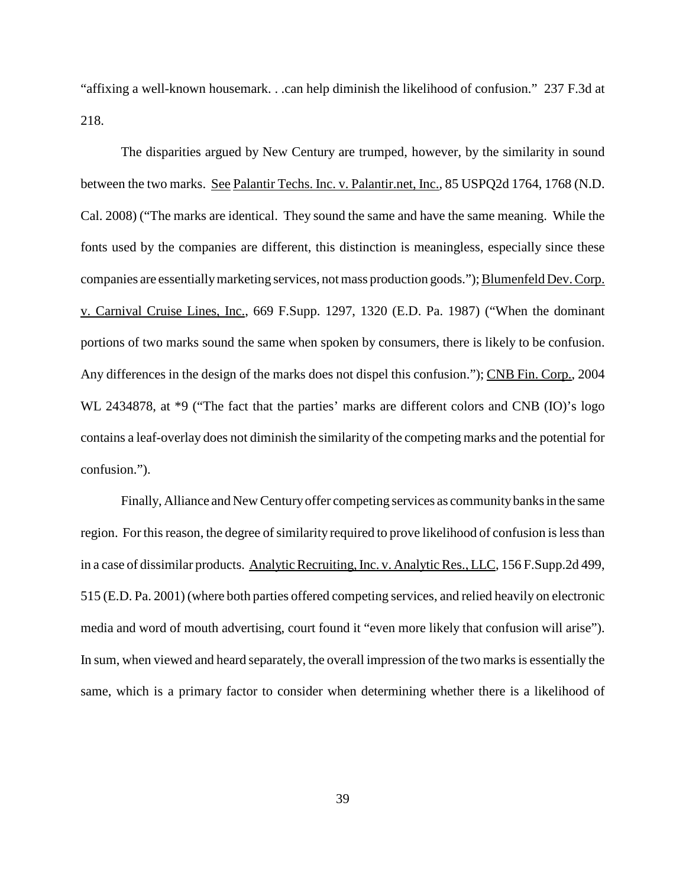"affixing a well-known housemark. . .can help diminish the likelihood of confusion." 237 F.3d at 218.

The disparities argued by New Century are trumped, however, by the similarity in sound between the two marks. See Palantir Techs. Inc. v. Palantir.net, Inc., 85 USPQ2d 1764, 1768 (N.D. Cal. 2008) ("The marks are identical. They sound the same and have the same meaning. While the fonts used by the companies are different, this distinction is meaningless, especially since these companies are essentially marketing services, not mass production goods."); Blumenfeld Dev. Corp. v. Carnival Cruise Lines, Inc., 669 F.Supp. 1297, 1320 (E.D. Pa. 1987) ("When the dominant portions of two marks sound the same when spoken by consumers, there is likely to be confusion. Any differences in the design of the marks does not dispel this confusion."); CNB Fin. Corp., 2004 WL 2434878, at \*9 ("The fact that the parties' marks are different colors and CNB (IO)'s logo contains a leaf-overlay does not diminish the similarity of the competing marks and the potential for confusion.").

Finally, Alliance and New Century offer competing services as community banks in the same region. For this reason, the degree of similarity required to prove likelihood of confusion is less than in a case of dissimilar products. Analytic Recruiting, Inc. v. Analytic Res., LLC, 156 F.Supp.2d 499, 515 (E.D. Pa. 2001) (where both parties offered competing services, and relied heavily on electronic media and word of mouth advertising, court found it "even more likely that confusion will arise"). In sum, when viewed and heard separately, the overall impression of the two marksis essentially the same, which is a primary factor to consider when determining whether there is a likelihood of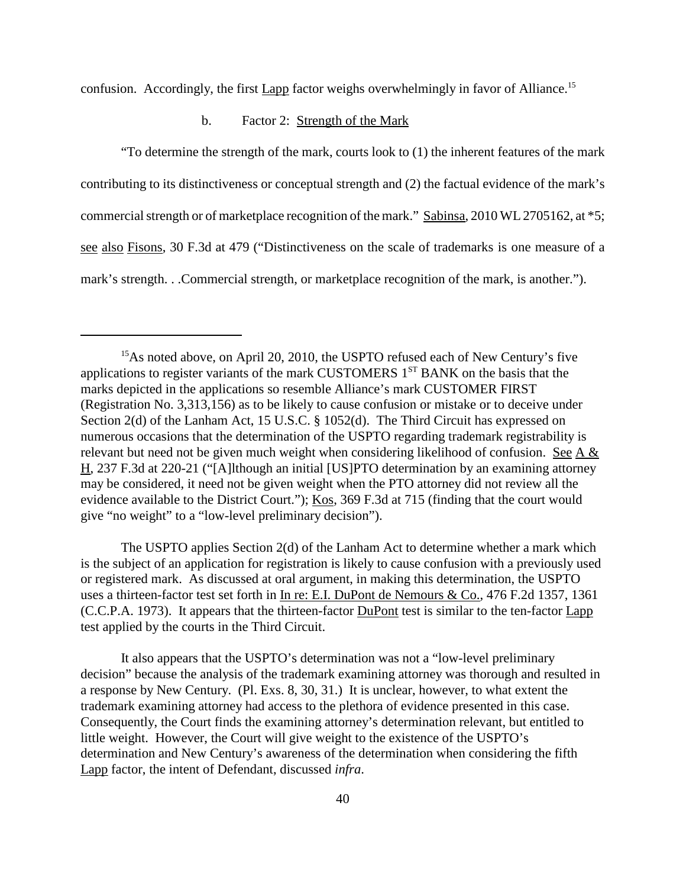confusion. Accordingly, the first Lapp factor weighs overwhelmingly in favor of Alliance.<sup>15</sup>

#### b. Factor 2: Strength of the Mark

"To determine the strength of the mark, courts look to (1) the inherent features of the mark contributing to its distinctiveness or conceptual strength and (2) the factual evidence of the mark's commercial strength or of marketplace recognition of the mark." Sabinsa,  $2010$  WL  $2705162$ , at  $*5$ ; see also Fisons, 30 F.3d at 479 ("Distinctiveness on the scale of trademarks is one measure of a mark's strength. . .Commercial strength, or marketplace recognition of the mark, is another.").

The USPTO applies Section 2(d) of the Lanham Act to determine whether a mark which is the subject of an application for registration is likely to cause confusion with a previously used or registered mark. As discussed at oral argument, in making this determination, the USPTO uses a thirteen-factor test set forth in In re: E.I. DuPont de Nemours & Co., 476 F.2d 1357, 1361 (C.C.P.A. 1973). It appears that the thirteen-factor DuPont test is similar to the ten-factor Lapp test applied by the courts in the Third Circuit.

It also appears that the USPTO's determination was not a "low-level preliminary decision" because the analysis of the trademark examining attorney was thorough and resulted in a response by New Century. (Pl. Exs. 8, 30, 31.) It is unclear, however, to what extent the trademark examining attorney had access to the plethora of evidence presented in this case. Consequently, the Court finds the examining attorney's determination relevant, but entitled to little weight. However, the Court will give weight to the existence of the USPTO's determination and New Century's awareness of the determination when considering the fifth Lapp factor, the intent of Defendant, discussed *infra*.

<sup>&</sup>lt;sup>15</sup>As noted above, on April 20, 2010, the USPTO refused each of New Century's five applications to register variants of the mark CUSTOMERS  $1<sup>ST</sup>$  BANK on the basis that the marks depicted in the applications so resemble Alliance's mark CUSTOMER FIRST (Registration No. 3,313,156) as to be likely to cause confusion or mistake or to deceive under Section 2(d) of the Lanham Act, 15 U.S.C. § 1052(d). The Third Circuit has expressed on numerous occasions that the determination of the USPTO regarding trademark registrability is relevant but need not be given much weight when considering likelihood of confusion. See A & H, 237 F.3d at 220-21 ("[A]lthough an initial [US]PTO determination by an examining attorney may be considered, it need not be given weight when the PTO attorney did not review all the evidence available to the District Court."); Kos, 369 F.3d at 715 (finding that the court would give "no weight" to a "low-level preliminary decision").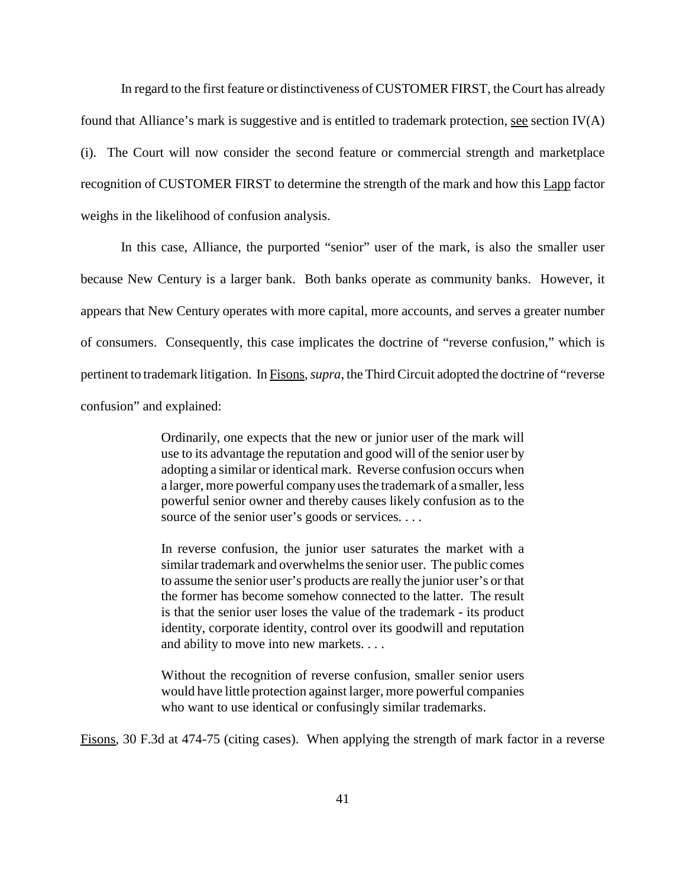In regard to the first feature or distinctiveness of CUSTOMER FIRST, the Court has already found that Alliance's mark is suggestive and is entitled to trademark protection, see section  $IV(A)$ (i). The Court will now consider the second feature or commercial strength and marketplace recognition of CUSTOMER FIRST to determine the strength of the mark and how this Lapp factor weighs in the likelihood of confusion analysis.

In this case, Alliance, the purported "senior" user of the mark, is also the smaller user because New Century is a larger bank. Both banks operate as community banks. However, it appears that New Century operates with more capital, more accounts, and serves a greater number of consumers. Consequently, this case implicates the doctrine of "reverse confusion," which is pertinent to trademark litigation. In Fisons,*supra*, the Third Circuit adopted the doctrine of "reverse confusion" and explained:

> Ordinarily, one expects that the new or junior user of the mark will use to its advantage the reputation and good will of the senior user by adopting a similar or identical mark. Reverse confusion occurs when a larger, more powerful company usesthe trademark of a smaller, less powerful senior owner and thereby causes likely confusion as to the source of the senior user's goods or services. . . .

> In reverse confusion, the junior user saturates the market with a similar trademark and overwhelms the senior user. The public comes to assume the senior user's products are really the junior user's or that the former has become somehow connected to the latter. The result is that the senior user loses the value of the trademark - its product identity, corporate identity, control over its goodwill and reputation and ability to move into new markets. . . .

> Without the recognition of reverse confusion, smaller senior users would have little protection against larger, more powerful companies who want to use identical or confusingly similar trademarks.

Fisons, 30 F.3d at 474-75 (citing cases). When applying the strength of mark factor in a reverse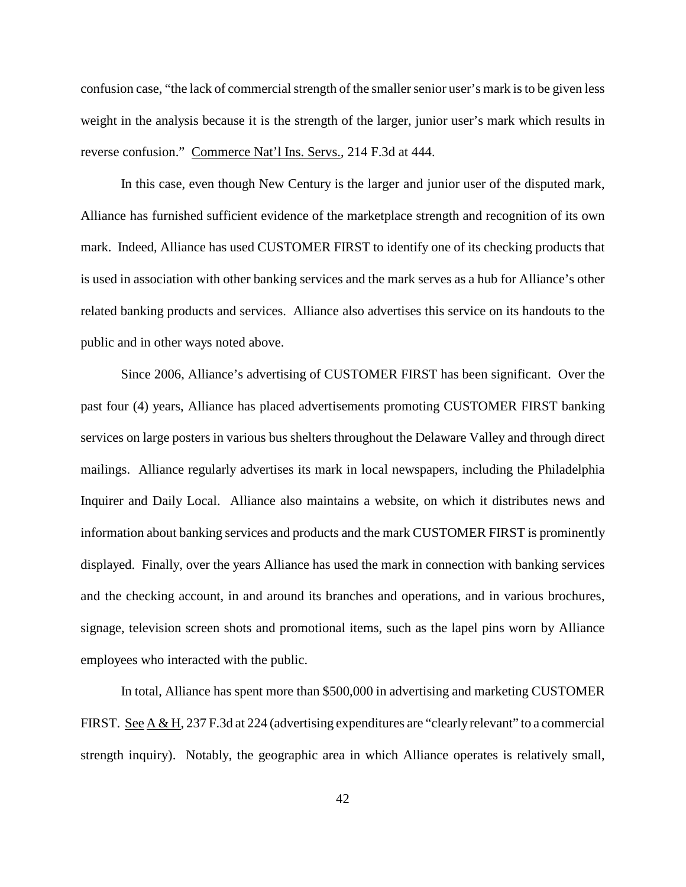confusion case, "the lack of commercial strength of the smaller senior user's mark is to be given less weight in the analysis because it is the strength of the larger, junior user's mark which results in reverse confusion." Commerce Nat'l Ins. Servs., 214 F.3d at 444.

In this case, even though New Century is the larger and junior user of the disputed mark, Alliance has furnished sufficient evidence of the marketplace strength and recognition of its own mark. Indeed, Alliance has used CUSTOMER FIRST to identify one of its checking products that is used in association with other banking services and the mark serves as a hub for Alliance's other related banking products and services. Alliance also advertises this service on its handouts to the public and in other ways noted above.

Since 2006, Alliance's advertising of CUSTOMER FIRST has been significant. Over the past four (4) years, Alliance has placed advertisements promoting CUSTOMER FIRST banking services on large posters in various bus shelters throughout the Delaware Valley and through direct mailings. Alliance regularly advertises its mark in local newspapers, including the Philadelphia Inquirer and Daily Local. Alliance also maintains a website, on which it distributes news and information about banking services and products and the mark CUSTOMER FIRST is prominently displayed. Finally, over the years Alliance has used the mark in connection with banking services and the checking account, in and around its branches and operations, and in various brochures, signage, television screen shots and promotional items, such as the lapel pins worn by Alliance employees who interacted with the public.

In total, Alliance has spent more than \$500,000 in advertising and marketing CUSTOMER FIRST. See  $A \& H$ , 237 F.3d at 224 (advertising expenditures are "clearly relevant" to a commercial strength inquiry). Notably, the geographic area in which Alliance operates is relatively small,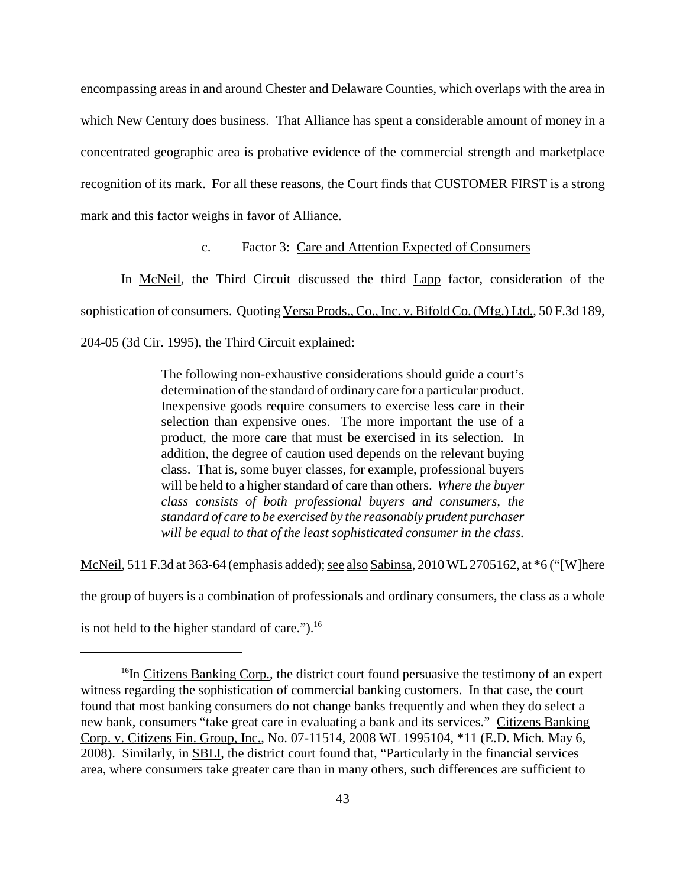encompassing areas in and around Chester and Delaware Counties, which overlaps with the area in which New Century does business. That Alliance has spent a considerable amount of money in a concentrated geographic area is probative evidence of the commercial strength and marketplace recognition of its mark. For all these reasons, the Court finds that CUSTOMER FIRST is a strong mark and this factor weighs in favor of Alliance.

### c. Factor 3: Care and Attention Expected of Consumers

In McNeil, the Third Circuit discussed the third Lapp factor, consideration of the sophistication of consumers. Quoting Versa Prods., Co., Inc. v. Bifold Co. (Mfg.) Ltd., 50 F.3d 189, 204-05 (3d Cir. 1995), the Third Circuit explained:

> The following non-exhaustive considerations should guide a court's determination of the standard of ordinary care for a particular product. Inexpensive goods require consumers to exercise less care in their selection than expensive ones. The more important the use of a product, the more care that must be exercised in its selection. In addition, the degree of caution used depends on the relevant buying class. That is, some buyer classes, for example, professional buyers will be held to a higher standard of care than others. Where the buyer *class consists of both professional buyers and consumers, the standard of care to be exercised by the reasonably prudent purchaser will be equal to that of the least sophisticated consumer in the class.*

McNeil, 511 F.3d at 363-64 (emphasis added); see also Sabinsa, 2010 WL 2705162, at  $*6$  ("[W]here

the group of buyers is a combination of professionals and ordinary consumers, the class as a whole

is not held to the higher standard of care.").<sup>16</sup>

<sup>&</sup>lt;sup>16</sup>In Citizens Banking Corp., the district court found persuasive the testimony of an expert witness regarding the sophistication of commercial banking customers. In that case, the court found that most banking consumers do not change banks frequently and when they do select a new bank, consumers "take great care in evaluating a bank and its services." Citizens Banking Corp. v. Citizens Fin. Group, Inc., No. 07-11514, 2008 WL 1995104, \*11 (E.D. Mich. May 6, 2008). Similarly, in SBLI, the district court found that, "Particularly in the financial services area, where consumers take greater care than in many others, such differences are sufficient to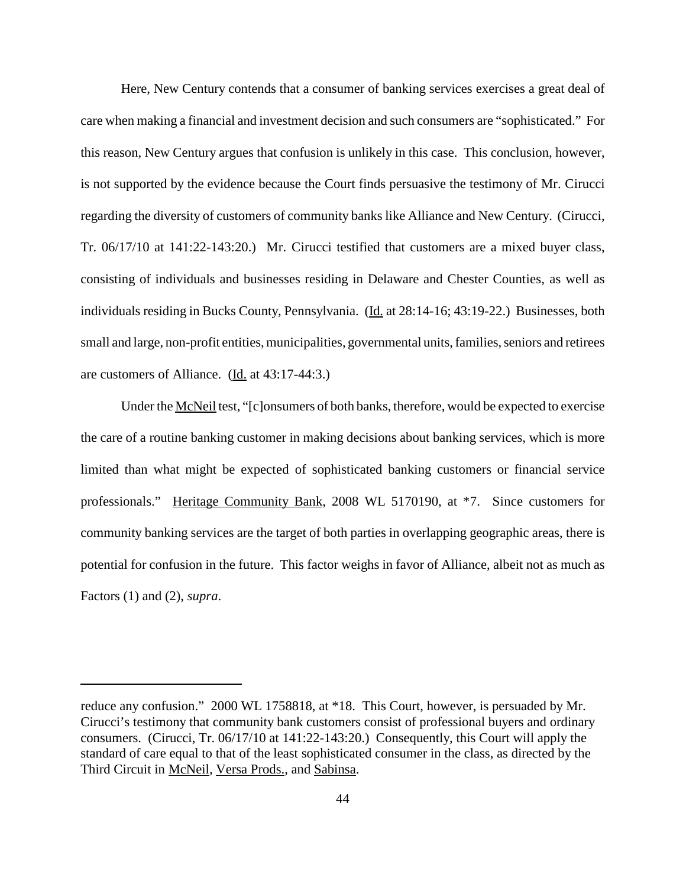Here, New Century contends that a consumer of banking services exercises a great deal of care when making a financial and investment decision and such consumers are "sophisticated." For this reason, New Century argues that confusion is unlikely in this case. This conclusion, however, is not supported by the evidence because the Court finds persuasive the testimony of Mr. Cirucci regarding the diversity of customers of community banks like Alliance and New Century. (Cirucci, Tr. 06/17/10 at 141:22-143:20.) Mr. Cirucci testified that customers are a mixed buyer class, consisting of individuals and businesses residing in Delaware and Chester Counties, as well as individuals residing in Bucks County, Pennsylvania. (Id. at 28:14-16; 43:19-22.) Businesses, both small and large, non-profit entities, municipalities, governmental units, families, seniors and retirees are customers of Alliance. (Id. at 43:17-44:3.)

Under the McNeil test, "[c]onsumers of both banks, therefore, would be expected to exercise the care of a routine banking customer in making decisions about banking services, which is more limited than what might be expected of sophisticated banking customers or financial service professionals." Heritage Community Bank, 2008 WL 5170190, at \*7. Since customers for community banking services are the target of both parties in overlapping geographic areas, there is potential for confusion in the future. This factor weighs in favor of Alliance, albeit not as much as Factors (1) and (2), *supra*.

reduce any confusion." 2000 WL 1758818, at \*18. This Court, however, is persuaded by Mr. Cirucci's testimony that community bank customers consist of professional buyers and ordinary consumers. (Cirucci, Tr. 06/17/10 at 141:22-143:20.) Consequently, this Court will apply the standard of care equal to that of the least sophisticated consumer in the class, as directed by the Third Circuit in McNeil, Versa Prods., and Sabinsa.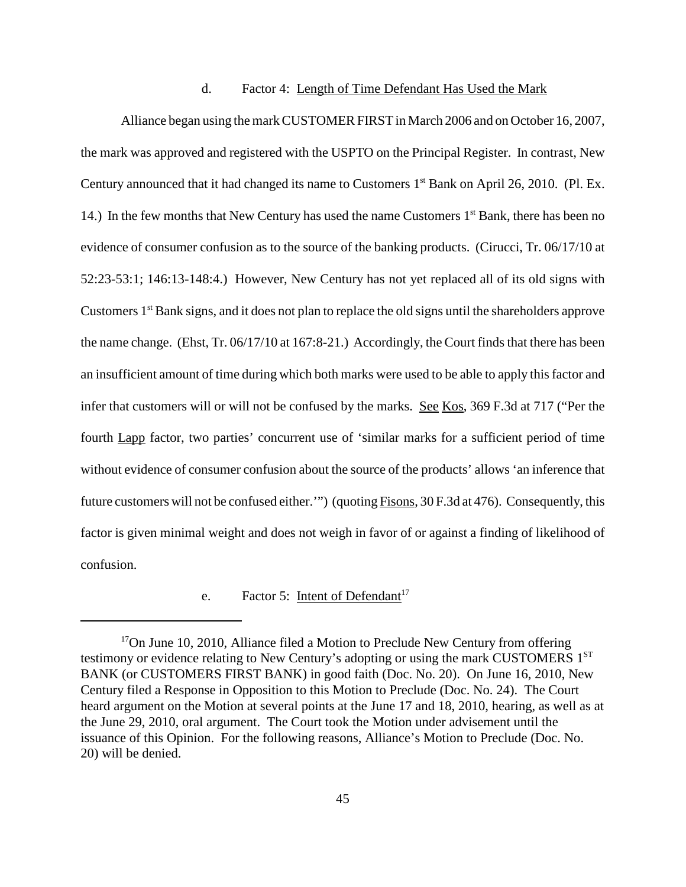#### d. Factor 4: Length of Time Defendant Has Used the Mark

Alliance began using the mark CUSTOMER FIRST in March 2006 and on October 16, 2007, the mark was approved and registered with the USPTO on the Principal Register. In contrast, New Century announced that it had changed its name to Customers 1<sup>st</sup> Bank on April 26, 2010. (Pl. Ex. 14.) In the few months that New Century has used the name Customers  $1<sup>st</sup>$  Bank, there has been no evidence of consumer confusion as to the source of the banking products. (Cirucci, Tr. 06/17/10 at 52:23-53:1; 146:13-148:4.) However, New Century has not yet replaced all of its old signs with Customers 1<sup>st</sup> Bank signs, and it does not plan to replace the old signs until the shareholders approve the name change. (Ehst,  $Tr. 06/17/10$  at  $167:8-21$ .) Accordingly, the Court finds that there has been an insufficient amount of time during which both marks were used to be able to apply this factor and infer that customers will or will not be confused by the marks. See Kos, 369 F.3d at 717 ("Per the fourth Lapp factor, two parties' concurrent use of 'similar marks for a sufficient period of time without evidence of consumer confusion about the source of the products' allows 'an inference that future customers will not be confused either."") (quoting Fisons, 30 F.3d at 476). Consequently, this factor is given minimal weight and does not weigh in favor of or against a finding of likelihood of confusion.

# e. Factor 5: <u>Intent of Defendant</u><sup>17</sup>

<sup>&</sup>lt;sup>17</sup>On June 10, 2010, Alliance filed a Motion to Preclude New Century from offering testimony or evidence relating to New Century's adopting or using the mark CUSTOMERS 1<sup>ST</sup> BANK (or CUSTOMERS FIRST BANK) in good faith (Doc. No. 20). On June 16, 2010, New Century filed a Response in Opposition to this Motion to Preclude (Doc. No. 24). The Court heard argument on the Motion at several points at the June 17 and 18, 2010, hearing, as well as at the June 29, 2010, oral argument. The Court took the Motion under advisement until the issuance of this Opinion. For the following reasons, Alliance's Motion to Preclude (Doc. No. 20) will be denied.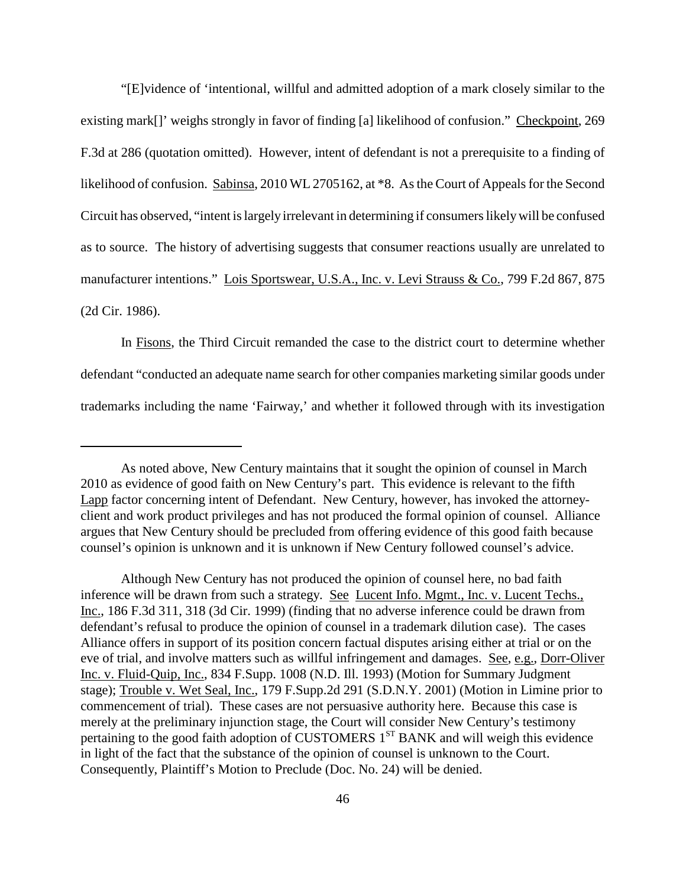"[E]vidence of 'intentional, willful and admitted adoption of a mark closely similar to the existing mark[]' weighs strongly in favor of finding [a] likelihood of confusion." Checkpoint, 269 F.3d at 286 (quotation omitted). However, intent of defendant is not a prerequisite to a finding of likelihood of confusion. Sabinsa, 2010 WL 2705162, at  $*8$ . As the Court of Appeals for the Second Circuit has observed, "intent is largely irrelevant in determining if consumers likely will be confused as to source. The history of advertising suggests that consumer reactions usually are unrelated to manufacturer intentions." Lois Sportswear, U.S.A., Inc. v. Levi Strauss & Co., 799 F.2d 867, 875 (2d Cir. 1986).

In Fisons, the Third Circuit remanded the case to the district court to determine whether defendant "conducted an adequate name search for other companies marketing similar goods under trademarks including the name 'Fairway,' and whether it followed through with its investigation

As noted above, New Century maintains that it sought the opinion of counsel in March 2010 as evidence of good faith on New Century's part. This evidence is relevant to the fifth Lapp factor concerning intent of Defendant. New Century, however, has invoked the attorneyclient and work product privileges and has not produced the formal opinion of counsel. Alliance argues that New Century should be precluded from offering evidence of this good faith because counsel's opinion is unknown and it is unknown if New Century followed counsel's advice.

Although New Century has not produced the opinion of counsel here, no bad faith inference will be drawn from such a strategy. See Lucent Info. Mgmt., Inc. v. Lucent Techs., Inc., 186 F.3d 311, 318 (3d Cir. 1999) (finding that no adverse inference could be drawn from defendant's refusal to produce the opinion of counsel in a trademark dilution case). The cases Alliance offers in support of its position concern factual disputes arising either at trial or on the eve of trial, and involve matters such as willful infringement and damages. See, e.g., Dorr-Oliver Inc. v. Fluid-Quip, Inc., 834 F.Supp. 1008 (N.D. Ill. 1993) (Motion for Summary Judgment stage); Trouble v. Wet Seal, Inc., 179 F.Supp.2d 291 (S.D.N.Y. 2001) (Motion in Limine prior to commencement of trial). These cases are not persuasive authority here. Because this case is merely at the preliminary injunction stage, the Court will consider New Century's testimony pertaining to the good faith adoption of CUSTOMERS 1<sup>ST</sup> BANK and will weigh this evidence in light of the fact that the substance of the opinion of counsel is unknown to the Court. Consequently, Plaintiff's Motion to Preclude (Doc. No. 24) will be denied.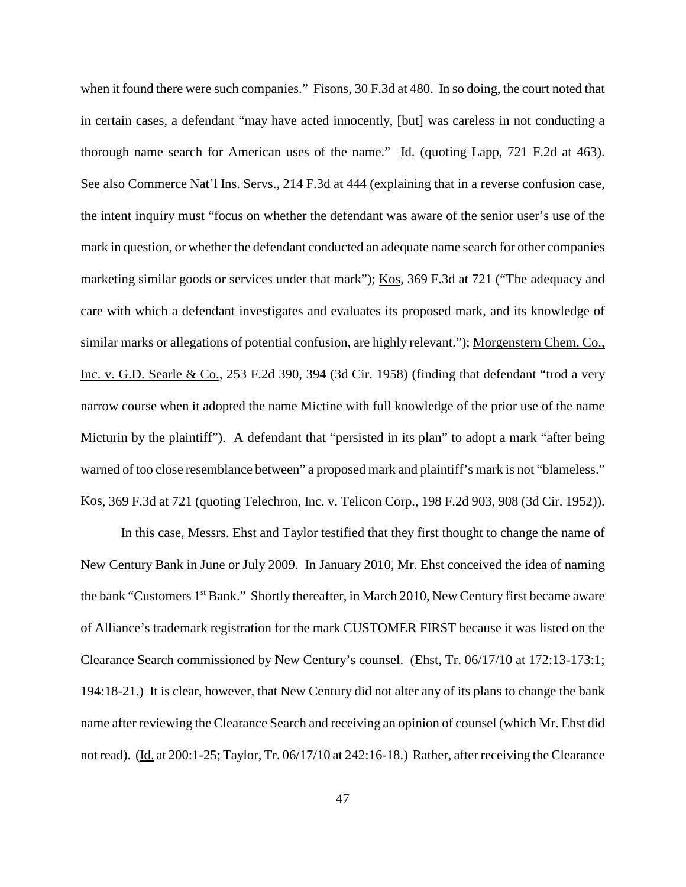when it found there were such companies." Fisons, 30 F.3d at 480. In so doing, the court noted that in certain cases, a defendant "may have acted innocently, [but] was careless in not conducting a thorough name search for American uses of the name."  $\underline{Id}$ . (quoting Lapp, 721 F.2d at 463). See also Commerce Nat'l Ins. Servs., 214 F.3d at 444 (explaining that in a reverse confusion case, the intent inquiry must "focus on whether the defendant was aware of the senior user's use of the mark in question, or whether the defendant conducted an adequate name search for other companies marketing similar goods or services under that mark"); Kos, 369 F.3d at 721 ("The adequacy and care with which a defendant investigates and evaluates its proposed mark, and its knowledge of similar marks or allegations of potential confusion, are highly relevant."); Morgenstern Chem. Co., Inc. v. G.D. Searle & Co., 253 F.2d 390, 394 (3d Cir. 1958) (finding that defendant "trod a very narrow course when it adopted the name Mictine with full knowledge of the prior use of the name Micturin by the plaintiff"). A defendant that "persisted in its plan" to adopt a mark "after being warned of too close resemblance between" a proposed mark and plaintiff's mark is not "blameless." Kos, 369 F.3d at 721 (quoting Telechron, Inc. v. Telicon Corp., 198 F.2d 903, 908 (3d Cir. 1952)).

In this case, Messrs. Ehst and Taylor testified that they first thought to change the name of New Century Bank in June or July 2009. In January 2010, Mr. Ehst conceived the idea of naming the bank "Customers 1<sup>st</sup> Bank." Shortly thereafter, in March 2010, New Century first became aware of Alliance's trademark registration for the mark CUSTOMER FIRST because it was listed on the Clearance Search commissioned by New Century's counsel. (Ehst, Tr. 06/17/10 at 172:13-173:1; 194:18-21.) It is clear, however, that New Century did not alter any of its plans to change the bank name after reviewing the Clearance Search and receiving an opinion of counsel (which Mr. Ehst did not read). (Id. at 200:1-25; Taylor, Tr. 06/17/10 at 242:16-18.) Rather, after receiving the Clearance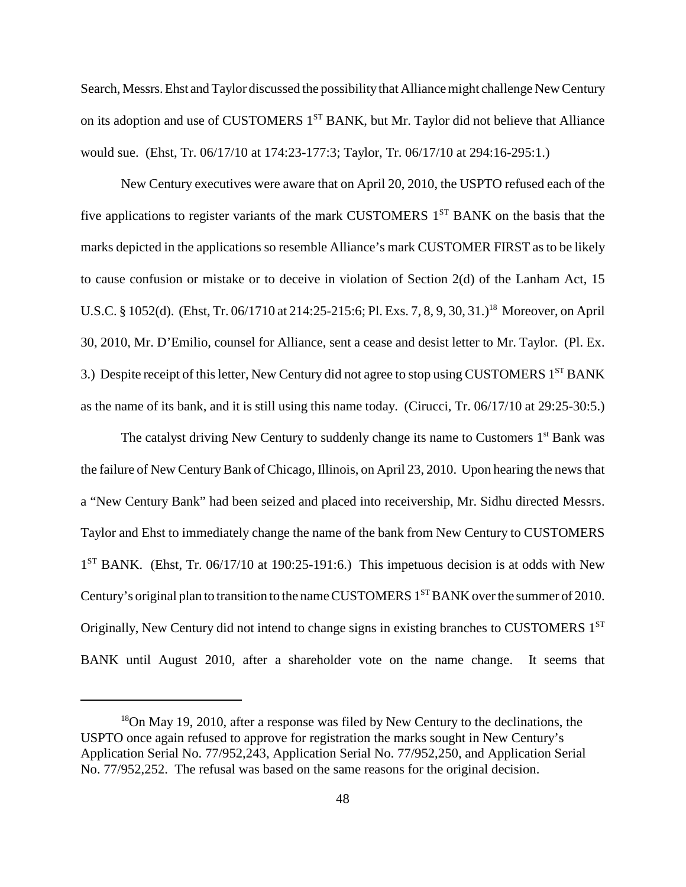Search, Messrs. Ehst and Taylor discussed the possibility that Alliance might challenge New Century on its adoption and use of CUSTOMERS 1<sup>ST</sup> BANK, but Mr. Taylor did not believe that Alliance would sue. (Ehst, Tr. 06/17/10 at 174:23-177:3; Taylor, Tr. 06/17/10 at 294:16-295:1.)

New Century executives were aware that on April 20, 2010, the USPTO refused each of the five applications to register variants of the mark CUSTOMERS  $1<sup>ST</sup>$  BANK on the basis that the marks depicted in the applications so resemble Alliance's mark CUSTOMER FIRST asto be likely to cause confusion or mistake or to deceive in violation of Section 2(d) of the Lanham Act, 15 U.S.C. § 1052(d). (Ehst, Tr. 06/1710 at 214:25-215:6; Pl. Exs. 7, 8, 9, 30, 31.) <sup>18</sup> Moreover, on April 30, 2010, Mr. D'Emilio, counsel for Alliance, sent a cease and desist letter to Mr. Taylor. (Pl. Ex. 3.) Despite receipt of this letter, New Century did not agree to stop using CUSTOMERS 1<sup>ST</sup> BANK as the name of its bank, and it is still using this name today. (Cirucci, Tr. 06/17/10 at 29:25-30:5.)

The catalyst driving New Century to suddenly change its name to Customers  $1<sup>st</sup>$  Bank was the failure of New CenturyBank of Chicago, Illinois, on April 23, 2010. Upon hearing the newsthat a "New Century Bank" had been seized and placed into receivership, Mr. Sidhu directed Messrs. Taylor and Ehst to immediately change the name of the bank from New Century to CUSTOMERS  $1<sup>ST</sup>$  BANK. (Ehst, Tr. 06/17/10 at 190:25-191:6.) This impetuous decision is at odds with New Century's original plan to transition to the name CUSTOMERS 1<sup>ST</sup> BANK over the summer of 2010. Originally, New Century did not intend to change signs in existing branches to CUSTOMERS 1<sup>ST</sup> BANK until August 2010, after a shareholder vote on the name change. It seems that

 $18$ On May 19, 2010, after a response was filed by New Century to the declinations, the USPTO once again refused to approve for registration the marks sought in New Century's Application Serial No. 77/952,243, Application Serial No. 77/952,250, and Application Serial No. 77/952,252. The refusal was based on the same reasons for the original decision.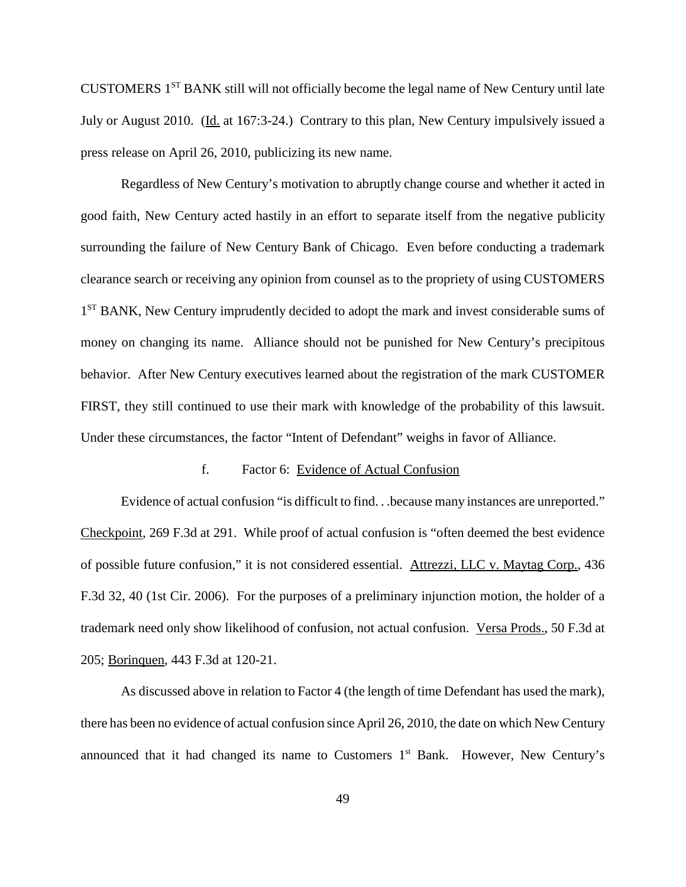CUSTOMERS 1ST BANK still will not officially become the legal name of New Century until late July or August 2010. (Id. at 167:3-24.) Contrary to this plan, New Century impulsively issued a press release on April 26, 2010, publicizing its new name.

Regardless of New Century's motivation to abruptly change course and whether it acted in good faith, New Century acted hastily in an effort to separate itself from the negative publicity surrounding the failure of New Century Bank of Chicago. Even before conducting a trademark clearance search or receiving any opinion from counsel as to the propriety of using CUSTOMERS 1<sup>ST</sup> BANK, New Century imprudently decided to adopt the mark and invest considerable sums of money on changing its name. Alliance should not be punished for New Century's precipitous behavior. After New Century executives learned about the registration of the mark CUSTOMER FIRST, they still continued to use their mark with knowledge of the probability of this lawsuit. Under these circumstances, the factor "Intent of Defendant" weighs in favor of Alliance.

#### f. Factor 6: Evidence of Actual Confusion

Evidence of actual confusion "is difficult to find. . .because many instances are unreported." Checkpoint, 269 F.3d at 291. While proof of actual confusion is "often deemed the best evidence of possible future confusion," it is not considered essential. Attrezzi, LLC v. Maytag Corp., 436 F.3d 32, 40 (1st Cir. 2006). For the purposes of a preliminary injunction motion, the holder of a trademark need only show likelihood of confusion, not actual confusion. Versa Prods., 50 F.3d at 205; Borinquen, 443 F.3d at 120-21.

As discussed above in relation to Factor 4 (the length of time Defendant has used the mark), there has been no evidence of actual confusion since April 26, 2010, the date on which New Century announced that it had changed its name to Customers  $1<sup>st</sup>$  Bank. However, New Century's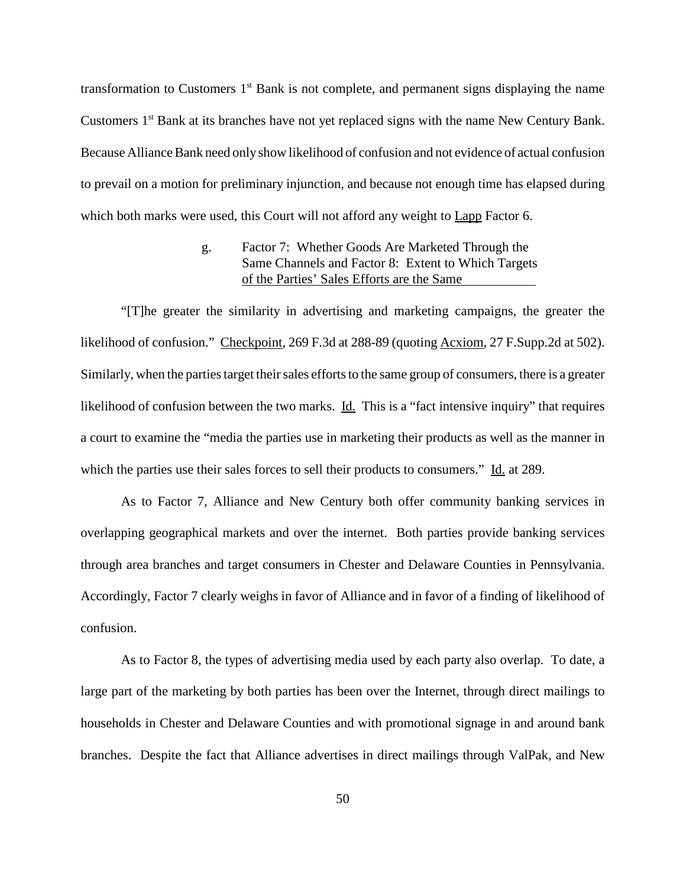transformation to Customers  $1<sup>st</sup>$  Bank is not complete, and permanent signs displaying the name Customers 1<sup>st</sup> Bank at its branches have not yet replaced signs with the name New Century Bank. Because Alliance Bank need only show likelihood of confusion and not evidence of actual confusion to prevail on a motion for preliminary injunction, and because not enough time has elapsed during which both marks were used, this Court will not afford any weight to Lapp Factor 6.

# g. Factor 7: Whether Goods Are Marketed Through the Same Channels and Factor 8: Extent to Which Targets of the Parties' Sales Efforts are the Same

"[T]he greater the similarity in advertising and marketing campaigns, the greater the likelihood of confusion." Checkpoint, 269 F.3d at 288-89 (quoting Acxiom, 27 F.Supp.2d at 502). Similarly, when the parties target their sales efforts to the same group of consumers, there is a greater likelihood of confusion between the two marks. Id. This is a "fact intensive inquiry" that requires a court to examine the "media the parties use in marketing their products as well as the manner in which the parties use their sales forces to sell their products to consumers." Id. at 289.

As to Factor 7, Alliance and New Century both offer community banking services in overlapping geographical markets and over the internet. Both parties provide banking services through area branches and target consumers in Chester and Delaware Counties in Pennsylvania. Accordingly, Factor 7 clearly weighs in favor of Alliance and in favor of a finding of likelihood of confusion.

As to Factor 8, the types of advertising media used by each party also overlap. To date, a large part of the marketing by both parties has been over the Internet, through direct mailings to households in Chester and Delaware Counties and with promotional signage in and around bank branches. Despite the fact that Alliance advertises in direct mailings through ValPak, and New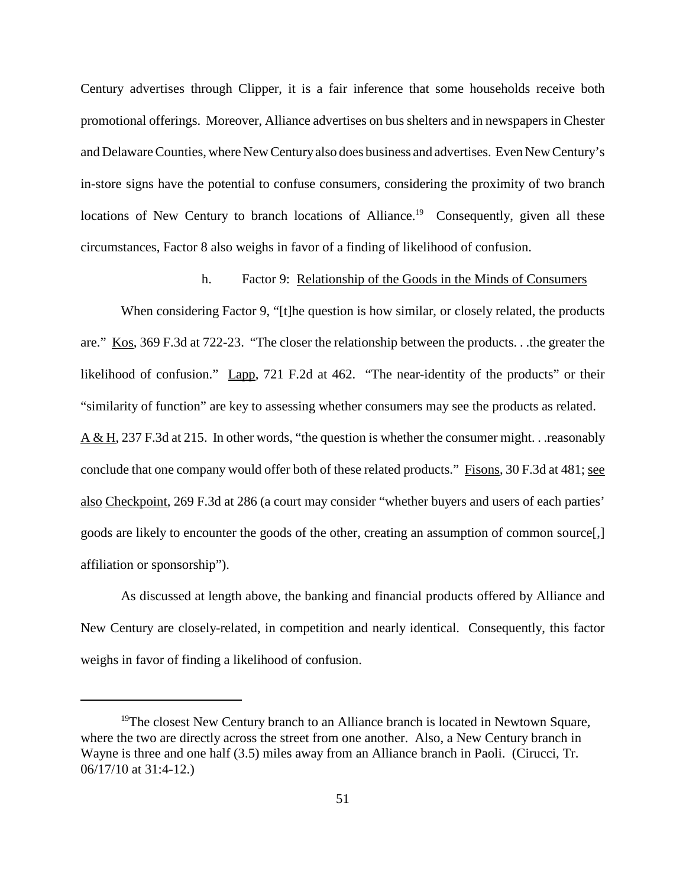Century advertises through Clipper, it is a fair inference that some households receive both promotional offerings. Moreover, Alliance advertises on bus shelters and in newspapers in Chester and Delaware Counties, where New Century also does business and advertises. Even New Century's in-store signs have the potential to confuse consumers, considering the proximity of two branch locations of New Century to branch locations of Alliance.<sup>19</sup> Consequently, given all these circumstances, Factor 8 also weighs in favor of a finding of likelihood of confusion.

# h. Factor 9: Relationship of the Goods in the Minds of Consumers

When considering Factor 9, "[t]he question is how similar, or closely related, the products are." Kos, 369 F.3d at 722-23. "The closer the relationship between the products. . .the greater the likelihood of confusion." Lapp, 721 F.2d at 462. "The near-identity of the products" or their "similarity of function" are key to assessing whether consumers may see the products as related. A & H, 237 F.3d at 215. In other words, "the question is whether the consumer might. . .reasonably conclude that one company would offer both of these related products." Fisons, 30 F.3d at 481; see also Checkpoint, 269 F.3d at 286 (a court may consider "whether buyers and users of each parties' goods are likely to encounter the goods of the other, creating an assumption of common source[,] affiliation or sponsorship").

As discussed at length above, the banking and financial products offered by Alliance and New Century are closely-related, in competition and nearly identical. Consequently, this factor weighs in favor of finding a likelihood of confusion.

<sup>&</sup>lt;sup>19</sup>The closest New Century branch to an Alliance branch is located in Newtown Square, where the two are directly across the street from one another. Also, a New Century branch in Wayne is three and one half (3.5) miles away from an Alliance branch in Paoli. (Cirucci, Tr. 06/17/10 at 31:4-12.)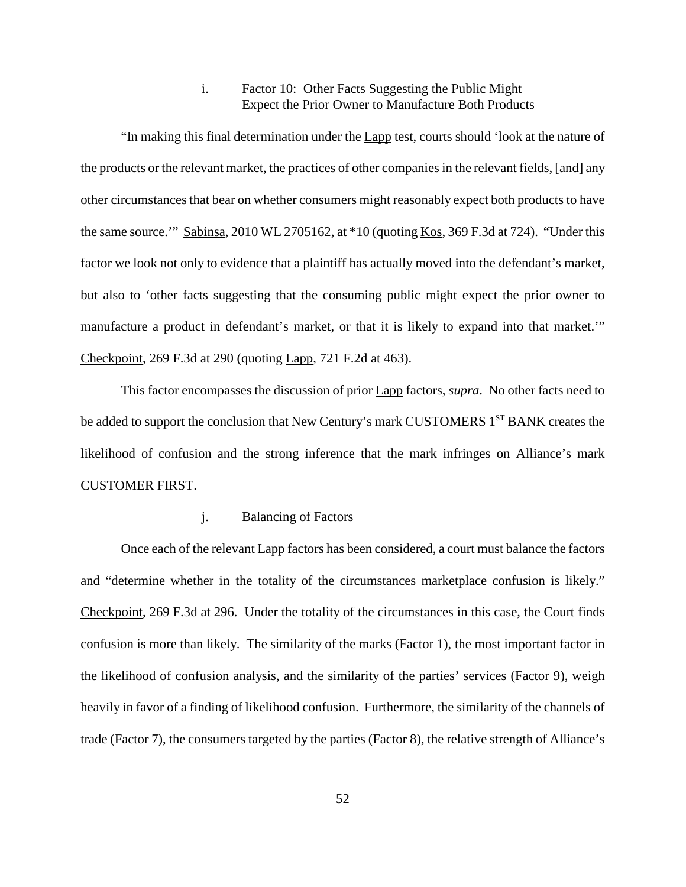# i. Factor 10: Other Facts Suggesting the Public Might Expect the Prior Owner to Manufacture Both Products

"In making this final determination under the Lapp test, courts should 'look at the nature of the products or the relevant market, the practices of other companiesin the relevant fields, [and] any other circumstancesthat bear on whether consumers might reasonably expect both products to have the same source." Sabinsa, 2010 WL 2705162, at  $*10$  (quoting Kos, 369 F.3d at 724). "Under this factor we look not only to evidence that a plaintiff has actually moved into the defendant's market, but also to 'other facts suggesting that the consuming public might expect the prior owner to manufacture a product in defendant's market, or that it is likely to expand into that market.'" Checkpoint, 269 F.3d at 290 (quoting Lapp, 721 F.2d at 463).

This factor encompasses the discussion of prior Lapp factors, *supra*. No other facts need to be added to support the conclusion that New Century's mark CUSTOMERS 1<sup>ST</sup> BANK creates the likelihood of confusion and the strong inference that the mark infringes on Alliance's mark CUSTOMER FIRST.

# j. Balancing of Factors

Once each of the relevant Lapp factors has been considered, a court must balance the factors and "determine whether in the totality of the circumstances marketplace confusion is likely." Checkpoint, 269 F.3d at 296. Under the totality of the circumstances in this case, the Court finds confusion is more than likely. The similarity of the marks (Factor 1), the most important factor in the likelihood of confusion analysis, and the similarity of the parties' services (Factor 9), weigh heavily in favor of a finding of likelihood confusion. Furthermore, the similarity of the channels of trade (Factor 7), the consumers targeted by the parties (Factor 8), the relative strength of Alliance's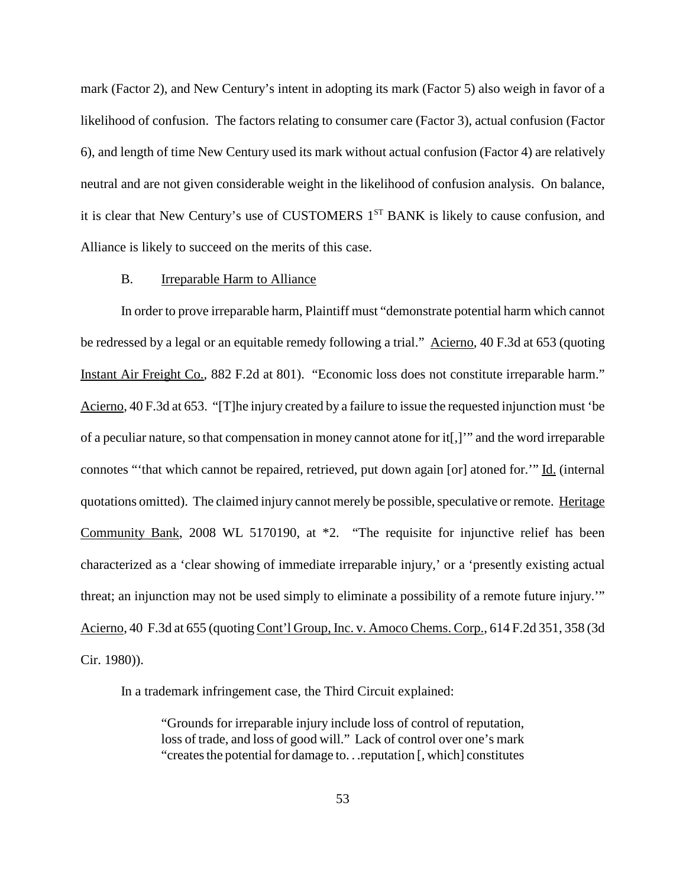mark (Factor 2), and New Century's intent in adopting its mark (Factor 5) also weigh in favor of a likelihood of confusion. The factors relating to consumer care (Factor 3), actual confusion (Factor 6), and length of time New Century used its mark without actual confusion (Factor 4) are relatively neutral and are not given considerable weight in the likelihood of confusion analysis. On balance, it is clear that New Century's use of CUSTOMERS 1<sup>ST</sup> BANK is likely to cause confusion, and Alliance is likely to succeed on the merits of this case.

## B. Irreparable Harm to Alliance

In order to prove irreparable harm, Plaintiff must "demonstrate potential harm which cannot be redressed by a legal or an equitable remedy following a trial." Acierno, 40 F.3d at 653 (quoting Instant Air Freight Co., 882 F.2d at 801). "Economic loss does not constitute irreparable harm." Acierno, 40 F.3d at 653. "[T]he injury created by a failure to issue the requested injunction must 'be of a peculiar nature, so that compensation in money cannot atone for it[,]" and the word irreparable connotes "'that which cannot be repaired, retrieved, put down again [or] atoned for.'" Id. (internal quotations omitted). The claimed injury cannot merely be possible, speculative or remote. Heritage Community Bank, 2008 WL 5170190, at \*2. "The requisite for injunctive relief has been characterized as a 'clear showing of immediate irreparable injury,' or a 'presently existing actual threat; an injunction may not be used simply to eliminate a possibility of a remote future injury.'" Acierno, 40 F.3d at 655 (quoting Cont'l Group, Inc. v. Amoco Chems. Corp., 614 F.2d 351, 358 (3d Cir. 1980)).

In a trademark infringement case, the Third Circuit explained:

"Grounds for irreparable injury include loss of control of reputation, loss of trade, and loss of good will." Lack of control over one's mark "creates the potential for damage to... reputation [, which] constitutes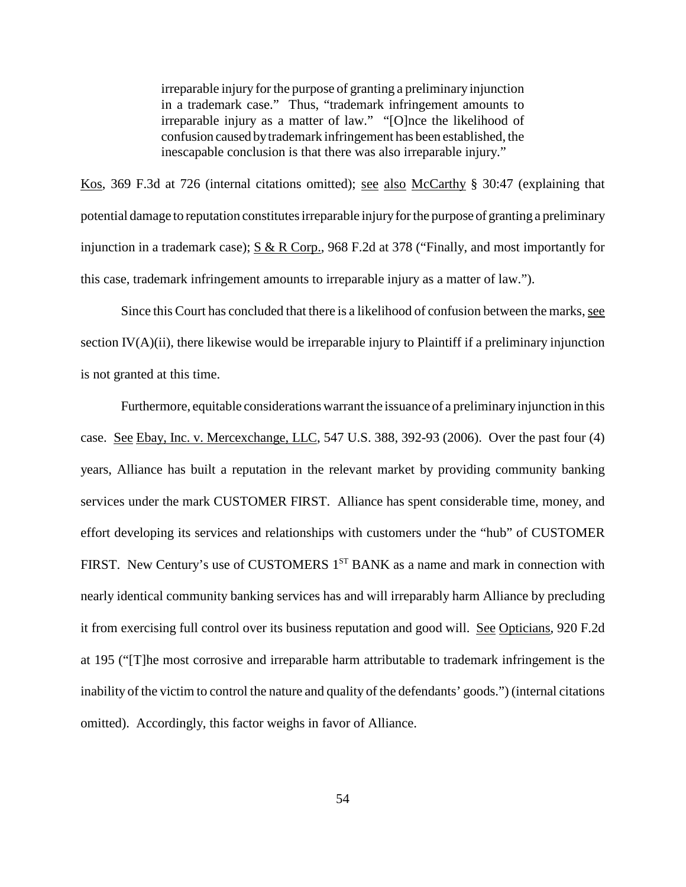irreparable injury for the purpose of granting a preliminary injunction in a trademark case." Thus, "trademark infringement amounts to irreparable injury as a matter of law." "[O]nce the likelihood of confusion caused bytrademark infringement has been established, the inescapable conclusion is that there was also irreparable injury."

Kos, 369 F.3d at 726 (internal citations omitted); see also McCarthy § 30:47 (explaining that potential damage to reputation constitutes irreparable injury for the purpose of granting a preliminary injunction in a trademark case); S & R Corp., 968 F.2d at 378 ("Finally, and most importantly for this case, trademark infringement amounts to irreparable injury as a matter of law.").

Since this Court has concluded that there is a likelihood of confusion between the marks, see section IV(A)(ii), there likewise would be irreparable injury to Plaintiff if a preliminary injunction is not granted at this time.

Furthermore, equitable considerations warrant the issuance of a preliminary injunction in this case. See Ebay, Inc. v. Mercexchange, LLC, 547 U.S. 388, 392-93 (2006). Over the past four (4) years, Alliance has built a reputation in the relevant market by providing community banking services under the mark CUSTOMER FIRST. Alliance has spent considerable time, money, and effort developing its services and relationships with customers under the "hub" of CUSTOMER FIRST. New Century's use of CUSTOMERS 1<sup>ST</sup> BANK as a name and mark in connection with nearly identical community banking services has and will irreparably harm Alliance by precluding it from exercising full control over its business reputation and good will. See Opticians, 920 F.2d at 195 ("[T]he most corrosive and irreparable harm attributable to trademark infringement is the inability of the victim to control the nature and quality of the defendants' goods.") (internal citations omitted). Accordingly, this factor weighs in favor of Alliance.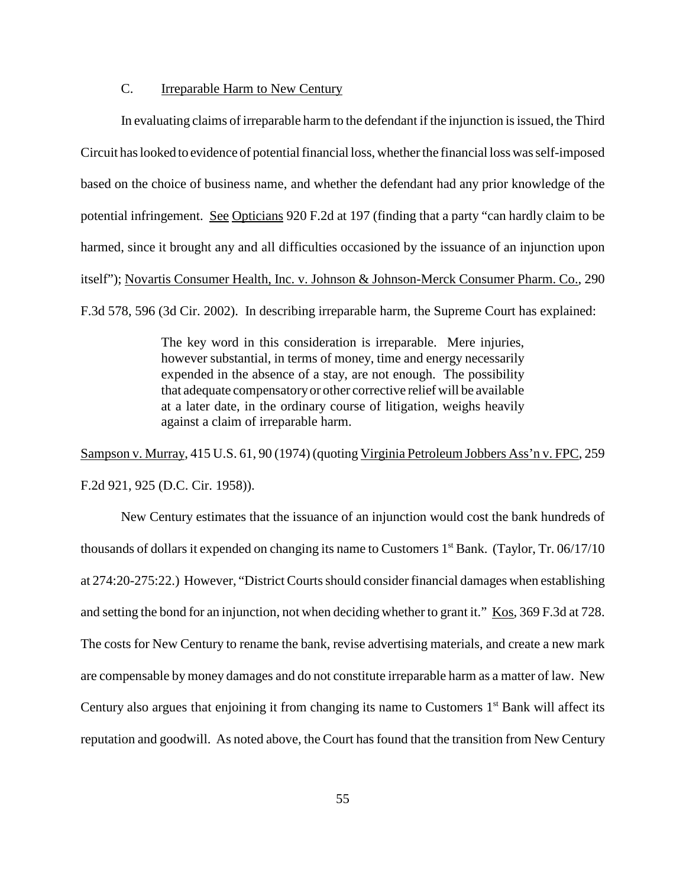## C. Irreparable Harm to New Century

In evaluating claims of irreparable harm to the defendant if the injunction is issued, the Third Circuit has looked to evidence of potential financial loss, whether the financial loss was self-imposed based on the choice of business name, and whether the defendant had any prior knowledge of the potential infringement. See Opticians 920 F.2d at 197 (finding that a party "can hardly claim to be harmed, since it brought any and all difficulties occasioned by the issuance of an injunction upon itself"); Novartis Consumer Health, Inc. v. Johnson & Johnson-Merck Consumer Pharm. Co., 290 F.3d 578, 596 (3d Cir. 2002). In describing irreparable harm, the Supreme Court has explained:

> The key word in this consideration is irreparable. Mere injuries, however substantial, in terms of money, time and energy necessarily expended in the absence of a stay, are not enough. The possibility that adequate compensatoryor other corrective relief will be available at a later date, in the ordinary course of litigation, weighs heavily against a claim of irreparable harm.

Sampson v. Murray, 415 U.S. 61, 90 (1974) (quoting Virginia Petroleum Jobbers Ass'n v. FPC, 259 F.2d 921, 925 (D.C. Cir. 1958)).

New Century estimates that the issuance of an injunction would cost the bank hundreds of thousands of dollars it expended on changing its name to Customers 1st Bank. (Taylor, Tr. 06/17/10 at 274:20-275:22.) However, "District Courts should consider financial damages when establishing and setting the bond for an injunction, not when deciding whether to grant it." Kos, 369 F.3d at 728. The costs for New Century to rename the bank, revise advertising materials, and create a new mark are compensable by money damages and do not constitute irreparable harm as a matter of law. New Century also argues that enjoining it from changing its name to Customers 1<sup>st</sup> Bank will affect its reputation and goodwill. As noted above, the Court has found that the transition from New Century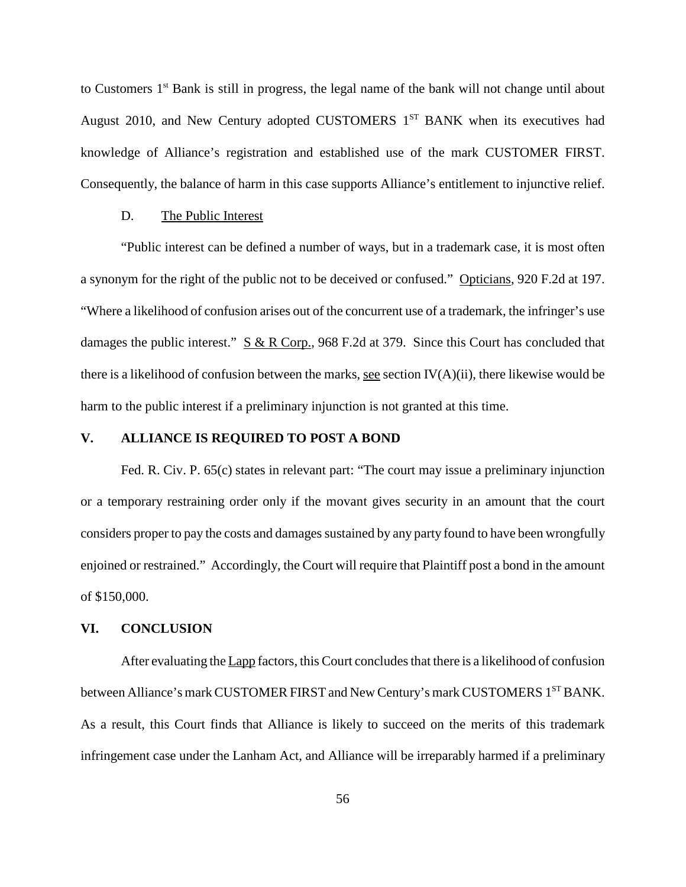to Customers 1<sup>st</sup> Bank is still in progress, the legal name of the bank will not change until about August 2010, and New Century adopted CUSTOMERS  $1<sup>ST</sup>$  BANK when its executives had knowledge of Alliance's registration and established use of the mark CUSTOMER FIRST. Consequently, the balance of harm in this case supports Alliance's entitlement to injunctive relief.

#### D. The Public Interest

"Public interest can be defined a number of ways, but in a trademark case, it is most often a synonym for the right of the public not to be deceived or confused." Opticians, 920 F.2d at 197. "Where a likelihood of confusion arises out of the concurrent use of a trademark, the infringer's use damages the public interest."  $S & R$  Corp., 968 F.2d at 379. Since this Court has concluded that there is a likelihood of confusion between the marks, see section  $IV(A)(ii)$ , there likewise would be harm to the public interest if a preliminary injunction is not granted at this time.

# **V. ALLIANCE IS REQUIRED TO POST A BOND**

Fed. R. Civ. P. 65(c) states in relevant part: "The court may issue a preliminary injunction or a temporary restraining order only if the movant gives security in an amount that the court considers proper to pay the costs and damages sustained by any party found to have been wrongfully enjoined or restrained." Accordingly, the Court will require that Plaintiff post a bond in the amount of \$150,000.

### **VI. CONCLUSION**

After evaluating the Lapp factors, this Court concludes that there is a likelihood of confusion between Alliance's mark CUSTOMER FIRST and New Century's mark CUSTOMERS 1<sup>ST</sup> BANK. As a result, this Court finds that Alliance is likely to succeed on the merits of this trademark infringement case under the Lanham Act, and Alliance will be irreparably harmed if a preliminary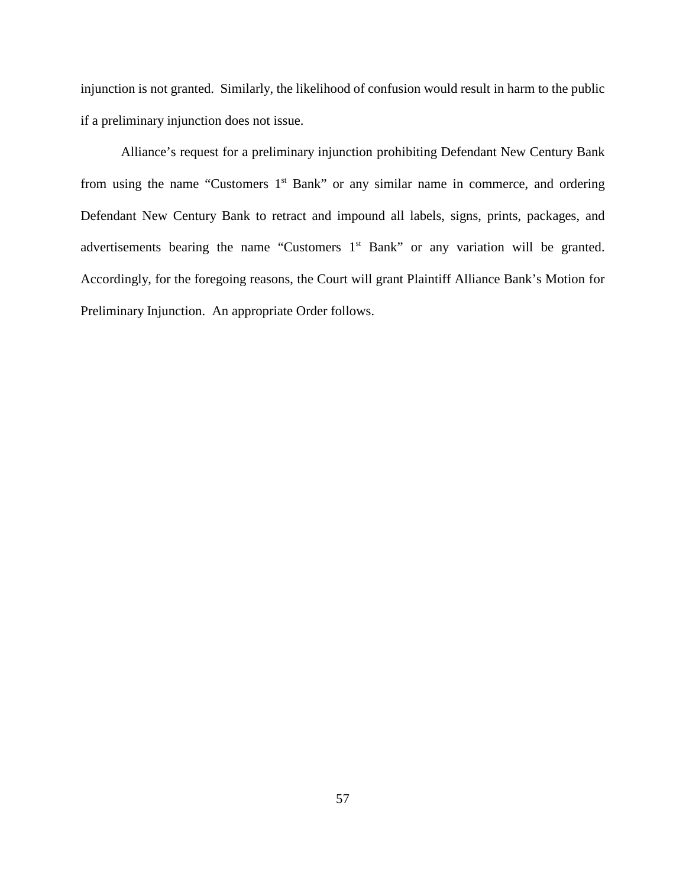injunction is not granted. Similarly, the likelihood of confusion would result in harm to the public if a preliminary injunction does not issue.

Alliance's request for a preliminary injunction prohibiting Defendant New Century Bank from using the name "Customers 1<sup>st</sup> Bank" or any similar name in commerce, and ordering Defendant New Century Bank to retract and impound all labels, signs, prints, packages, and advertisements bearing the name "Customers 1<sup>st</sup> Bank" or any variation will be granted. Accordingly, for the foregoing reasons, the Court will grant Plaintiff Alliance Bank's Motion for Preliminary Injunction. An appropriate Order follows.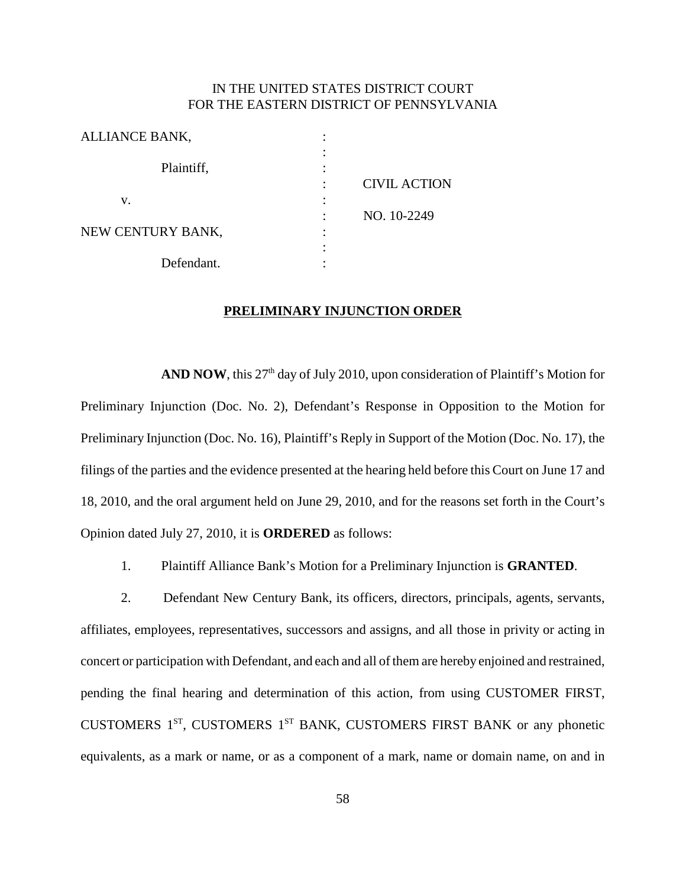# IN THE UNITED STATES DISTRICT COURT FOR THE EASTERN DISTRICT OF PENNSYLVANIA

| ALLIANCE BANK,    |                     |
|-------------------|---------------------|
|                   |                     |
| Plaintiff,        |                     |
|                   | <b>CIVIL ACTION</b> |
| v.                |                     |
|                   | NO. 10-2249         |
| NEW CENTURY BANK, |                     |
|                   |                     |
| Defendant.        |                     |
|                   |                     |

#### **PRELIMINARY INJUNCTION ORDER**

AND **NOW**, this 27<sup>th</sup> day of July 2010, upon consideration of Plaintiff's Motion for Preliminary Injunction (Doc. No. 2), Defendant's Response in Opposition to the Motion for Preliminary Injunction (Doc. No. 16), Plaintiff's Reply in Support of the Motion (Doc. No. 17), the filings of the parties and the evidence presented at the hearing held before this Court on June 17 and 18, 2010, and the oral argument held on June 29, 2010, and for the reasons set forth in the Court's Opinion dated July 27, 2010, it is **ORDERED** as follows:

1. Plaintiff Alliance Bank's Motion for a Preliminary Injunction is **GRANTED**.

2. Defendant New Century Bank, its officers, directors, principals, agents, servants, affiliates, employees, representatives, successors and assigns, and all those in privity or acting in concert or participation with Defendant, and each and all of them are hereby enjoined and restrained, pending the final hearing and determination of this action, from using CUSTOMER FIRST, CUSTOMERS 1<sup>ST</sup>, CUSTOMERS 1<sup>ST</sup> BANK, CUSTOMERS FIRST BANK or any phonetic equivalents, as a mark or name, or as a component of a mark, name or domain name, on and in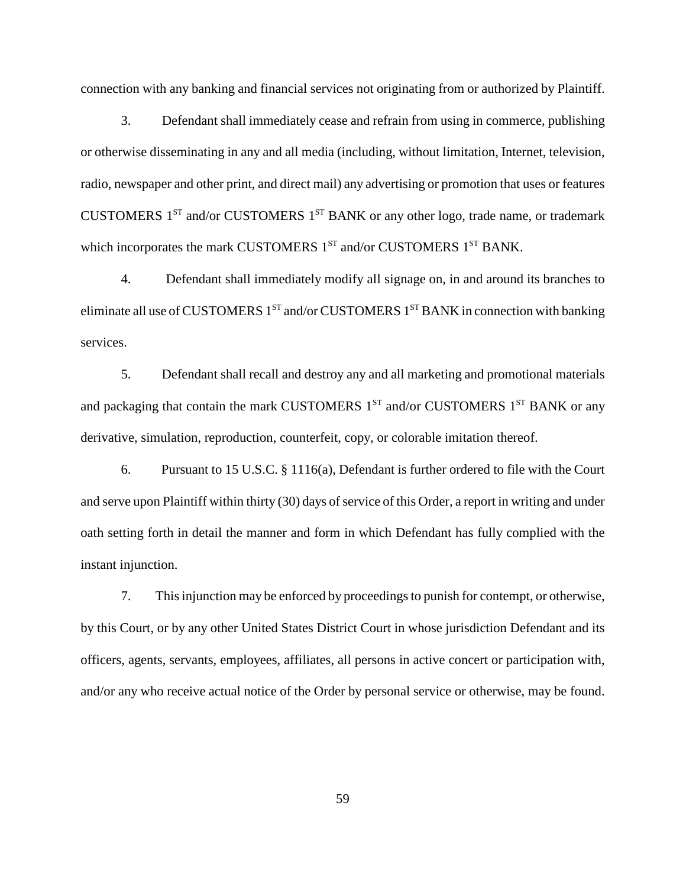connection with any banking and financial services not originating from or authorized by Plaintiff.

3. Defendant shall immediately cease and refrain from using in commerce, publishing or otherwise disseminating in any and all media (including, without limitation, Internet, television, radio, newspaper and other print, and direct mail) any advertising or promotion that uses or features CUSTOMERS  $1^{ST}$  and/or CUSTOMERS  $1^{ST}$  BANK or any other logo, trade name, or trademark which incorporates the mark CUSTOMERS  $1<sup>ST</sup>$  and/or CUSTOMERS  $1<sup>ST</sup>$  BANK.

4. Defendant shall immediately modify all signage on, in and around its branches to eliminate all use of CUSTOMERS  $1^{ST}$  and/or CUSTOMERS  $1^{ST}$  BANK in connection with banking services.

5. Defendant shall recall and destroy any and all marketing and promotional materials and packaging that contain the mark CUSTOMERS  $1^{ST}$  and/or CUSTOMERS  $1^{ST}$  BANK or any derivative, simulation, reproduction, counterfeit, copy, or colorable imitation thereof.

6. Pursuant to 15 U.S.C. § 1116(a), Defendant is further ordered to file with the Court and serve upon Plaintiff within thirty (30) days of service of this Order, a report in writing and under oath setting forth in detail the manner and form in which Defendant has fully complied with the instant injunction.

7. Thisinjunction may be enforced by proceedingsto punish for contempt, or otherwise, by this Court, or by any other United States District Court in whose jurisdiction Defendant and its officers, agents, servants, employees, affiliates, all persons in active concert or participation with, and/or any who receive actual notice of the Order by personal service or otherwise, may be found.